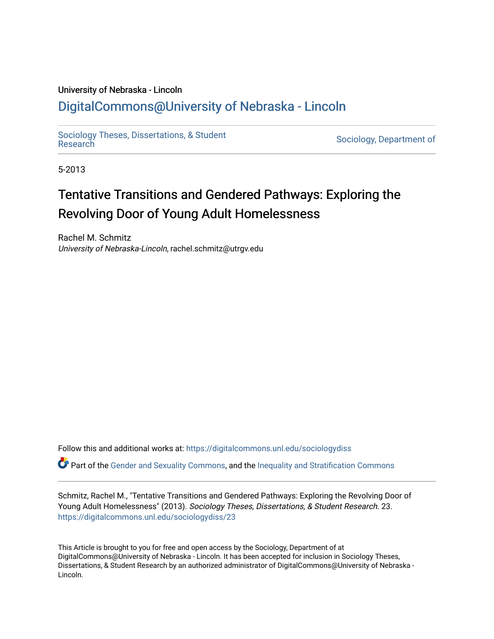# University of Nebraska - Lincoln [DigitalCommons@University of Nebraska - Lincoln](https://digitalcommons.unl.edu/)

[Sociology Theses, Dissertations, & Student](https://digitalcommons.unl.edu/sociologydiss)

Sociology, Department of

5-2013

# Tentative Transitions and Gendered Pathways: Exploring the Revolving Door of Young Adult Homelessness

Rachel M. Schmitz University of Nebraska-Lincoln, rachel.schmitz@utrgv.edu

Follow this and additional works at: [https://digitalcommons.unl.edu/sociologydiss](https://digitalcommons.unl.edu/sociologydiss?utm_source=digitalcommons.unl.edu%2Fsociologydiss%2F23&utm_medium=PDF&utm_campaign=PDFCoverPages) 

Part of the [Gender and Sexuality Commons](http://network.bepress.com/hgg/discipline/420?utm_source=digitalcommons.unl.edu%2Fsociologydiss%2F23&utm_medium=PDF&utm_campaign=PDFCoverPages), and the [Inequality and Stratification Commons](http://network.bepress.com/hgg/discipline/421?utm_source=digitalcommons.unl.edu%2Fsociologydiss%2F23&utm_medium=PDF&utm_campaign=PDFCoverPages)

Schmitz, Rachel M., "Tentative Transitions and Gendered Pathways: Exploring the Revolving Door of Young Adult Homelessness" (2013). Sociology Theses, Dissertations, & Student Research. 23. [https://digitalcommons.unl.edu/sociologydiss/23](https://digitalcommons.unl.edu/sociologydiss/23?utm_source=digitalcommons.unl.edu%2Fsociologydiss%2F23&utm_medium=PDF&utm_campaign=PDFCoverPages)

This Article is brought to you for free and open access by the Sociology, Department of at DigitalCommons@University of Nebraska - Lincoln. It has been accepted for inclusion in Sociology Theses, Dissertations, & Student Research by an authorized administrator of DigitalCommons@University of Nebraska -Lincoln.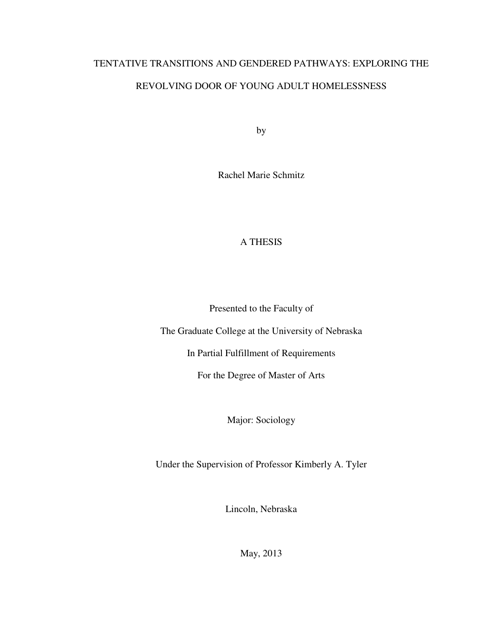# TENTATIVE TRANSITIONS AND GENDERED PATHWAYS: EXPLORING THE REVOLVING DOOR OF YOUNG ADULT HOMELESSNESS

by

Rachel Marie Schmitz

# A THESIS

Presented to the Faculty of

The Graduate College at the University of Nebraska

In Partial Fulfillment of Requirements

For the Degree of Master of Arts

Major: Sociology

Under the Supervision of Professor Kimberly A. Tyler

Lincoln, Nebraska

May, 2013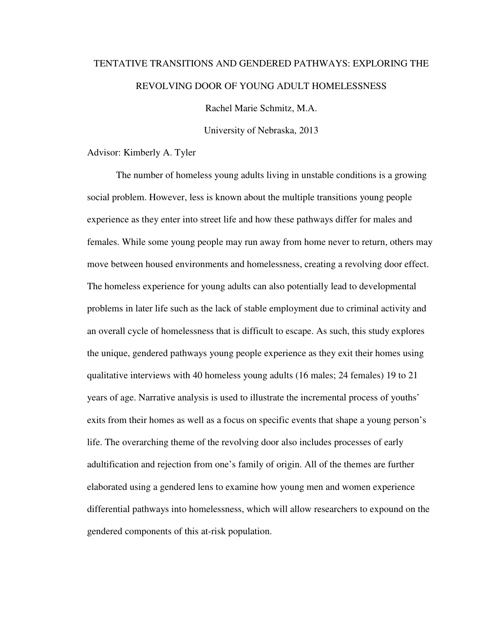# TENTATIVE TRANSITIONS AND GENDERED PATHWAYS: EXPLORING THE REVOLVING DOOR OF YOUNG ADULT HOMELESSNESS

Rachel Marie Schmitz, M.A.

University of Nebraska, 2013

Advisor: Kimberly A. Tyler

The number of homeless young adults living in unstable conditions is a growing social problem. However, less is known about the multiple transitions young people experience as they enter into street life and how these pathways differ for males and females. While some young people may run away from home never to return, others may move between housed environments and homelessness, creating a revolving door effect. The homeless experience for young adults can also potentially lead to developmental problems in later life such as the lack of stable employment due to criminal activity and an overall cycle of homelessness that is difficult to escape. As such, this study explores the unique, gendered pathways young people experience as they exit their homes using qualitative interviews with 40 homeless young adults (16 males; 24 females) 19 to 21 years of age. Narrative analysis is used to illustrate the incremental process of youths' exits from their homes as well as a focus on specific events that shape a young person's life. The overarching theme of the revolving door also includes processes of early adultification and rejection from one's family of origin. All of the themes are further elaborated using a gendered lens to examine how young men and women experience differential pathways into homelessness, which will allow researchers to expound on the gendered components of this at-risk population.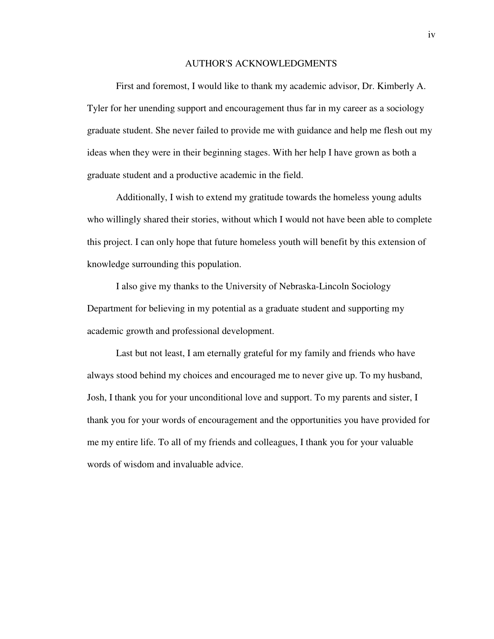#### AUTHOR'S ACKNOWLEDGMENTS

 First and foremost, I would like to thank my academic advisor, Dr. Kimberly A. Tyler for her unending support and encouragement thus far in my career as a sociology graduate student. She never failed to provide me with guidance and help me flesh out my ideas when they were in their beginning stages. With her help I have grown as both a graduate student and a productive academic in the field.

 Additionally, I wish to extend my gratitude towards the homeless young adults who willingly shared their stories, without which I would not have been able to complete this project. I can only hope that future homeless youth will benefit by this extension of knowledge surrounding this population.

 I also give my thanks to the University of Nebraska-Lincoln Sociology Department for believing in my potential as a graduate student and supporting my academic growth and professional development.

 Last but not least, I am eternally grateful for my family and friends who have always stood behind my choices and encouraged me to never give up. To my husband, Josh, I thank you for your unconditional love and support. To my parents and sister, I thank you for your words of encouragement and the opportunities you have provided for me my entire life. To all of my friends and colleagues, I thank you for your valuable words of wisdom and invaluable advice.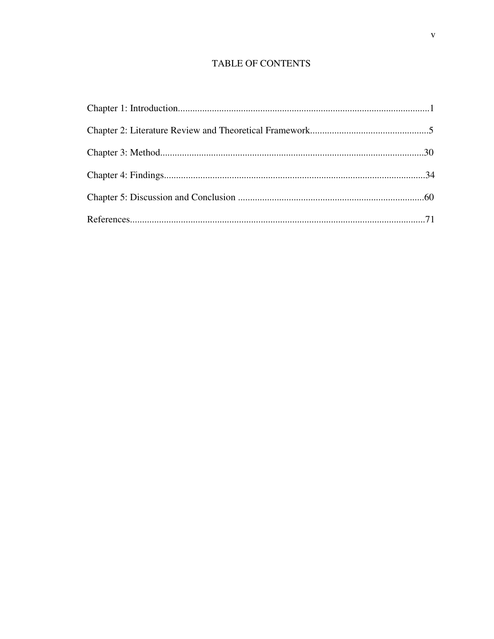# **TABLE OF CONTENTS**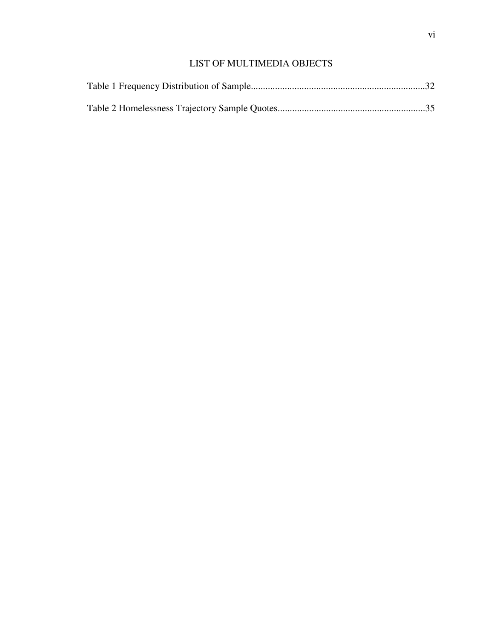# LIST OF MULTIMEDIA OBJECTS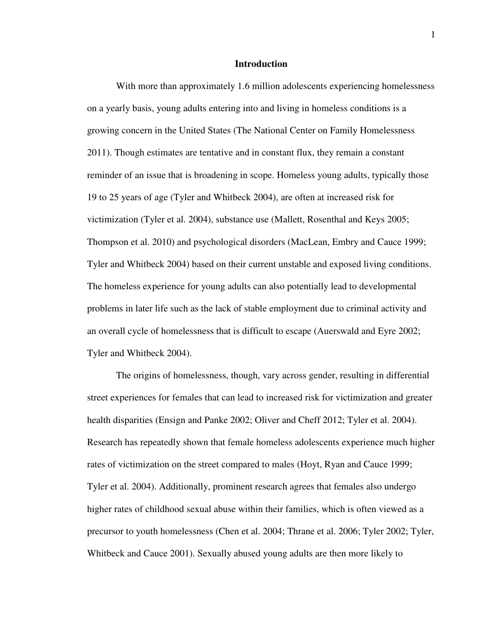## **Introduction**

 With more than approximately 1.6 million adolescents experiencing homelessness on a yearly basis, young adults entering into and living in homeless conditions is a growing concern in the United States (The National Center on Family Homelessness 2011). Though estimates are tentative and in constant flux, they remain a constant reminder of an issue that is broadening in scope. Homeless young adults, typically those 19 to 25 years of age (Tyler and Whitbeck 2004), are often at increased risk for victimization (Tyler et al. 2004), substance use (Mallett, Rosenthal and Keys 2005; Thompson et al. 2010) and psychological disorders (MacLean, Embry and Cauce 1999; Tyler and Whitbeck 2004) based on their current unstable and exposed living conditions. The homeless experience for young adults can also potentially lead to developmental problems in later life such as the lack of stable employment due to criminal activity and an overall cycle of homelessness that is difficult to escape (Auerswald and Eyre 2002; Tyler and Whitbeck 2004).

The origins of homelessness, though, vary across gender, resulting in differential street experiences for females that can lead to increased risk for victimization and greater health disparities (Ensign and Panke 2002; Oliver and Cheff 2012; Tyler et al. 2004). Research has repeatedly shown that female homeless adolescents experience much higher rates of victimization on the street compared to males (Hoyt, Ryan and Cauce 1999; Tyler et al. 2004). Additionally, prominent research agrees that females also undergo higher rates of childhood sexual abuse within their families, which is often viewed as a precursor to youth homelessness (Chen et al. 2004; Thrane et al. 2006; Tyler 2002; Tyler, Whitbeck and Cauce 2001). Sexually abused young adults are then more likely to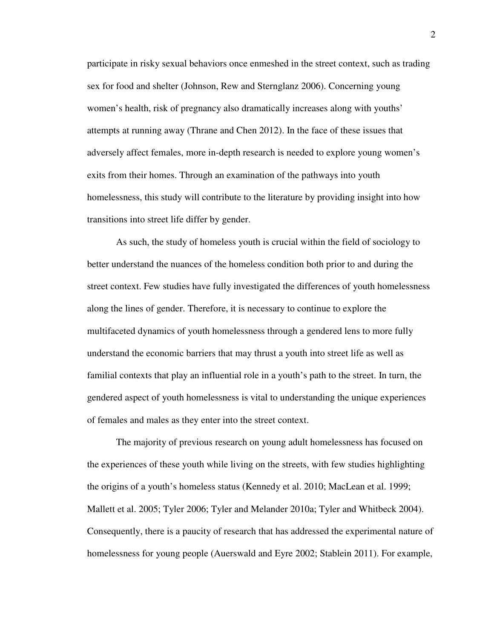participate in risky sexual behaviors once enmeshed in the street context, such as trading sex for food and shelter (Johnson, Rew and Sternglanz 2006). Concerning young women's health, risk of pregnancy also dramatically increases along with youths' attempts at running away (Thrane and Chen 2012). In the face of these issues that adversely affect females, more in-depth research is needed to explore young women's exits from their homes. Through an examination of the pathways into youth homelessness, this study will contribute to the literature by providing insight into how transitions into street life differ by gender.

As such, the study of homeless youth is crucial within the field of sociology to better understand the nuances of the homeless condition both prior to and during the street context. Few studies have fully investigated the differences of youth homelessness along the lines of gender. Therefore, it is necessary to continue to explore the multifaceted dynamics of youth homelessness through a gendered lens to more fully understand the economic barriers that may thrust a youth into street life as well as familial contexts that play an influential role in a youth's path to the street. In turn, the gendered aspect of youth homelessness is vital to understanding the unique experiences of females and males as they enter into the street context.

 The majority of previous research on young adult homelessness has focused on the experiences of these youth while living on the streets, with few studies highlighting the origins of a youth's homeless status (Kennedy et al. 2010; MacLean et al. 1999; Mallett et al. 2005; Tyler 2006; Tyler and Melander 2010a; Tyler and Whitbeck 2004). Consequently, there is a paucity of research that has addressed the experimental nature of homelessness for young people (Auerswald and Eyre 2002; Stablein 2011). For example,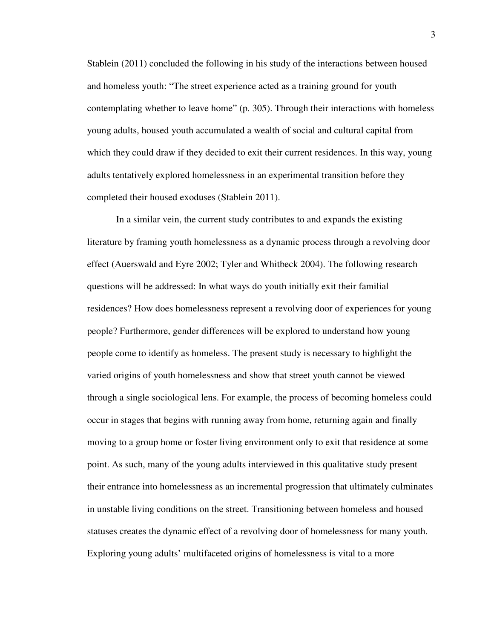Stablein (2011) concluded the following in his study of the interactions between housed and homeless youth: "The street experience acted as a training ground for youth contemplating whether to leave home" (p. 305). Through their interactions with homeless young adults, housed youth accumulated a wealth of social and cultural capital from which they could draw if they decided to exit their current residences. In this way, young adults tentatively explored homelessness in an experimental transition before they completed their housed exoduses (Stablein 2011).

In a similar vein, the current study contributes to and expands the existing literature by framing youth homelessness as a dynamic process through a revolving door effect (Auerswald and Eyre 2002; Tyler and Whitbeck 2004). The following research questions will be addressed: In what ways do youth initially exit their familial residences? How does homelessness represent a revolving door of experiences for young people? Furthermore, gender differences will be explored to understand how young people come to identify as homeless. The present study is necessary to highlight the varied origins of youth homelessness and show that street youth cannot be viewed through a single sociological lens. For example, the process of becoming homeless could occur in stages that begins with running away from home, returning again and finally moving to a group home or foster living environment only to exit that residence at some point. As such, many of the young adults interviewed in this qualitative study present their entrance into homelessness as an incremental progression that ultimately culminates in unstable living conditions on the street. Transitioning between homeless and housed statuses creates the dynamic effect of a revolving door of homelessness for many youth. Exploring young adults' multifaceted origins of homelessness is vital to a more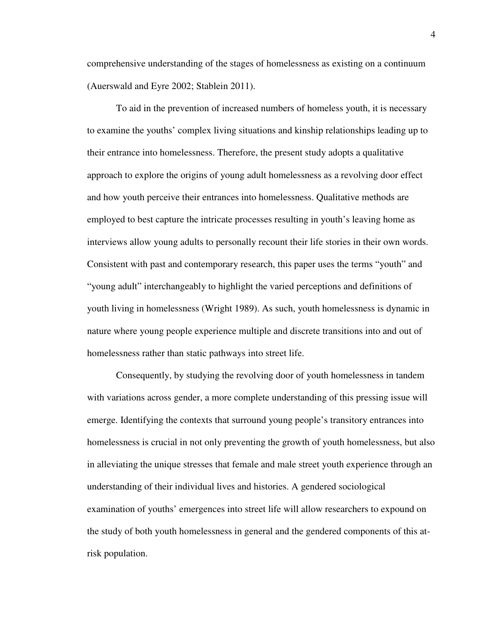comprehensive understanding of the stages of homelessness as existing on a continuum (Auerswald and Eyre 2002; Stablein 2011).

 To aid in the prevention of increased numbers of homeless youth, it is necessary to examine the youths' complex living situations and kinship relationships leading up to their entrance into homelessness. Therefore, the present study adopts a qualitative approach to explore the origins of young adult homelessness as a revolving door effect and how youth perceive their entrances into homelessness. Qualitative methods are employed to best capture the intricate processes resulting in youth's leaving home as interviews allow young adults to personally recount their life stories in their own words. Consistent with past and contemporary research, this paper uses the terms "youth" and "young adult" interchangeably to highlight the varied perceptions and definitions of youth living in homelessness (Wright 1989). As such, youth homelessness is dynamic in nature where young people experience multiple and discrete transitions into and out of homelessness rather than static pathways into street life.

Consequently, by studying the revolving door of youth homelessness in tandem with variations across gender, a more complete understanding of this pressing issue will emerge. Identifying the contexts that surround young people's transitory entrances into homelessness is crucial in not only preventing the growth of youth homelessness, but also in alleviating the unique stresses that female and male street youth experience through an understanding of their individual lives and histories. A gendered sociological examination of youths' emergences into street life will allow researchers to expound on the study of both youth homelessness in general and the gendered components of this atrisk population.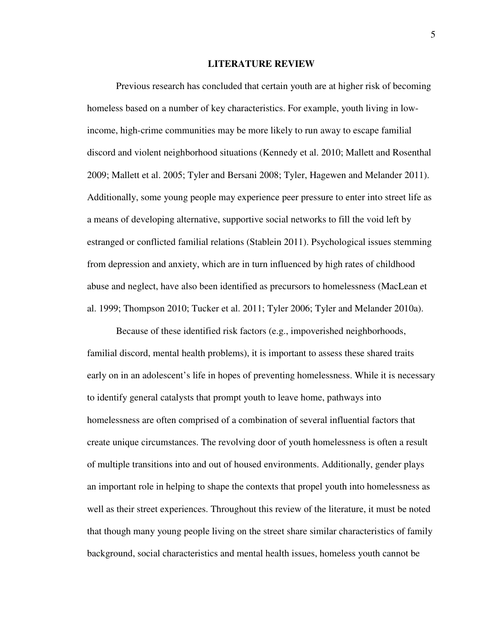## **LITERATURE REVIEW**

Previous research has concluded that certain youth are at higher risk of becoming homeless based on a number of key characteristics. For example, youth living in lowincome, high-crime communities may be more likely to run away to escape familial discord and violent neighborhood situations (Kennedy et al. 2010; Mallett and Rosenthal 2009; Mallett et al. 2005; Tyler and Bersani 2008; Tyler, Hagewen and Melander 2011). Additionally, some young people may experience peer pressure to enter into street life as a means of developing alternative, supportive social networks to fill the void left by estranged or conflicted familial relations (Stablein 2011). Psychological issues stemming from depression and anxiety, which are in turn influenced by high rates of childhood abuse and neglect, have also been identified as precursors to homelessness (MacLean et al. 1999; Thompson 2010; Tucker et al. 2011; Tyler 2006; Tyler and Melander 2010a).

Because of these identified risk factors (e.g., impoverished neighborhoods, familial discord, mental health problems), it is important to assess these shared traits early on in an adolescent's life in hopes of preventing homelessness. While it is necessary to identify general catalysts that prompt youth to leave home, pathways into homelessness are often comprised of a combination of several influential factors that create unique circumstances. The revolving door of youth homelessness is often a result of multiple transitions into and out of housed environments. Additionally, gender plays an important role in helping to shape the contexts that propel youth into homelessness as well as their street experiences. Throughout this review of the literature, it must be noted that though many young people living on the street share similar characteristics of family background, social characteristics and mental health issues, homeless youth cannot be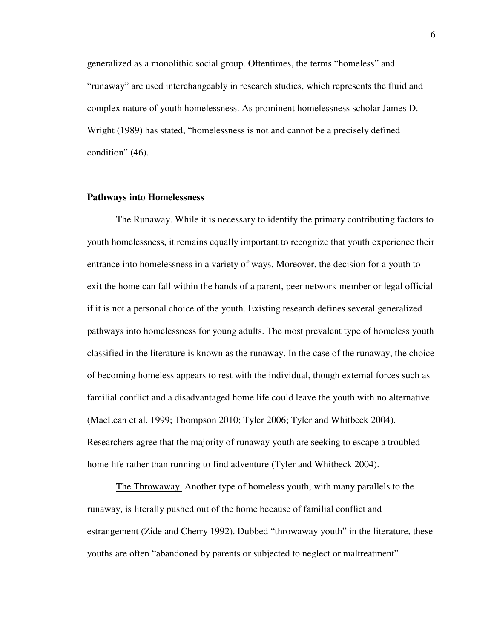generalized as a monolithic social group. Oftentimes, the terms "homeless" and "runaway" are used interchangeably in research studies, which represents the fluid and complex nature of youth homelessness. As prominent homelessness scholar James D. Wright (1989) has stated, "homelessness is not and cannot be a precisely defined condition" (46).

#### **Pathways into Homelessness**

 The Runaway. While it is necessary to identify the primary contributing factors to youth homelessness, it remains equally important to recognize that youth experience their entrance into homelessness in a variety of ways. Moreover, the decision for a youth to exit the home can fall within the hands of a parent, peer network member or legal official if it is not a personal choice of the youth. Existing research defines several generalized pathways into homelessness for young adults. The most prevalent type of homeless youth classified in the literature is known as the runaway. In the case of the runaway, the choice of becoming homeless appears to rest with the individual, though external forces such as familial conflict and a disadvantaged home life could leave the youth with no alternative (MacLean et al. 1999; Thompson 2010; Tyler 2006; Tyler and Whitbeck 2004). Researchers agree that the majority of runaway youth are seeking to escape a troubled home life rather than running to find adventure (Tyler and Whitbeck 2004).

 The Throwaway. Another type of homeless youth, with many parallels to the runaway, is literally pushed out of the home because of familial conflict and estrangement (Zide and Cherry 1992). Dubbed "throwaway youth" in the literature, these youths are often "abandoned by parents or subjected to neglect or maltreatment"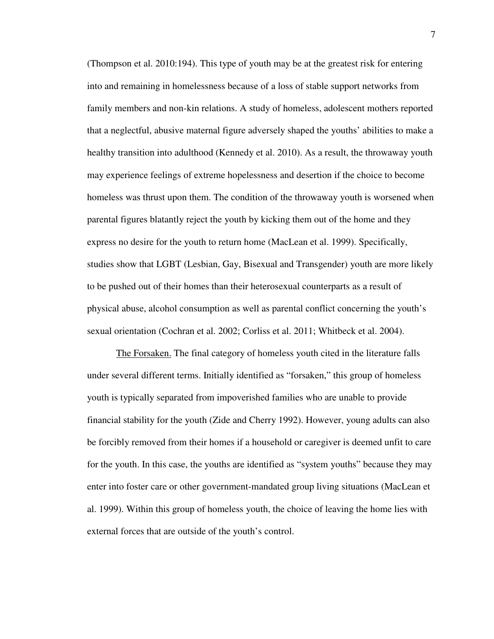(Thompson et al. 2010:194). This type of youth may be at the greatest risk for entering into and remaining in homelessness because of a loss of stable support networks from family members and non-kin relations. A study of homeless, adolescent mothers reported that a neglectful, abusive maternal figure adversely shaped the youths' abilities to make a healthy transition into adulthood (Kennedy et al. 2010). As a result, the throwaway youth may experience feelings of extreme hopelessness and desertion if the choice to become homeless was thrust upon them. The condition of the throwaway youth is worsened when parental figures blatantly reject the youth by kicking them out of the home and they express no desire for the youth to return home (MacLean et al. 1999). Specifically, studies show that LGBT (Lesbian, Gay, Bisexual and Transgender) youth are more likely to be pushed out of their homes than their heterosexual counterparts as a result of physical abuse, alcohol consumption as well as parental conflict concerning the youth's sexual orientation (Cochran et al. 2002; Corliss et al. 2011; Whitbeck et al. 2004).

 The Forsaken. The final category of homeless youth cited in the literature falls under several different terms. Initially identified as "forsaken," this group of homeless youth is typically separated from impoverished families who are unable to provide financial stability for the youth (Zide and Cherry 1992). However, young adults can also be forcibly removed from their homes if a household or caregiver is deemed unfit to care for the youth. In this case, the youths are identified as "system youths" because they may enter into foster care or other government-mandated group living situations (MacLean et al. 1999). Within this group of homeless youth, the choice of leaving the home lies with external forces that are outside of the youth's control.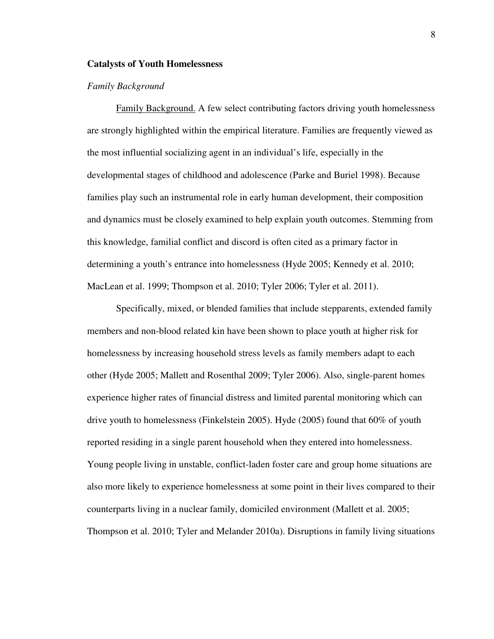## **Catalysts of Youth Homelessness**

# *Family Background*

 Family Background. A few select contributing factors driving youth homelessness are strongly highlighted within the empirical literature. Families are frequently viewed as the most influential socializing agent in an individual's life, especially in the developmental stages of childhood and adolescence (Parke and Buriel 1998). Because families play such an instrumental role in early human development, their composition and dynamics must be closely examined to help explain youth outcomes. Stemming from this knowledge, familial conflict and discord is often cited as a primary factor in determining a youth's entrance into homelessness (Hyde 2005; Kennedy et al. 2010; MacLean et al. 1999; Thompson et al. 2010; Tyler 2006; Tyler et al. 2011).

Specifically, mixed, or blended families that include stepparents, extended family members and non-blood related kin have been shown to place youth at higher risk for homelessness by increasing household stress levels as family members adapt to each other (Hyde 2005; Mallett and Rosenthal 2009; Tyler 2006). Also, single-parent homes experience higher rates of financial distress and limited parental monitoring which can drive youth to homelessness (Finkelstein 2005). Hyde (2005) found that 60% of youth reported residing in a single parent household when they entered into homelessness. Young people living in unstable, conflict-laden foster care and group home situations are also more likely to experience homelessness at some point in their lives compared to their counterparts living in a nuclear family, domiciled environment (Mallett et al. 2005; Thompson et al. 2010; Tyler and Melander 2010a). Disruptions in family living situations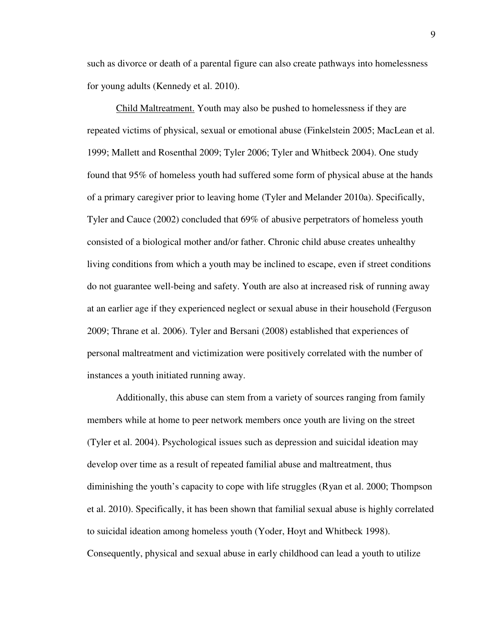such as divorce or death of a parental figure can also create pathways into homelessness for young adults (Kennedy et al. 2010).

 Child Maltreatment. Youth may also be pushed to homelessness if they are repeated victims of physical, sexual or emotional abuse (Finkelstein 2005; MacLean et al. 1999; Mallett and Rosenthal 2009; Tyler 2006; Tyler and Whitbeck 2004). One study found that 95% of homeless youth had suffered some form of physical abuse at the hands of a primary caregiver prior to leaving home (Tyler and Melander 2010a). Specifically, Tyler and Cauce (2002) concluded that 69% of abusive perpetrators of homeless youth consisted of a biological mother and/or father. Chronic child abuse creates unhealthy living conditions from which a youth may be inclined to escape, even if street conditions do not guarantee well-being and safety. Youth are also at increased risk of running away at an earlier age if they experienced neglect or sexual abuse in their household (Ferguson 2009; Thrane et al. 2006). Tyler and Bersani (2008) established that experiences of personal maltreatment and victimization were positively correlated with the number of instances a youth initiated running away.

Additionally, this abuse can stem from a variety of sources ranging from family members while at home to peer network members once youth are living on the street (Tyler et al. 2004). Psychological issues such as depression and suicidal ideation may develop over time as a result of repeated familial abuse and maltreatment, thus diminishing the youth's capacity to cope with life struggles (Ryan et al. 2000; Thompson et al. 2010). Specifically, it has been shown that familial sexual abuse is highly correlated to suicidal ideation among homeless youth (Yoder, Hoyt and Whitbeck 1998). Consequently, physical and sexual abuse in early childhood can lead a youth to utilize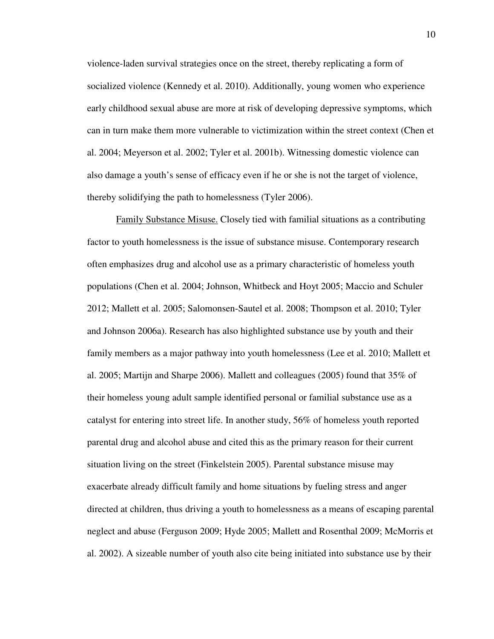violence-laden survival strategies once on the street, thereby replicating a form of socialized violence (Kennedy et al. 2010). Additionally, young women who experience early childhood sexual abuse are more at risk of developing depressive symptoms, which can in turn make them more vulnerable to victimization within the street context (Chen et al. 2004; Meyerson et al. 2002; Tyler et al. 2001b). Witnessing domestic violence can also damage a youth's sense of efficacy even if he or she is not the target of violence, thereby solidifying the path to homelessness (Tyler 2006).

 Family Substance Misuse. Closely tied with familial situations as a contributing factor to youth homelessness is the issue of substance misuse. Contemporary research often emphasizes drug and alcohol use as a primary characteristic of homeless youth populations (Chen et al. 2004; Johnson, Whitbeck and Hoyt 2005; Maccio and Schuler 2012; Mallett et al. 2005; Salomonsen-Sautel et al. 2008; Thompson et al. 2010; Tyler and Johnson 2006a). Research has also highlighted substance use by youth and their family members as a major pathway into youth homelessness (Lee et al. 2010; Mallett et al. 2005; Martijn and Sharpe 2006). Mallett and colleagues (2005) found that 35% of their homeless young adult sample identified personal or familial substance use as a catalyst for entering into street life. In another study, 56% of homeless youth reported parental drug and alcohol abuse and cited this as the primary reason for their current situation living on the street (Finkelstein 2005). Parental substance misuse may exacerbate already difficult family and home situations by fueling stress and anger directed at children, thus driving a youth to homelessness as a means of escaping parental neglect and abuse (Ferguson 2009; Hyde 2005; Mallett and Rosenthal 2009; McMorris et al. 2002). A sizeable number of youth also cite being initiated into substance use by their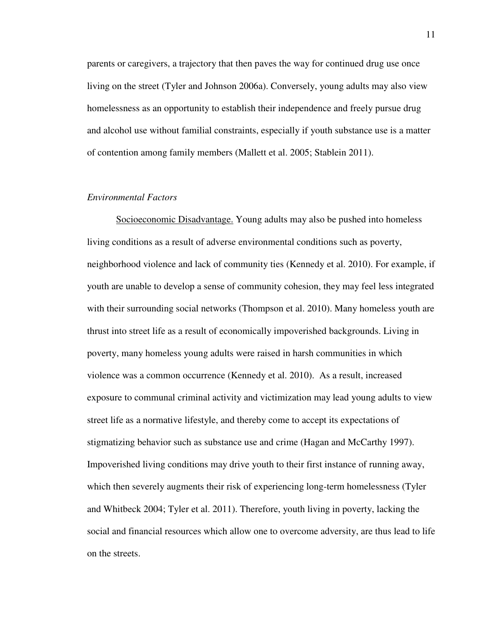parents or caregivers, a trajectory that then paves the way for continued drug use once living on the street (Tyler and Johnson 2006a). Conversely, young adults may also view homelessness as an opportunity to establish their independence and freely pursue drug and alcohol use without familial constraints, especially if youth substance use is a matter of contention among family members (Mallett et al. 2005; Stablein 2011).

## *Environmental Factors*

Socioeconomic Disadvantage. Young adults may also be pushed into homeless living conditions as a result of adverse environmental conditions such as poverty, neighborhood violence and lack of community ties (Kennedy et al. 2010). For example, if youth are unable to develop a sense of community cohesion, they may feel less integrated with their surrounding social networks (Thompson et al. 2010). Many homeless youth are thrust into street life as a result of economically impoverished backgrounds. Living in poverty, many homeless young adults were raised in harsh communities in which violence was a common occurrence (Kennedy et al. 2010). As a result, increased exposure to communal criminal activity and victimization may lead young adults to view street life as a normative lifestyle, and thereby come to accept its expectations of stigmatizing behavior such as substance use and crime (Hagan and McCarthy 1997). Impoverished living conditions may drive youth to their first instance of running away, which then severely augments their risk of experiencing long-term homelessness (Tyler and Whitbeck 2004; Tyler et al. 2011). Therefore, youth living in poverty, lacking the social and financial resources which allow one to overcome adversity, are thus lead to life on the streets.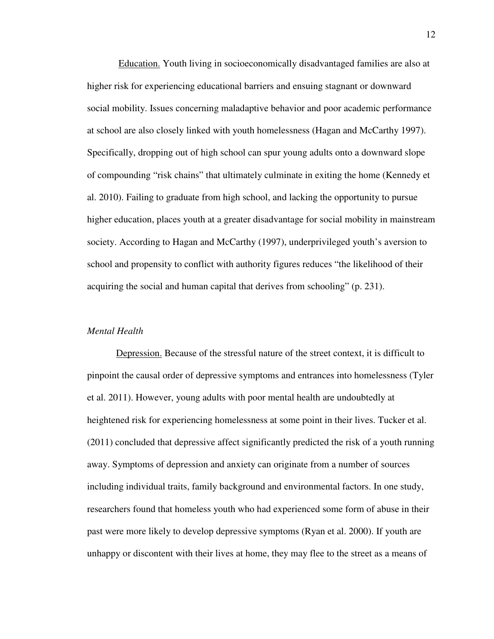Education. Youth living in socioeconomically disadvantaged families are also at higher risk for experiencing educational barriers and ensuing stagnant or downward social mobility. Issues concerning maladaptive behavior and poor academic performance at school are also closely linked with youth homelessness (Hagan and McCarthy 1997). Specifically, dropping out of high school can spur young adults onto a downward slope of compounding "risk chains" that ultimately culminate in exiting the home (Kennedy et al. 2010). Failing to graduate from high school, and lacking the opportunity to pursue higher education, places youth at a greater disadvantage for social mobility in mainstream society. According to Hagan and McCarthy (1997), underprivileged youth's aversion to school and propensity to conflict with authority figures reduces "the likelihood of their acquiring the social and human capital that derives from schooling" (p. 231).

# *Mental Health*

 Depression. Because of the stressful nature of the street context, it is difficult to pinpoint the causal order of depressive symptoms and entrances into homelessness (Tyler et al. 2011). However, young adults with poor mental health are undoubtedly at heightened risk for experiencing homelessness at some point in their lives. Tucker et al. (2011) concluded that depressive affect significantly predicted the risk of a youth running away. Symptoms of depression and anxiety can originate from a number of sources including individual traits, family background and environmental factors. In one study, researchers found that homeless youth who had experienced some form of abuse in their past were more likely to develop depressive symptoms (Ryan et al. 2000). If youth are unhappy or discontent with their lives at home, they may flee to the street as a means of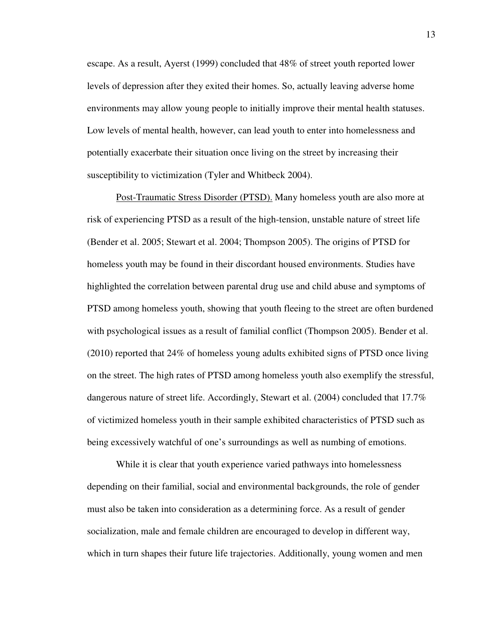escape. As a result, Ayerst (1999) concluded that 48% of street youth reported lower levels of depression after they exited their homes. So, actually leaving adverse home environments may allow young people to initially improve their mental health statuses. Low levels of mental health, however, can lead youth to enter into homelessness and potentially exacerbate their situation once living on the street by increasing their susceptibility to victimization (Tyler and Whitbeck 2004).

 Post-Traumatic Stress Disorder (PTSD). Many homeless youth are also more at risk of experiencing PTSD as a result of the high-tension, unstable nature of street life (Bender et al. 2005; Stewart et al. 2004; Thompson 2005). The origins of PTSD for homeless youth may be found in their discordant housed environments. Studies have highlighted the correlation between parental drug use and child abuse and symptoms of PTSD among homeless youth, showing that youth fleeing to the street are often burdened with psychological issues as a result of familial conflict (Thompson 2005). Bender et al. (2010) reported that 24% of homeless young adults exhibited signs of PTSD once living on the street. The high rates of PTSD among homeless youth also exemplify the stressful, dangerous nature of street life. Accordingly, Stewart et al. (2004) concluded that 17.7% of victimized homeless youth in their sample exhibited characteristics of PTSD such as being excessively watchful of one's surroundings as well as numbing of emotions.

 While it is clear that youth experience varied pathways into homelessness depending on their familial, social and environmental backgrounds, the role of gender must also be taken into consideration as a determining force. As a result of gender socialization, male and female children are encouraged to develop in different way, which in turn shapes their future life trajectories. Additionally, young women and men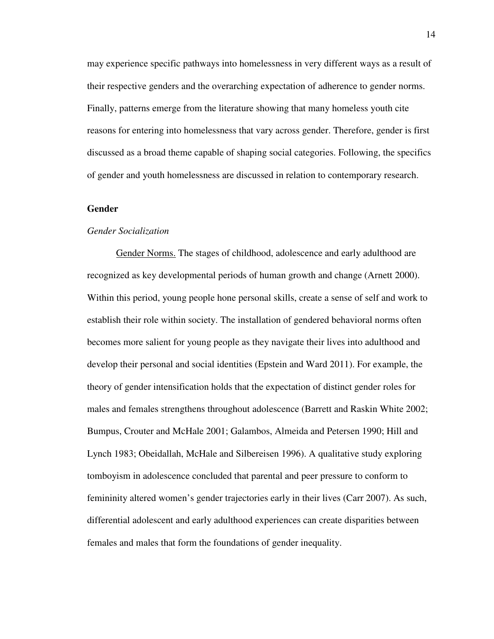may experience specific pathways into homelessness in very different ways as a result of their respective genders and the overarching expectation of adherence to gender norms. Finally, patterns emerge from the literature showing that many homeless youth cite reasons for entering into homelessness that vary across gender. Therefore, gender is first discussed as a broad theme capable of shaping social categories. Following, the specifics of gender and youth homelessness are discussed in relation to contemporary research.

# **Gender**

# *Gender Socialization*

Gender Norms. The stages of childhood, adolescence and early adulthood are recognized as key developmental periods of human growth and change (Arnett 2000). Within this period, young people hone personal skills, create a sense of self and work to establish their role within society. The installation of gendered behavioral norms often becomes more salient for young people as they navigate their lives into adulthood and develop their personal and social identities (Epstein and Ward 2011). For example, the theory of gender intensification holds that the expectation of distinct gender roles for males and females strengthens throughout adolescence (Barrett and Raskin White 2002; Bumpus, Crouter and McHale 2001; Galambos, Almeida and Petersen 1990; Hill and Lynch 1983; Obeidallah, McHale and Silbereisen 1996). A qualitative study exploring tomboyism in adolescence concluded that parental and peer pressure to conform to femininity altered women's gender trajectories early in their lives (Carr 2007). As such, differential adolescent and early adulthood experiences can create disparities between females and males that form the foundations of gender inequality.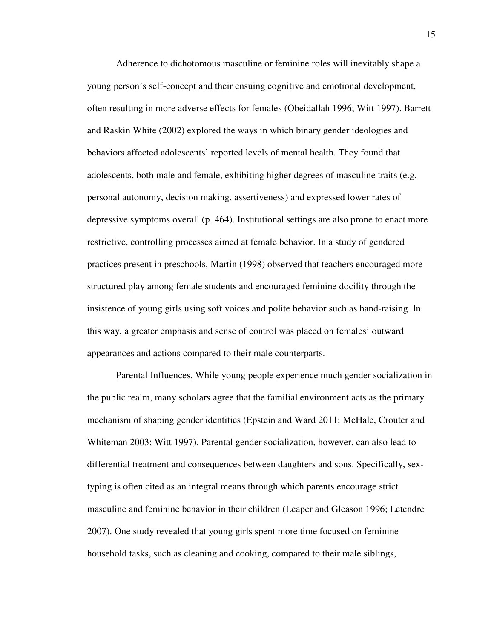Adherence to dichotomous masculine or feminine roles will inevitably shape a young person's self-concept and their ensuing cognitive and emotional development, often resulting in more adverse effects for females (Obeidallah 1996; Witt 1997). Barrett and Raskin White (2002) explored the ways in which binary gender ideologies and behaviors affected adolescents' reported levels of mental health. They found that adolescents, both male and female, exhibiting higher degrees of masculine traits (e.g. personal autonomy, decision making, assertiveness) and expressed lower rates of depressive symptoms overall (p. 464). Institutional settings are also prone to enact more restrictive, controlling processes aimed at female behavior. In a study of gendered practices present in preschools, Martin (1998) observed that teachers encouraged more structured play among female students and encouraged feminine docility through the insistence of young girls using soft voices and polite behavior such as hand-raising. In this way, a greater emphasis and sense of control was placed on females' outward appearances and actions compared to their male counterparts.

Parental Influences. While young people experience much gender socialization in the public realm, many scholars agree that the familial environment acts as the primary mechanism of shaping gender identities (Epstein and Ward 2011; McHale, Crouter and Whiteman 2003; Witt 1997). Parental gender socialization, however, can also lead to differential treatment and consequences between daughters and sons. Specifically, sextyping is often cited as an integral means through which parents encourage strict masculine and feminine behavior in their children (Leaper and Gleason 1996; Letendre 2007). One study revealed that young girls spent more time focused on feminine household tasks, such as cleaning and cooking, compared to their male siblings,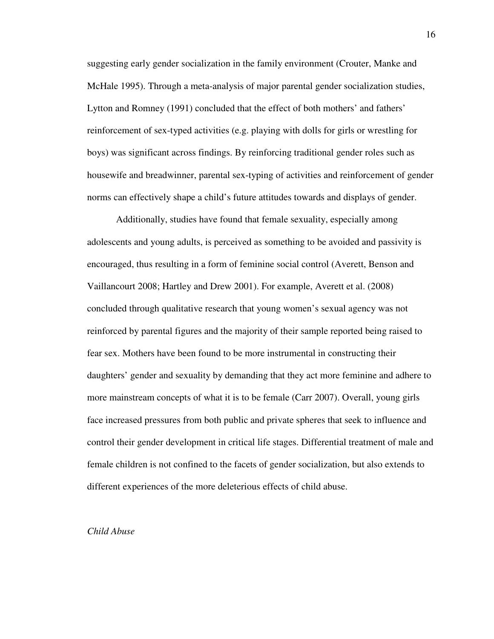suggesting early gender socialization in the family environment (Crouter, Manke and McHale 1995). Through a meta-analysis of major parental gender socialization studies, Lytton and Romney (1991) concluded that the effect of both mothers' and fathers' reinforcement of sex-typed activities (e.g. playing with dolls for girls or wrestling for boys) was significant across findings. By reinforcing traditional gender roles such as housewife and breadwinner, parental sex-typing of activities and reinforcement of gender norms can effectively shape a child's future attitudes towards and displays of gender.

Additionally, studies have found that female sexuality, especially among adolescents and young adults, is perceived as something to be avoided and passivity is encouraged, thus resulting in a form of feminine social control (Averett, Benson and Vaillancourt 2008; Hartley and Drew 2001). For example, Averett et al. (2008) concluded through qualitative research that young women's sexual agency was not reinforced by parental figures and the majority of their sample reported being raised to fear sex. Mothers have been found to be more instrumental in constructing their daughters' gender and sexuality by demanding that they act more feminine and adhere to more mainstream concepts of what it is to be female (Carr 2007). Overall, young girls face increased pressures from both public and private spheres that seek to influence and control their gender development in critical life stages. Differential treatment of male and female children is not confined to the facets of gender socialization, but also extends to different experiences of the more deleterious effects of child abuse.

# *Child Abuse*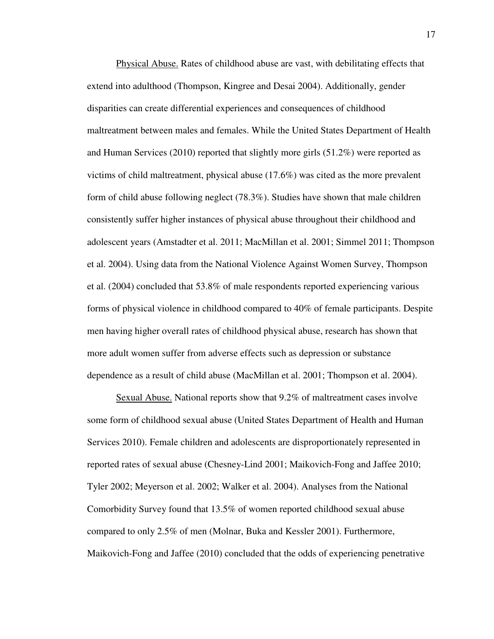Physical Abuse. Rates of childhood abuse are vast, with debilitating effects that extend into adulthood (Thompson, Kingree and Desai 2004). Additionally, gender disparities can create differential experiences and consequences of childhood maltreatment between males and females. While the United States Department of Health and Human Services (2010) reported that slightly more girls (51.2%) were reported as victims of child maltreatment, physical abuse (17.6%) was cited as the more prevalent form of child abuse following neglect (78.3%). Studies have shown that male children consistently suffer higher instances of physical abuse throughout their childhood and adolescent years (Amstadter et al. 2011; MacMillan et al. 2001; Simmel 2011; Thompson et al. 2004). Using data from the National Violence Against Women Survey, Thompson et al. (2004) concluded that 53.8% of male respondents reported experiencing various forms of physical violence in childhood compared to 40% of female participants. Despite men having higher overall rates of childhood physical abuse, research has shown that more adult women suffer from adverse effects such as depression or substance dependence as a result of child abuse (MacMillan et al. 2001; Thompson et al. 2004).

 Sexual Abuse. National reports show that 9.2% of maltreatment cases involve some form of childhood sexual abuse (United States Department of Health and Human Services 2010). Female children and adolescents are disproportionately represented in reported rates of sexual abuse (Chesney-Lind 2001; Maikovich-Fong and Jaffee 2010; Tyler 2002; Meyerson et al. 2002; Walker et al. 2004). Analyses from the National Comorbidity Survey found that 13.5% of women reported childhood sexual abuse compared to only 2.5% of men (Molnar, Buka and Kessler 2001). Furthermore, Maikovich-Fong and Jaffee (2010) concluded that the odds of experiencing penetrative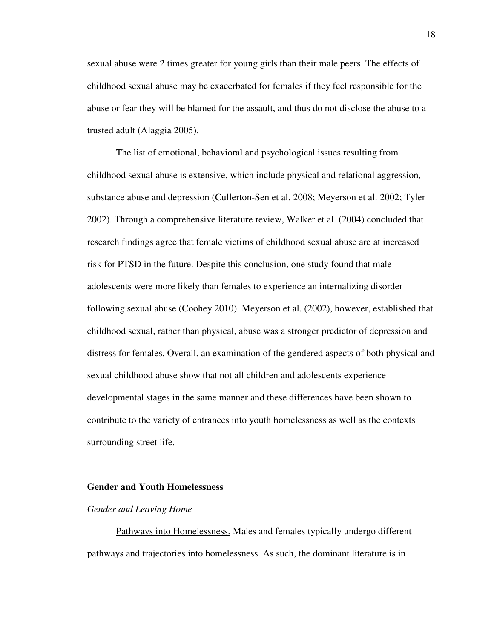sexual abuse were 2 times greater for young girls than their male peers. The effects of childhood sexual abuse may be exacerbated for females if they feel responsible for the abuse or fear they will be blamed for the assault, and thus do not disclose the abuse to a trusted adult (Alaggia 2005).

The list of emotional, behavioral and psychological issues resulting from childhood sexual abuse is extensive, which include physical and relational aggression, substance abuse and depression (Cullerton-Sen et al. 2008; Meyerson et al. 2002; Tyler 2002). Through a comprehensive literature review, Walker et al. (2004) concluded that research findings agree that female victims of childhood sexual abuse are at increased risk for PTSD in the future. Despite this conclusion, one study found that male adolescents were more likely than females to experience an internalizing disorder following sexual abuse (Coohey 2010). Meyerson et al. (2002), however, established that childhood sexual, rather than physical, abuse was a stronger predictor of depression and distress for females. Overall, an examination of the gendered aspects of both physical and sexual childhood abuse show that not all children and adolescents experience developmental stages in the same manner and these differences have been shown to contribute to the variety of entrances into youth homelessness as well as the contexts surrounding street life.

## **Gender and Youth Homelessness**

#### *Gender and Leaving Home*

Pathways into Homelessness. Males and females typically undergo different pathways and trajectories into homelessness. As such, the dominant literature is in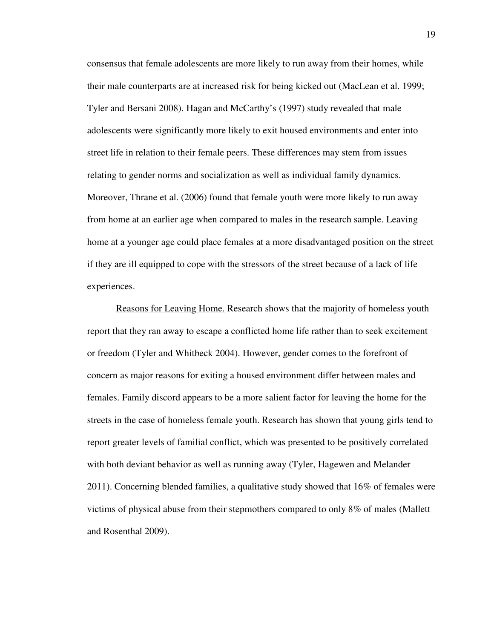consensus that female adolescents are more likely to run away from their homes, while their male counterparts are at increased risk for being kicked out (MacLean et al. 1999; Tyler and Bersani 2008). Hagan and McCarthy's (1997) study revealed that male adolescents were significantly more likely to exit housed environments and enter into street life in relation to their female peers. These differences may stem from issues relating to gender norms and socialization as well as individual family dynamics. Moreover, Thrane et al. (2006) found that female youth were more likely to run away from home at an earlier age when compared to males in the research sample. Leaving home at a younger age could place females at a more disadvantaged position on the street if they are ill equipped to cope with the stressors of the street because of a lack of life experiences.

 Reasons for Leaving Home. Research shows that the majority of homeless youth report that they ran away to escape a conflicted home life rather than to seek excitement or freedom (Tyler and Whitbeck 2004). However, gender comes to the forefront of concern as major reasons for exiting a housed environment differ between males and females. Family discord appears to be a more salient factor for leaving the home for the streets in the case of homeless female youth. Research has shown that young girls tend to report greater levels of familial conflict, which was presented to be positively correlated with both deviant behavior as well as running away (Tyler, Hagewen and Melander 2011). Concerning blended families, a qualitative study showed that 16% of females were victims of physical abuse from their stepmothers compared to only 8% of males (Mallett and Rosenthal 2009).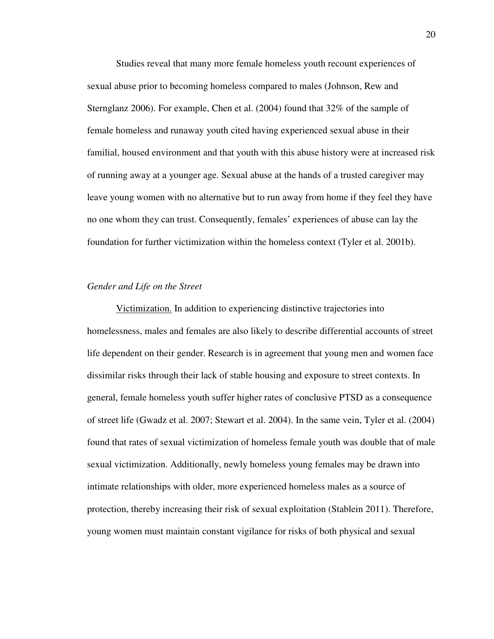Studies reveal that many more female homeless youth recount experiences of sexual abuse prior to becoming homeless compared to males (Johnson, Rew and Sternglanz 2006). For example, Chen et al. (2004) found that 32% of the sample of female homeless and runaway youth cited having experienced sexual abuse in their familial, housed environment and that youth with this abuse history were at increased risk of running away at a younger age. Sexual abuse at the hands of a trusted caregiver may leave young women with no alternative but to run away from home if they feel they have no one whom they can trust. Consequently, females' experiences of abuse can lay the foundation for further victimization within the homeless context (Tyler et al. 2001b).

#### *Gender and Life on the Street*

 Victimization. In addition to experiencing distinctive trajectories into homelessness, males and females are also likely to describe differential accounts of street life dependent on their gender. Research is in agreement that young men and women face dissimilar risks through their lack of stable housing and exposure to street contexts. In general, female homeless youth suffer higher rates of conclusive PTSD as a consequence of street life (Gwadz et al. 2007; Stewart et al. 2004). In the same vein, Tyler et al. (2004) found that rates of sexual victimization of homeless female youth was double that of male sexual victimization. Additionally, newly homeless young females may be drawn into intimate relationships with older, more experienced homeless males as a source of protection, thereby increasing their risk of sexual exploitation (Stablein 2011). Therefore, young women must maintain constant vigilance for risks of both physical and sexual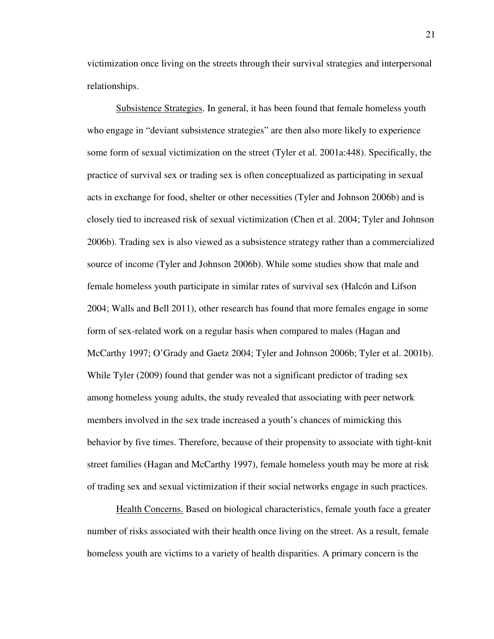victimization once living on the streets through their survival strategies and interpersonal relationships.

Subsistence Strategies. In general, it has been found that female homeless youth who engage in "deviant subsistence strategies" are then also more likely to experience some form of sexual victimization on the street (Tyler et al. 2001a:448). Specifically, the practice of survival sex or trading sex is often conceptualized as participating in sexual acts in exchange for food, shelter or other necessities (Tyler and Johnson 2006b) and is closely tied to increased risk of sexual victimization (Chen et al. 2004; Tyler and Johnson 2006b). Trading sex is also viewed as a subsistence strategy rather than a commercialized source of income (Tyler and Johnson 2006b). While some studies show that male and female homeless youth participate in similar rates of survival sex (Halcón and Lifson 2004; Walls and Bell 2011), other research has found that more females engage in some form of sex-related work on a regular basis when compared to males (Hagan and McCarthy 1997; O'Grady and Gaetz 2004; Tyler and Johnson 2006b; Tyler et al. 2001b). While Tyler (2009) found that gender was not a significant predictor of trading sex among homeless young adults, the study revealed that associating with peer network members involved in the sex trade increased a youth's chances of mimicking this behavior by five times. Therefore, because of their propensity to associate with tight-knit street families (Hagan and McCarthy 1997), female homeless youth may be more at risk of trading sex and sexual victimization if their social networks engage in such practices.

 Health Concerns. Based on biological characteristics, female youth face a greater number of risks associated with their health once living on the street. As a result, female homeless youth are victims to a variety of health disparities. A primary concern is the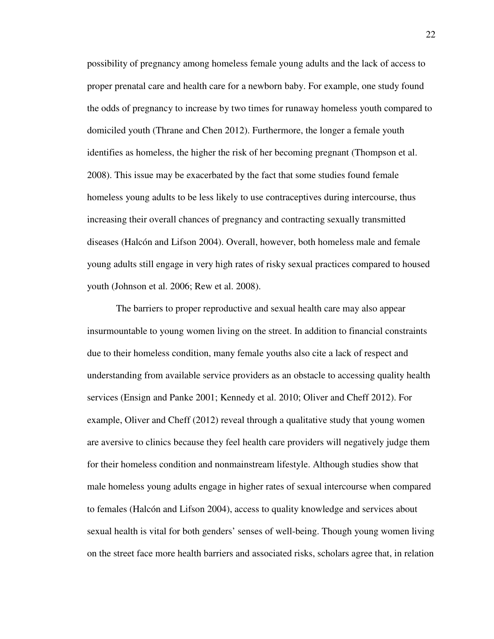possibility of pregnancy among homeless female young adults and the lack of access to proper prenatal care and health care for a newborn baby. For example, one study found the odds of pregnancy to increase by two times for runaway homeless youth compared to domiciled youth (Thrane and Chen 2012). Furthermore, the longer a female youth identifies as homeless, the higher the risk of her becoming pregnant (Thompson et al. 2008). This issue may be exacerbated by the fact that some studies found female homeless young adults to be less likely to use contraceptives during intercourse, thus increasing their overall chances of pregnancy and contracting sexually transmitted diseases (Halcón and Lifson 2004). Overall, however, both homeless male and female young adults still engage in very high rates of risky sexual practices compared to housed youth (Johnson et al. 2006; Rew et al. 2008).

 The barriers to proper reproductive and sexual health care may also appear insurmountable to young women living on the street. In addition to financial constraints due to their homeless condition, many female youths also cite a lack of respect and understanding from available service providers as an obstacle to accessing quality health services (Ensign and Panke 2001; Kennedy et al. 2010; Oliver and Cheff 2012). For example, Oliver and Cheff (2012) reveal through a qualitative study that young women are aversive to clinics because they feel health care providers will negatively judge them for their homeless condition and nonmainstream lifestyle. Although studies show that male homeless young adults engage in higher rates of sexual intercourse when compared to females (Halcón and Lifson 2004), access to quality knowledge and services about sexual health is vital for both genders' senses of well-being. Though young women living on the street face more health barriers and associated risks, scholars agree that, in relation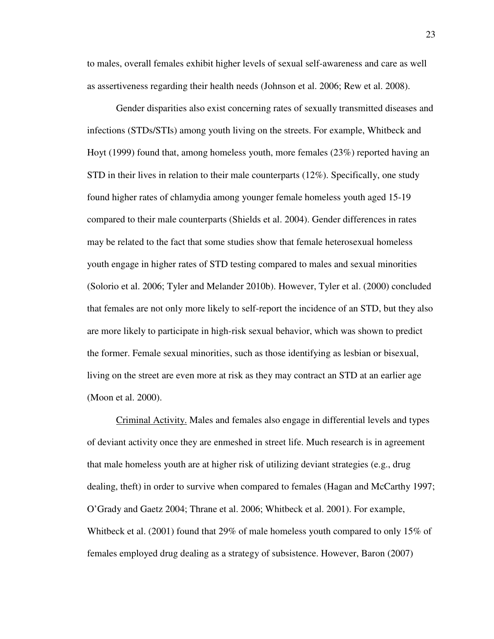to males, overall females exhibit higher levels of sexual self-awareness and care as well as assertiveness regarding their health needs (Johnson et al. 2006; Rew et al. 2008).

 Gender disparities also exist concerning rates of sexually transmitted diseases and infections (STDs/STIs) among youth living on the streets. For example, Whitbeck and Hoyt (1999) found that, among homeless youth, more females (23%) reported having an STD in their lives in relation to their male counterparts (12%). Specifically, one study found higher rates of chlamydia among younger female homeless youth aged 15-19 compared to their male counterparts (Shields et al. 2004). Gender differences in rates may be related to the fact that some studies show that female heterosexual homeless youth engage in higher rates of STD testing compared to males and sexual minorities (Solorio et al. 2006; Tyler and Melander 2010b). However, Tyler et al. (2000) concluded that females are not only more likely to self-report the incidence of an STD, but they also are more likely to participate in high-risk sexual behavior, which was shown to predict the former. Female sexual minorities, such as those identifying as lesbian or bisexual, living on the street are even more at risk as they may contract an STD at an earlier age (Moon et al. 2000).

 Criminal Activity. Males and females also engage in differential levels and types of deviant activity once they are enmeshed in street life. Much research is in agreement that male homeless youth are at higher risk of utilizing deviant strategies (e.g., drug dealing, theft) in order to survive when compared to females (Hagan and McCarthy 1997; O'Grady and Gaetz 2004; Thrane et al. 2006; Whitbeck et al. 2001). For example, Whitbeck et al. (2001) found that 29% of male homeless youth compared to only 15% of females employed drug dealing as a strategy of subsistence. However, Baron (2007)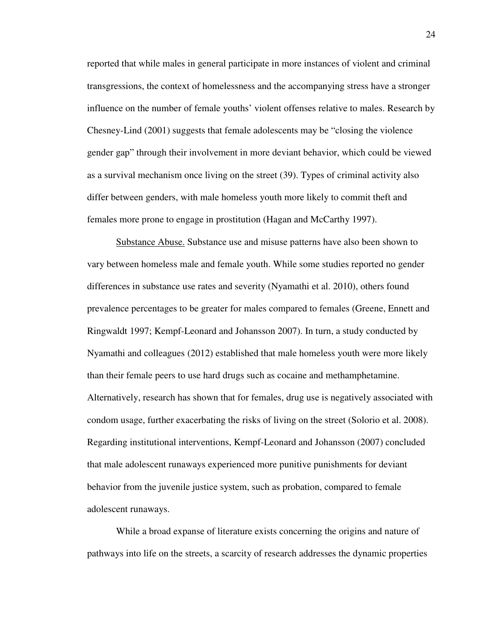reported that while males in general participate in more instances of violent and criminal transgressions, the context of homelessness and the accompanying stress have a stronger influence on the number of female youths' violent offenses relative to males. Research by Chesney-Lind (2001) suggests that female adolescents may be "closing the violence gender gap" through their involvement in more deviant behavior, which could be viewed as a survival mechanism once living on the street (39). Types of criminal activity also differ between genders, with male homeless youth more likely to commit theft and females more prone to engage in prostitution (Hagan and McCarthy 1997).

 Substance Abuse. Substance use and misuse patterns have also been shown to vary between homeless male and female youth. While some studies reported no gender differences in substance use rates and severity (Nyamathi et al. 2010), others found prevalence percentages to be greater for males compared to females (Greene, Ennett and Ringwaldt 1997; Kempf-Leonard and Johansson 2007). In turn, a study conducted by Nyamathi and colleagues (2012) established that male homeless youth were more likely than their female peers to use hard drugs such as cocaine and methamphetamine. Alternatively, research has shown that for females, drug use is negatively associated with condom usage, further exacerbating the risks of living on the street (Solorio et al. 2008). Regarding institutional interventions, Kempf-Leonard and Johansson (2007) concluded that male adolescent runaways experienced more punitive punishments for deviant behavior from the juvenile justice system, such as probation, compared to female adolescent runaways.

While a broad expanse of literature exists concerning the origins and nature of pathways into life on the streets, a scarcity of research addresses the dynamic properties

24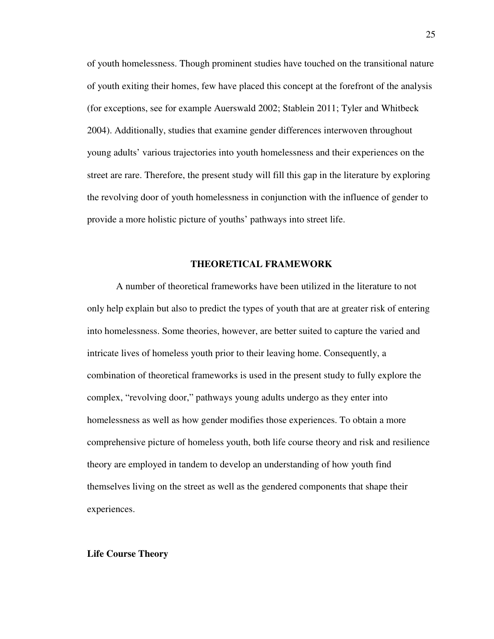of youth homelessness. Though prominent studies have touched on the transitional nature of youth exiting their homes, few have placed this concept at the forefront of the analysis (for exceptions, see for example Auerswald 2002; Stablein 2011; Tyler and Whitbeck 2004). Additionally, studies that examine gender differences interwoven throughout young adults' various trajectories into youth homelessness and their experiences on the street are rare. Therefore, the present study will fill this gap in the literature by exploring the revolving door of youth homelessness in conjunction with the influence of gender to provide a more holistic picture of youths' pathways into street life.

# **THEORETICAL FRAMEWORK**

A number of theoretical frameworks have been utilized in the literature to not only help explain but also to predict the types of youth that are at greater risk of entering into homelessness. Some theories, however, are better suited to capture the varied and intricate lives of homeless youth prior to their leaving home. Consequently, a combination of theoretical frameworks is used in the present study to fully explore the complex, "revolving door," pathways young adults undergo as they enter into homelessness as well as how gender modifies those experiences. To obtain a more comprehensive picture of homeless youth, both life course theory and risk and resilience theory are employed in tandem to develop an understanding of how youth find themselves living on the street as well as the gendered components that shape their experiences.

#### **Life Course Theory**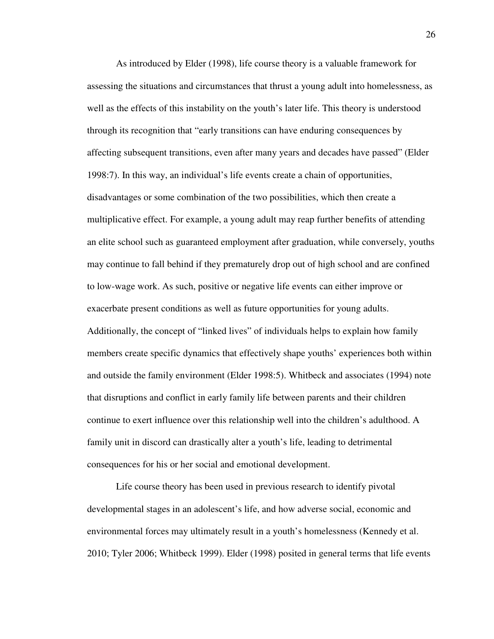As introduced by Elder (1998), life course theory is a valuable framework for assessing the situations and circumstances that thrust a young adult into homelessness, as well as the effects of this instability on the youth's later life. This theory is understood through its recognition that "early transitions can have enduring consequences by affecting subsequent transitions, even after many years and decades have passed" (Elder 1998:7). In this way, an individual's life events create a chain of opportunities, disadvantages or some combination of the two possibilities, which then create a multiplicative effect. For example, a young adult may reap further benefits of attending an elite school such as guaranteed employment after graduation, while conversely, youths may continue to fall behind if they prematurely drop out of high school and are confined to low-wage work. As such, positive or negative life events can either improve or exacerbate present conditions as well as future opportunities for young adults. Additionally, the concept of "linked lives" of individuals helps to explain how family members create specific dynamics that effectively shape youths' experiences both within and outside the family environment (Elder 1998:5). Whitbeck and associates (1994) note that disruptions and conflict in early family life between parents and their children continue to exert influence over this relationship well into the children's adulthood. A family unit in discord can drastically alter a youth's life, leading to detrimental consequences for his or her social and emotional development.

Life course theory has been used in previous research to identify pivotal developmental stages in an adolescent's life, and how adverse social, economic and environmental forces may ultimately result in a youth's homelessness (Kennedy et al. 2010; Tyler 2006; Whitbeck 1999). Elder (1998) posited in general terms that life events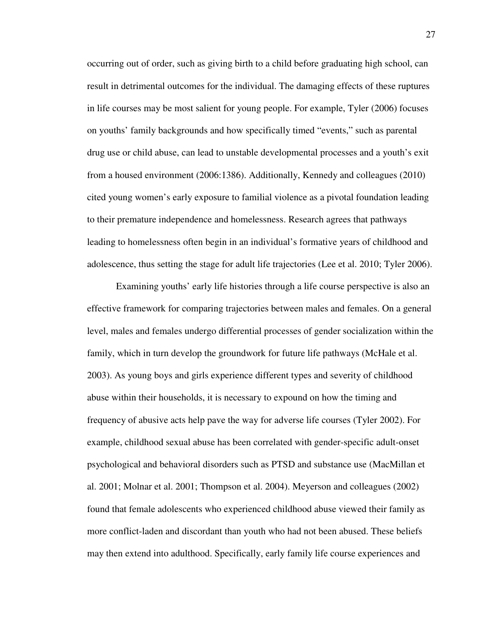occurring out of order, such as giving birth to a child before graduating high school, can result in detrimental outcomes for the individual. The damaging effects of these ruptures in life courses may be most salient for young people. For example, Tyler (2006) focuses on youths' family backgrounds and how specifically timed "events," such as parental drug use or child abuse, can lead to unstable developmental processes and a youth's exit from a housed environment (2006:1386). Additionally, Kennedy and colleagues (2010) cited young women's early exposure to familial violence as a pivotal foundation leading to their premature independence and homelessness. Research agrees that pathways leading to homelessness often begin in an individual's formative years of childhood and adolescence, thus setting the stage for adult life trajectories (Lee et al. 2010; Tyler 2006).

Examining youths' early life histories through a life course perspective is also an effective framework for comparing trajectories between males and females. On a general level, males and females undergo differential processes of gender socialization within the family, which in turn develop the groundwork for future life pathways (McHale et al. 2003). As young boys and girls experience different types and severity of childhood abuse within their households, it is necessary to expound on how the timing and frequency of abusive acts help pave the way for adverse life courses (Tyler 2002). For example, childhood sexual abuse has been correlated with gender-specific adult-onset psychological and behavioral disorders such as PTSD and substance use (MacMillan et al. 2001; Molnar et al. 2001; Thompson et al. 2004). Meyerson and colleagues (2002) found that female adolescents who experienced childhood abuse viewed their family as more conflict-laden and discordant than youth who had not been abused. These beliefs may then extend into adulthood. Specifically, early family life course experiences and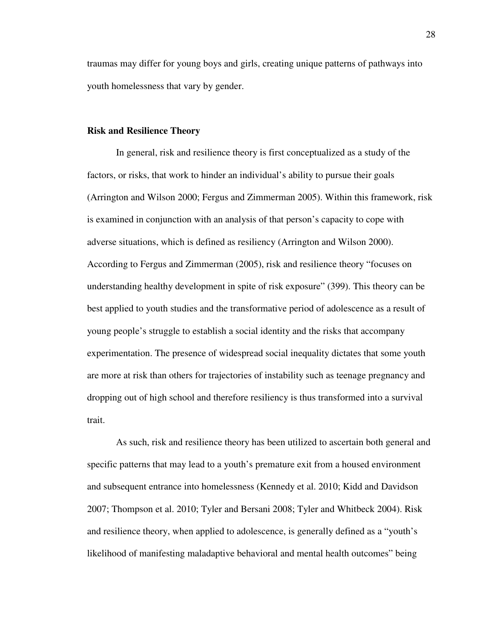traumas may differ for young boys and girls, creating unique patterns of pathways into youth homelessness that vary by gender.

#### **Risk and Resilience Theory**

In general, risk and resilience theory is first conceptualized as a study of the factors, or risks, that work to hinder an individual's ability to pursue their goals (Arrington and Wilson 2000; Fergus and Zimmerman 2005). Within this framework, risk is examined in conjunction with an analysis of that person's capacity to cope with adverse situations, which is defined as resiliency (Arrington and Wilson 2000). According to Fergus and Zimmerman (2005), risk and resilience theory "focuses on understanding healthy development in spite of risk exposure" (399). This theory can be best applied to youth studies and the transformative period of adolescence as a result of young people's struggle to establish a social identity and the risks that accompany experimentation. The presence of widespread social inequality dictates that some youth are more at risk than others for trajectories of instability such as teenage pregnancy and dropping out of high school and therefore resiliency is thus transformed into a survival trait.

As such, risk and resilience theory has been utilized to ascertain both general and specific patterns that may lead to a youth's premature exit from a housed environment and subsequent entrance into homelessness (Kennedy et al. 2010; Kidd and Davidson 2007; Thompson et al. 2010; Tyler and Bersani 2008; Tyler and Whitbeck 2004). Risk and resilience theory, when applied to adolescence, is generally defined as a "youth's likelihood of manifesting maladaptive behavioral and mental health outcomes" being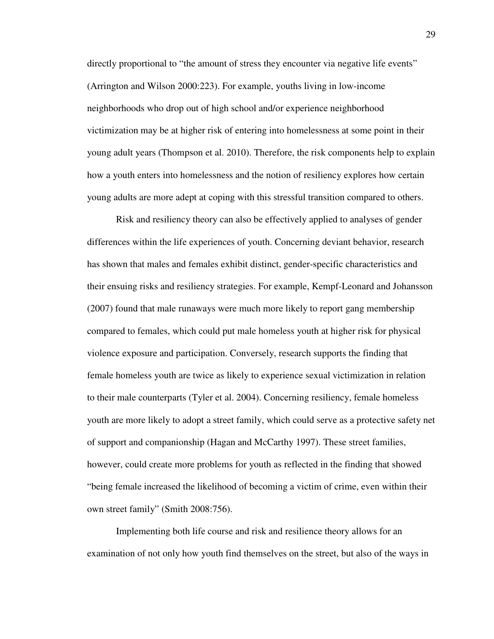directly proportional to "the amount of stress they encounter via negative life events" (Arrington and Wilson 2000:223). For example, youths living in low-income neighborhoods who drop out of high school and/or experience neighborhood victimization may be at higher risk of entering into homelessness at some point in their young adult years (Thompson et al. 2010). Therefore, the risk components help to explain how a youth enters into homelessness and the notion of resiliency explores how certain young adults are more adept at coping with this stressful transition compared to others.

Risk and resiliency theory can also be effectively applied to analyses of gender differences within the life experiences of youth. Concerning deviant behavior, research has shown that males and females exhibit distinct, gender-specific characteristics and their ensuing risks and resiliency strategies. For example, Kempf-Leonard and Johansson (2007) found that male runaways were much more likely to report gang membership compared to females, which could put male homeless youth at higher risk for physical violence exposure and participation. Conversely, research supports the finding that female homeless youth are twice as likely to experience sexual victimization in relation to their male counterparts (Tyler et al. 2004). Concerning resiliency, female homeless youth are more likely to adopt a street family, which could serve as a protective safety net of support and companionship (Hagan and McCarthy 1997). These street families, however, could create more problems for youth as reflected in the finding that showed "being female increased the likelihood of becoming a victim of crime, even within their own street family" (Smith 2008:756).

Implementing both life course and risk and resilience theory allows for an examination of not only how youth find themselves on the street, but also of the ways in

29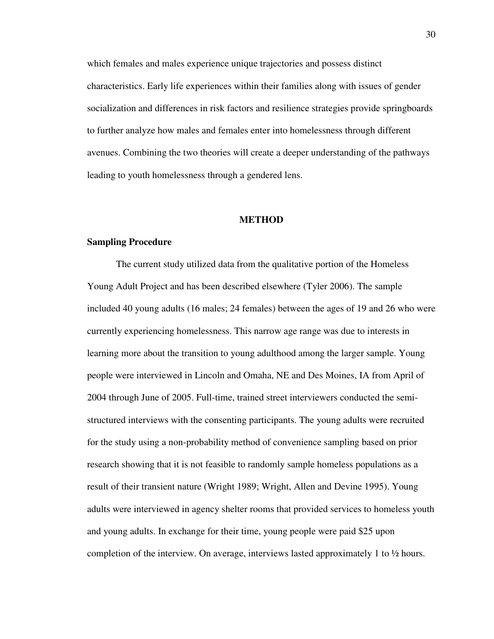which females and males experience unique trajectories and possess distinct characteristics. Early life experiences within their families along with issues of gender socialization and differences in risk factors and resilience strategies provide springboards to further analyze how males and females enter into homelessness through different avenues. Combining the two theories will create a deeper understanding of the pathways leading to youth homelessness through a gendered lens.

## **METHOD**

# **Sampling Procedure**

The current study utilized data from the qualitative portion of the Homeless Young Adult Project and has been described elsewhere (Tyler 2006). The sample included 40 young adults (16 males; 24 females) between the ages of 19 and 26 who were currently experiencing homelessness. This narrow age range was due to interests in learning more about the transition to young adulthood among the larger sample. Young people were interviewed in Lincoln and Omaha, NE and Des Moines, IA from April of 2004 through June of 2005. Full-time, trained street interviewers conducted the semistructured interviews with the consenting participants. The young adults were recruited for the study using a non-probability method of convenience sampling based on prior research showing that it is not feasible to randomly sample homeless populations as a result of their transient nature (Wright 1989; Wright, Allen and Devine 1995). Young adults were interviewed in agency shelter rooms that provided services to homeless youth and young adults. In exchange for their time, young people were paid \$25 upon completion of the interview. On average, interviews lasted approximately 1 to  $\frac{1}{2}$  hours.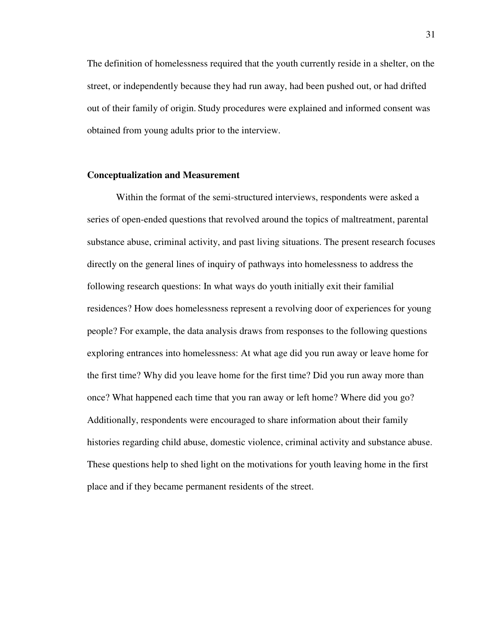The definition of homelessness required that the youth currently reside in a shelter, on the street, or independently because they had run away, had been pushed out, or had drifted out of their family of origin. Study procedures were explained and informed consent was obtained from young adults prior to the interview.

## **Conceptualization and Measurement**

 Within the format of the semi-structured interviews, respondents were asked a series of open-ended questions that revolved around the topics of maltreatment, parental substance abuse, criminal activity, and past living situations. The present research focuses directly on the general lines of inquiry of pathways into homelessness to address the following research questions: In what ways do youth initially exit their familial residences? How does homelessness represent a revolving door of experiences for young people? For example, the data analysis draws from responses to the following questions exploring entrances into homelessness: At what age did you run away or leave home for the first time? Why did you leave home for the first time? Did you run away more than once? What happened each time that you ran away or left home? Where did you go? Additionally, respondents were encouraged to share information about their family histories regarding child abuse, domestic violence, criminal activity and substance abuse. These questions help to shed light on the motivations for youth leaving home in the first place and if they became permanent residents of the street.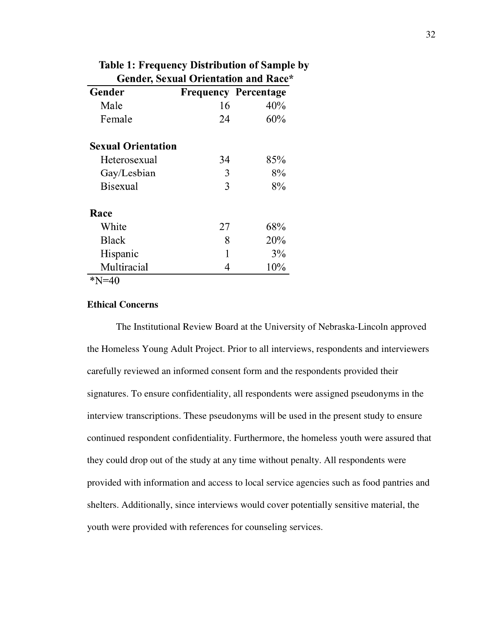| <b>Gender, Sexual Orientation and Race*</b> |    |                             |
|---------------------------------------------|----|-----------------------------|
| Gender                                      |    | <b>Frequency Percentage</b> |
| Male                                        | 16 | 40%                         |
| Female                                      | 24 | 60%                         |
| <b>Sexual Orientation</b>                   |    |                             |
| Heterosexual                                | 34 | 85%                         |
| Gay/Lesbian                                 | 3  | 8%                          |
| <b>Bisexual</b>                             | 3  | 8%                          |
| Race                                        |    |                             |
| White                                       | 27 | 68%                         |
| <b>Black</b>                                | 8  | 20%                         |
| Hispanic                                    | 1  | 3%                          |
| Multiracial                                 | 4  | 10%                         |

**Table 1: Frequency Distribution of Sample by** 

 $N=40$ 

# **Ethical Concerns**

The Institutional Review Board at the University of Nebraska-Lincoln approved the Homeless Young Adult Project. Prior to all interviews, respondents and interviewers carefully reviewed an informed consent form and the respondents provided their signatures. To ensure confidentiality, all respondents were assigned pseudonyms in the carefully reviewed an informed consent form and the respondents provided their<br>signatures. To ensure confidentiality, all respondents were assigned pseudonyms in the<br>interview transcriptions. These pseudonyms will be used continued respondent confidentiality. Furthermore, the homeless youth were assured that they could drop out of the study at any time without penalty. All respondents were provided with information and access to local service agencies such as food pantries and shelters. Additionally, since interviews would cover potentially sensitive material, the youth were provided with references for counseling services. tinued respondent confidentiality. Furthermore, the homeless youth<br>y could drop out of the study at any time without penalty. All respon<br>vided with information and access to local service agencies such as t<br>lters. Addition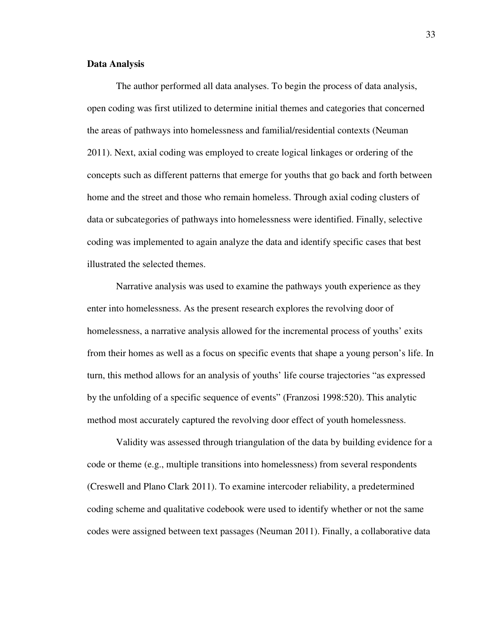### **Data Analysis**

The author performed all data analyses. To begin the process of data analysis, open coding was first utilized to determine initial themes and categories that concerned the areas of pathways into homelessness and familial/residential contexts (Neuman 2011). Next, axial coding was employed to create logical linkages or ordering of the concepts such as different patterns that emerge for youths that go back and forth between home and the street and those who remain homeless. Through axial coding clusters of data or subcategories of pathways into homelessness were identified. Finally, selective coding was implemented to again analyze the data and identify specific cases that best illustrated the selected themes.

 Narrative analysis was used to examine the pathways youth experience as they enter into homelessness. As the present research explores the revolving door of homelessness, a narrative analysis allowed for the incremental process of youths' exits from their homes as well as a focus on specific events that shape a young person's life. In turn, this method allows for an analysis of youths' life course trajectories "as expressed by the unfolding of a specific sequence of events" (Franzosi 1998:520). This analytic method most accurately captured the revolving door effect of youth homelessness.

 Validity was assessed through triangulation of the data by building evidence for a code or theme (e.g., multiple transitions into homelessness) from several respondents (Creswell and Plano Clark 2011). To examine intercoder reliability, a predetermined coding scheme and qualitative codebook were used to identify whether or not the same codes were assigned between text passages (Neuman 2011). Finally, a collaborative data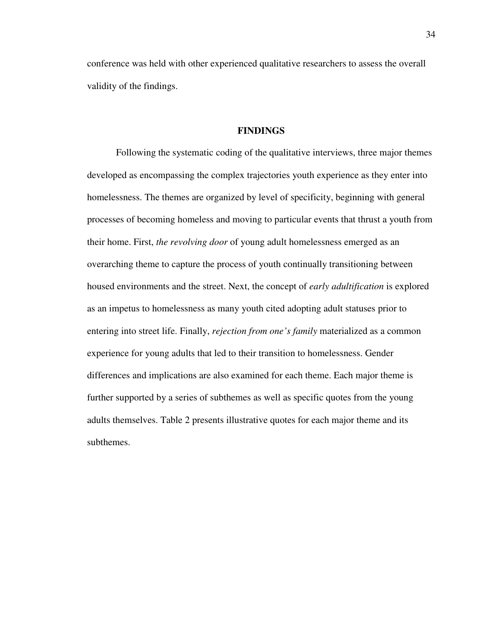conference was held with other experienced qualitative researchers to assess the overall validity of the findings.

### **FINDINGS**

 Following the systematic coding of the qualitative interviews, three major themes developed as encompassing the complex trajectories youth experience as they enter into homelessness. The themes are organized by level of specificity, beginning with general processes of becoming homeless and moving to particular events that thrust a youth from their home. First, *the revolving door* of young adult homelessness emerged as an overarching theme to capture the process of youth continually transitioning between housed environments and the street. Next, the concept of *early adultification* is explored as an impetus to homelessness as many youth cited adopting adult statuses prior to entering into street life. Finally, *rejection from one's family* materialized as a common experience for young adults that led to their transition to homelessness. Gender differences and implications are also examined for each theme. Each major theme is further supported by a series of subthemes as well as specific quotes from the young adults themselves. Table 2 presents illustrative quotes for each major theme and its subthemes.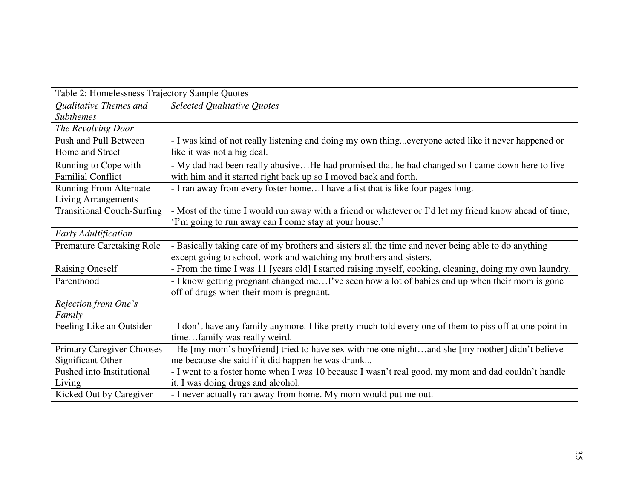| Table 2: Homelessness Trajectory Sample Quotes |                                                                                                          |  |
|------------------------------------------------|----------------------------------------------------------------------------------------------------------|--|
| Qualitative Themes and                         | Selected Qualitative Quotes                                                                              |  |
| <b>Subthemes</b>                               |                                                                                                          |  |
| The Revolving Door                             |                                                                                                          |  |
| Push and Pull Between                          | - I was kind of not really listening and doing my own thingeveryone acted like it never happened or      |  |
| Home and Street                                | like it was not a big deal.                                                                              |  |
| Running to Cope with                           | - My dad had been really abusiveHe had promised that he had changed so I came down here to live          |  |
| <b>Familial Conflict</b>                       | with him and it started right back up so I moved back and forth.                                         |  |
| <b>Running From Alternate</b>                  | - I ran away from every foster homeI have a list that is like four pages long.                           |  |
| <b>Living Arrangements</b>                     |                                                                                                          |  |
| <b>Transitional Couch-Surfing</b>              | - Most of the time I would run away with a friend or whatever or I'd let my friend know ahead of time,   |  |
|                                                | 'I'm going to run away can I come stay at your house.'                                                   |  |
| Early Adultification                           |                                                                                                          |  |
| <b>Premature Caretaking Role</b>               | - Basically taking care of my brothers and sisters all the time and never being able to do anything      |  |
|                                                | except going to school, work and watching my brothers and sisters.                                       |  |
| <b>Raising Oneself</b>                         | - From the time I was 11 [years old] I started raising myself, cooking, cleaning, doing my own laundry.  |  |
| Parenthood                                     | - I know getting pregnant changed meI've seen how a lot of babies end up when their mom is gone          |  |
|                                                | off of drugs when their mom is pregnant.                                                                 |  |
| Rejection from One's                           |                                                                                                          |  |
| Family                                         |                                                                                                          |  |
| Feeling Like an Outsider                       | - I don't have any family anymore. I like pretty much told every one of them to piss off at one point in |  |
|                                                | timefamily was really weird.                                                                             |  |
| <b>Primary Caregiver Chooses</b>               | - He [my mom's boyfriend] tried to have sex with me one nightand she [my mother] didn't believe          |  |
| <b>Significant Other</b>                       | me because she said if it did happen he was drunk                                                        |  |
| Pushed into Institutional                      | - I went to a foster home when I was 10 because I wasn't real good, my mom and dad couldn't handle       |  |
| Living                                         | it. I was doing drugs and alcohol.                                                                       |  |
| Kicked Out by Caregiver                        | - I never actually ran away from home. My mom would put me out.                                          |  |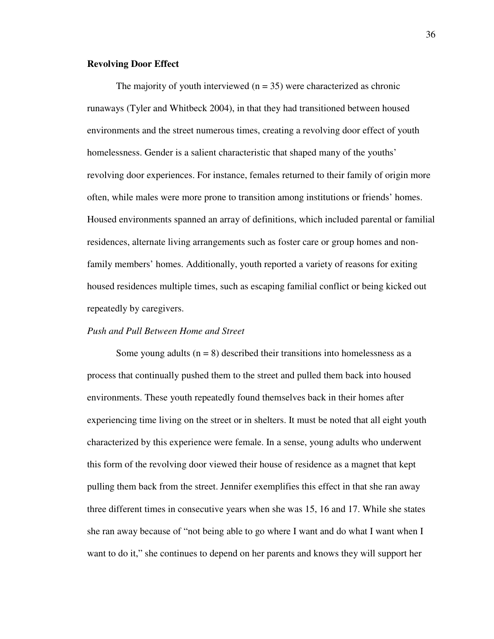#### **Revolving Door Effect**

The majority of youth interviewed  $(n = 35)$  were characterized as chronic runaways (Tyler and Whitbeck 2004), in that they had transitioned between housed environments and the street numerous times, creating a revolving door effect of youth homelessness. Gender is a salient characteristic that shaped many of the youths' revolving door experiences. For instance, females returned to their family of origin more often, while males were more prone to transition among institutions or friends' homes. Housed environments spanned an array of definitions, which included parental or familial residences, alternate living arrangements such as foster care or group homes and nonfamily members' homes. Additionally, youth reported a variety of reasons for exiting housed residences multiple times, such as escaping familial conflict or being kicked out repeatedly by caregivers.

## *Push and Pull Between Home and Street*

Some young adults  $(n = 8)$  described their transitions into homelessness as a process that continually pushed them to the street and pulled them back into housed environments. These youth repeatedly found themselves back in their homes after experiencing time living on the street or in shelters. It must be noted that all eight youth characterized by this experience were female. In a sense, young adults who underwent this form of the revolving door viewed their house of residence as a magnet that kept pulling them back from the street. Jennifer exemplifies this effect in that she ran away three different times in consecutive years when she was 15, 16 and 17. While she states she ran away because of "not being able to go where I want and do what I want when I want to do it," she continues to depend on her parents and knows they will support her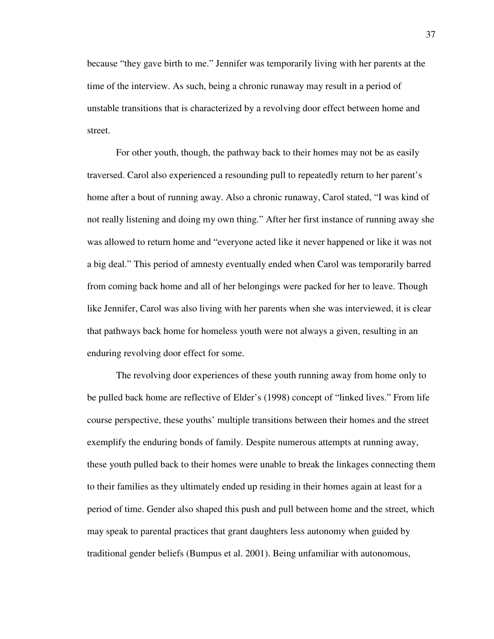because "they gave birth to me." Jennifer was temporarily living with her parents at the time of the interview. As such, being a chronic runaway may result in a period of unstable transitions that is characterized by a revolving door effect between home and street.

 For other youth, though, the pathway back to their homes may not be as easily traversed. Carol also experienced a resounding pull to repeatedly return to her parent's home after a bout of running away. Also a chronic runaway, Carol stated, "I was kind of not really listening and doing my own thing." After her first instance of running away she was allowed to return home and "everyone acted like it never happened or like it was not a big deal." This period of amnesty eventually ended when Carol was temporarily barred from coming back home and all of her belongings were packed for her to leave. Though like Jennifer, Carol was also living with her parents when she was interviewed, it is clear that pathways back home for homeless youth were not always a given, resulting in an enduring revolving door effect for some.

 The revolving door experiences of these youth running away from home only to be pulled back home are reflective of Elder's (1998) concept of "linked lives." From life course perspective, these youths' multiple transitions between their homes and the street exemplify the enduring bonds of family. Despite numerous attempts at running away, these youth pulled back to their homes were unable to break the linkages connecting them to their families as they ultimately ended up residing in their homes again at least for a period of time. Gender also shaped this push and pull between home and the street, which may speak to parental practices that grant daughters less autonomy when guided by traditional gender beliefs (Bumpus et al. 2001). Being unfamiliar with autonomous,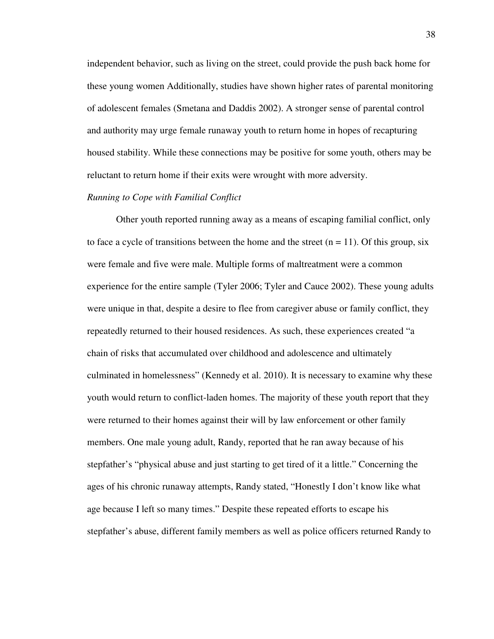independent behavior, such as living on the street, could provide the push back home for these young women Additionally, studies have shown higher rates of parental monitoring of adolescent females (Smetana and Daddis 2002). A stronger sense of parental control and authority may urge female runaway youth to return home in hopes of recapturing housed stability. While these connections may be positive for some youth, others may be reluctant to return home if their exits were wrought with more adversity.

### *Running to Cope with Familial Conflict*

Other youth reported running away as a means of escaping familial conflict, only to face a cycle of transitions between the home and the street  $(n = 11)$ . Of this group, six were female and five were male. Multiple forms of maltreatment were a common experience for the entire sample (Tyler 2006; Tyler and Cauce 2002). These young adults were unique in that, despite a desire to flee from caregiver abuse or family conflict, they repeatedly returned to their housed residences. As such, these experiences created "a chain of risks that accumulated over childhood and adolescence and ultimately culminated in homelessness" (Kennedy et al. 2010). It is necessary to examine why these youth would return to conflict-laden homes. The majority of these youth report that they were returned to their homes against their will by law enforcement or other family members. One male young adult, Randy, reported that he ran away because of his stepfather's "physical abuse and just starting to get tired of it a little." Concerning the ages of his chronic runaway attempts, Randy stated, "Honestly I don't know like what age because I left so many times." Despite these repeated efforts to escape his stepfather's abuse, different family members as well as police officers returned Randy to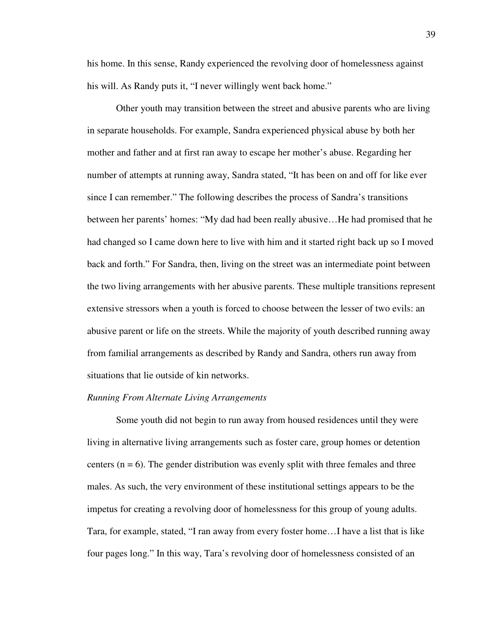his home. In this sense, Randy experienced the revolving door of homelessness against his will. As Randy puts it, "I never willingly went back home."

 Other youth may transition between the street and abusive parents who are living in separate households. For example, Sandra experienced physical abuse by both her mother and father and at first ran away to escape her mother's abuse. Regarding her number of attempts at running away, Sandra stated, "It has been on and off for like ever since I can remember." The following describes the process of Sandra's transitions between her parents' homes: "My dad had been really abusive…He had promised that he had changed so I came down here to live with him and it started right back up so I moved back and forth." For Sandra, then, living on the street was an intermediate point between the two living arrangements with her abusive parents. These multiple transitions represent extensive stressors when a youth is forced to choose between the lesser of two evils: an abusive parent or life on the streets. While the majority of youth described running away from familial arrangements as described by Randy and Sandra, others run away from situations that lie outside of kin networks.

#### *Running From Alternate Living Arrangements*

 Some youth did not begin to run away from housed residences until they were living in alternative living arrangements such as foster care, group homes or detention centers  $(n = 6)$ . The gender distribution was evenly split with three females and three males. As such, the very environment of these institutional settings appears to be the impetus for creating a revolving door of homelessness for this group of young adults. Tara, for example, stated, "I ran away from every foster home…I have a list that is like four pages long." In this way, Tara's revolving door of homelessness consisted of an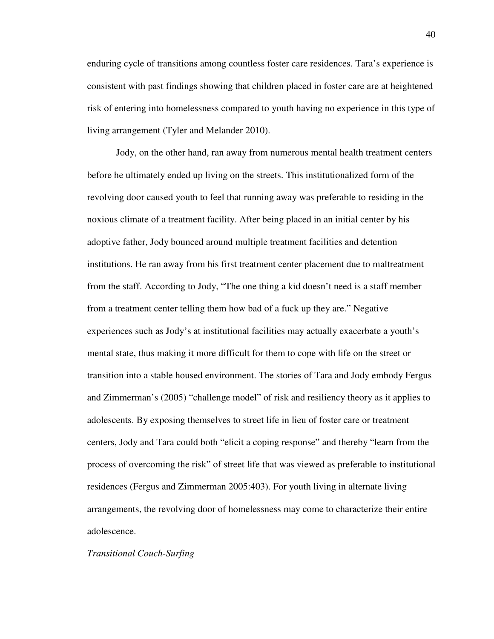enduring cycle of transitions among countless foster care residences. Tara's experience is consistent with past findings showing that children placed in foster care are at heightened risk of entering into homelessness compared to youth having no experience in this type of living arrangement (Tyler and Melander 2010).

 Jody, on the other hand, ran away from numerous mental health treatment centers before he ultimately ended up living on the streets. This institutionalized form of the revolving door caused youth to feel that running away was preferable to residing in the noxious climate of a treatment facility. After being placed in an initial center by his adoptive father, Jody bounced around multiple treatment facilities and detention institutions. He ran away from his first treatment center placement due to maltreatment from the staff. According to Jody, "The one thing a kid doesn't need is a staff member from a treatment center telling them how bad of a fuck up they are." Negative experiences such as Jody's at institutional facilities may actually exacerbate a youth's mental state, thus making it more difficult for them to cope with life on the street or transition into a stable housed environment. The stories of Tara and Jody embody Fergus and Zimmerman's (2005) "challenge model" of risk and resiliency theory as it applies to adolescents. By exposing themselves to street life in lieu of foster care or treatment centers, Jody and Tara could both "elicit a coping response" and thereby "learn from the process of overcoming the risk" of street life that was viewed as preferable to institutional residences (Fergus and Zimmerman 2005:403). For youth living in alternate living arrangements, the revolving door of homelessness may come to characterize their entire adolescence.

### *Transitional Couch-Surfing*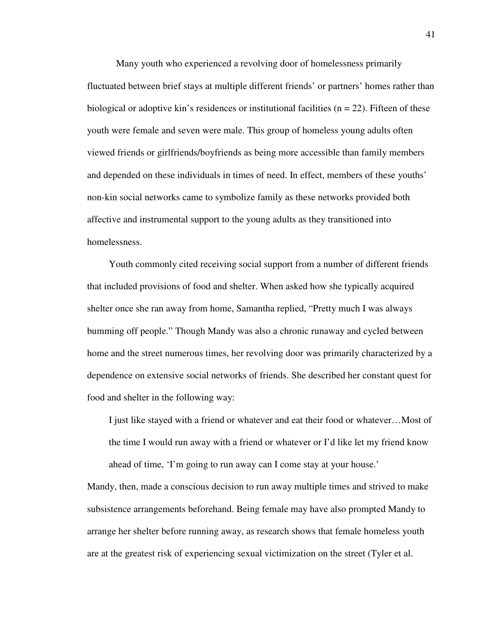Many youth who experienced a revolving door of homelessness primarily fluctuated between brief stays at multiple different friends' or partners' homes rather than biological or adoptive kin's residences or institutional facilities ( $n = 22$ ). Fifteen of these youth were female and seven were male. This group of homeless young adults often viewed friends or girlfriends/boyfriends as being more accessible than family members and depended on these individuals in times of need. In effect, members of these youths' non-kin social networks came to symbolize family as these networks provided both affective and instrumental support to the young adults as they transitioned into homelessness.

Youth commonly cited receiving social support from a number of different friends that included provisions of food and shelter. When asked how she typically acquired shelter once she ran away from home, Samantha replied, "Pretty much I was always bumming off people." Though Mandy was also a chronic runaway and cycled between home and the street numerous times, her revolving door was primarily characterized by a dependence on extensive social networks of friends. She described her constant quest for food and shelter in the following way:

 I just like stayed with a friend or whatever and eat their food or whatever…Most of the time I would run away with a friend or whatever or I'd like let my friend know ahead of time, 'I'm going to run away can I come stay at your house.'

Mandy, then, made a conscious decision to run away multiple times and strived to make subsistence arrangements beforehand. Being female may have also prompted Mandy to arrange her shelter before running away, as research shows that female homeless youth are at the greatest risk of experiencing sexual victimization on the street (Tyler et al.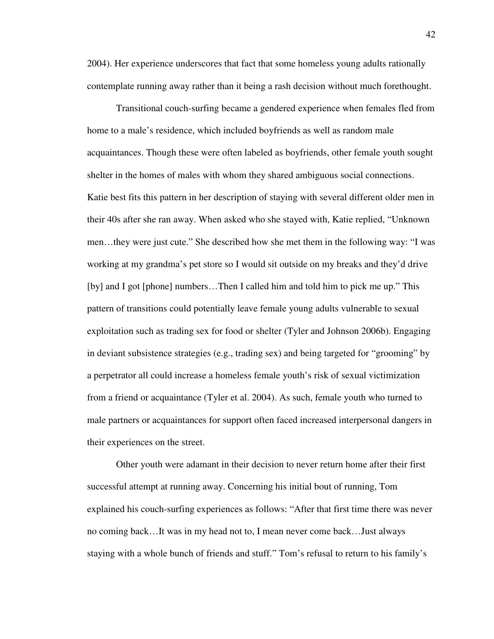2004). Her experience underscores that fact that some homeless young adults rationally contemplate running away rather than it being a rash decision without much forethought.

 Transitional couch-surfing became a gendered experience when females fled from home to a male's residence, which included boyfriends as well as random male acquaintances. Though these were often labeled as boyfriends, other female youth sought shelter in the homes of males with whom they shared ambiguous social connections. Katie best fits this pattern in her description of staying with several different older men in their 40s after she ran away. When asked who she stayed with, Katie replied, "Unknown men…they were just cute." She described how she met them in the following way: "I was working at my grandma's pet store so I would sit outside on my breaks and they'd drive [by] and I got [phone] numbers…Then I called him and told him to pick me up." This pattern of transitions could potentially leave female young adults vulnerable to sexual exploitation such as trading sex for food or shelter (Tyler and Johnson 2006b). Engaging in deviant subsistence strategies (e.g., trading sex) and being targeted for "grooming" by a perpetrator all could increase a homeless female youth's risk of sexual victimization from a friend or acquaintance (Tyler et al. 2004). As such, female youth who turned to male partners or acquaintances for support often faced increased interpersonal dangers in their experiences on the street.

 Other youth were adamant in their decision to never return home after their first successful attempt at running away. Concerning his initial bout of running, Tom explained his couch-surfing experiences as follows: "After that first time there was never no coming back…It was in my head not to, I mean never come back…Just always staying with a whole bunch of friends and stuff." Tom's refusal to return to his family's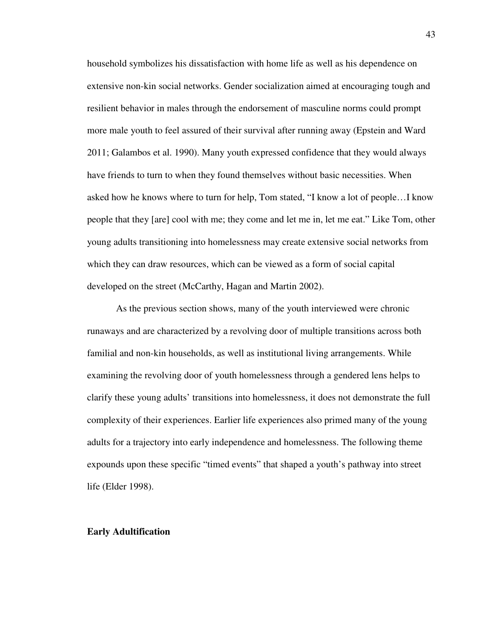household symbolizes his dissatisfaction with home life as well as his dependence on extensive non-kin social networks. Gender socialization aimed at encouraging tough and resilient behavior in males through the endorsement of masculine norms could prompt more male youth to feel assured of their survival after running away (Epstein and Ward 2011; Galambos et al. 1990). Many youth expressed confidence that they would always have friends to turn to when they found themselves without basic necessities. When asked how he knows where to turn for help, Tom stated, "I know a lot of people…I know people that they [are] cool with me; they come and let me in, let me eat." Like Tom, other young adults transitioning into homelessness may create extensive social networks from which they can draw resources, which can be viewed as a form of social capital developed on the street (McCarthy, Hagan and Martin 2002).

 As the previous section shows, many of the youth interviewed were chronic runaways and are characterized by a revolving door of multiple transitions across both familial and non-kin households, as well as institutional living arrangements. While examining the revolving door of youth homelessness through a gendered lens helps to clarify these young adults' transitions into homelessness, it does not demonstrate the full complexity of their experiences. Earlier life experiences also primed many of the young adults for a trajectory into early independence and homelessness. The following theme expounds upon these specific "timed events" that shaped a youth's pathway into street life (Elder 1998).

### **Early Adultification**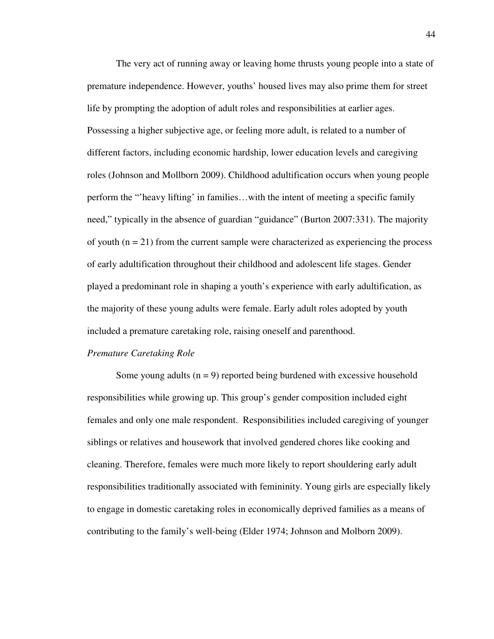The very act of running away or leaving home thrusts young people into a state of premature independence. However, youths' housed lives may also prime them for street life by prompting the adoption of adult roles and responsibilities at earlier ages. Possessing a higher subjective age, or feeling more adult, is related to a number of different factors, including economic hardship, lower education levels and caregiving roles (Johnson and Mollborn 2009). Childhood adultification occurs when young people perform the "'heavy lifting' in families…with the intent of meeting a specific family need," typically in the absence of guardian "guidance" (Burton 2007:331). The majority of youth  $(n = 21)$  from the current sample were characterized as experiencing the process of early adultification throughout their childhood and adolescent life stages. Gender played a predominant role in shaping a youth's experience with early adultification, as the majority of these young adults were female. Early adult roles adopted by youth included a premature caretaking role, raising oneself and parenthood.

### *Premature Caretaking Role*

Some young adults  $(n = 9)$  reported being burdened with excessive household responsibilities while growing up. This group's gender composition included eight females and only one male respondent. Responsibilities included caregiving of younger siblings or relatives and housework that involved gendered chores like cooking and cleaning. Therefore, females were much more likely to report shouldering early adult responsibilities traditionally associated with femininity. Young girls are especially likely to engage in domestic caretaking roles in economically deprived families as a means of contributing to the family's well-being (Elder 1974; Johnson and Molborn 2009).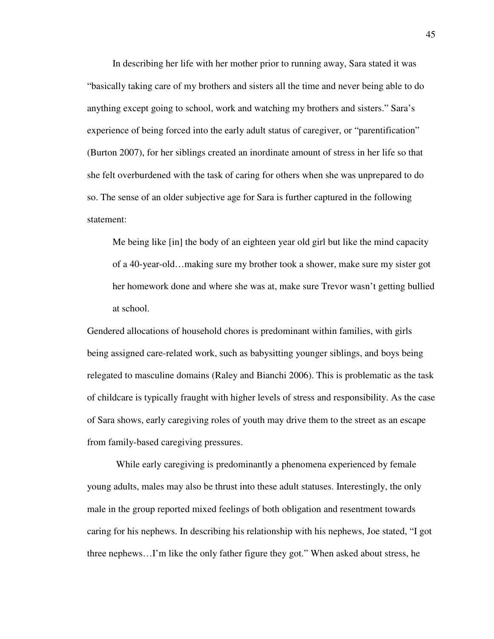In describing her life with her mother prior to running away, Sara stated it was "basically taking care of my brothers and sisters all the time and never being able to do anything except going to school, work and watching my brothers and sisters." Sara's experience of being forced into the early adult status of caregiver, or "parentification" (Burton 2007), for her siblings created an inordinate amount of stress in her life so that she felt overburdened with the task of caring for others when she was unprepared to do so. The sense of an older subjective age for Sara is further captured in the following statement:

Me being like [in] the body of an eighteen year old girl but like the mind capacity of a 40-year-old…making sure my brother took a shower, make sure my sister got her homework done and where she was at, make sure Trevor wasn't getting bullied at school.

Gendered allocations of household chores is predominant within families, with girls being assigned care-related work, such as babysitting younger siblings, and boys being relegated to masculine domains (Raley and Bianchi 2006). This is problematic as the task of childcare is typically fraught with higher levels of stress and responsibility. As the case of Sara shows, early caregiving roles of youth may drive them to the street as an escape from family-based caregiving pressures.

 While early caregiving is predominantly a phenomena experienced by female young adults, males may also be thrust into these adult statuses. Interestingly, the only male in the group reported mixed feelings of both obligation and resentment towards caring for his nephews. In describing his relationship with his nephews, Joe stated, "I got three nephews…I'm like the only father figure they got." When asked about stress, he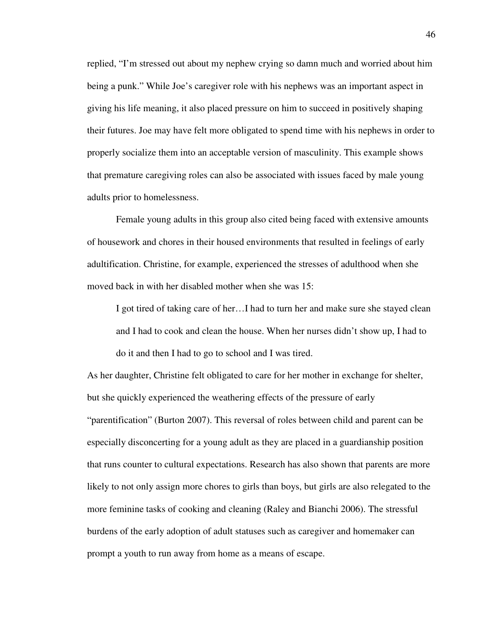replied, "I'm stressed out about my nephew crying so damn much and worried about him being a punk." While Joe's caregiver role with his nephews was an important aspect in giving his life meaning, it also placed pressure on him to succeed in positively shaping their futures. Joe may have felt more obligated to spend time with his nephews in order to properly socialize them into an acceptable version of masculinity. This example shows that premature caregiving roles can also be associated with issues faced by male young adults prior to homelessness.

 Female young adults in this group also cited being faced with extensive amounts of housework and chores in their housed environments that resulted in feelings of early adultification. Christine, for example, experienced the stresses of adulthood when she moved back in with her disabled mother when she was 15:

I got tired of taking care of her…I had to turn her and make sure she stayed clean and I had to cook and clean the house. When her nurses didn't show up, I had to do it and then I had to go to school and I was tired.

As her daughter, Christine felt obligated to care for her mother in exchange for shelter, but she quickly experienced the weathering effects of the pressure of early "parentification" (Burton 2007). This reversal of roles between child and parent can be especially disconcerting for a young adult as they are placed in a guardianship position that runs counter to cultural expectations. Research has also shown that parents are more likely to not only assign more chores to girls than boys, but girls are also relegated to the more feminine tasks of cooking and cleaning (Raley and Bianchi 2006). The stressful burdens of the early adoption of adult statuses such as caregiver and homemaker can prompt a youth to run away from home as a means of escape.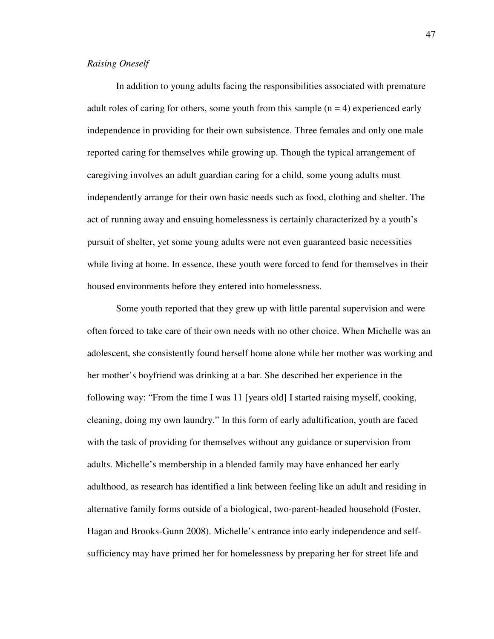## *Raising Oneself*

 In addition to young adults facing the responsibilities associated with premature adult roles of caring for others, some youth from this sample  $(n = 4)$  experienced early independence in providing for their own subsistence. Three females and only one male reported caring for themselves while growing up. Though the typical arrangement of caregiving involves an adult guardian caring for a child, some young adults must independently arrange for their own basic needs such as food, clothing and shelter. The act of running away and ensuing homelessness is certainly characterized by a youth's pursuit of shelter, yet some young adults were not even guaranteed basic necessities while living at home. In essence, these youth were forced to fend for themselves in their housed environments before they entered into homelessness.

Some youth reported that they grew up with little parental supervision and were often forced to take care of their own needs with no other choice. When Michelle was an adolescent, she consistently found herself home alone while her mother was working and her mother's boyfriend was drinking at a bar. She described her experience in the following way: "From the time I was 11 [years old] I started raising myself, cooking, cleaning, doing my own laundry." In this form of early adultification, youth are faced with the task of providing for themselves without any guidance or supervision from adults. Michelle's membership in a blended family may have enhanced her early adulthood, as research has identified a link between feeling like an adult and residing in alternative family forms outside of a biological, two-parent-headed household (Foster, Hagan and Brooks-Gunn 2008). Michelle's entrance into early independence and selfsufficiency may have primed her for homelessness by preparing her for street life and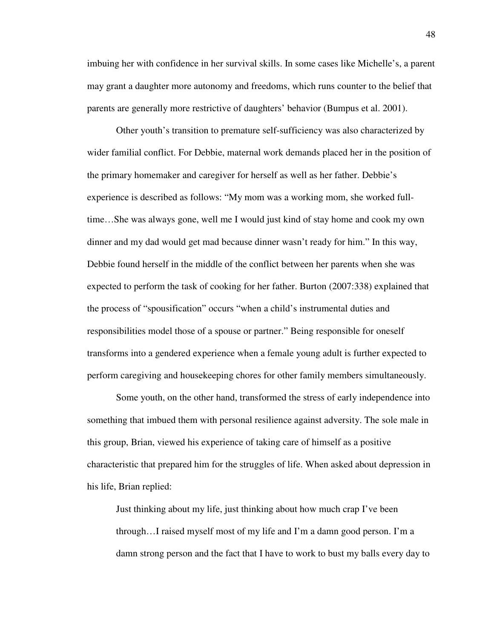imbuing her with confidence in her survival skills. In some cases like Michelle's, a parent may grant a daughter more autonomy and freedoms, which runs counter to the belief that parents are generally more restrictive of daughters' behavior (Bumpus et al. 2001).

 Other youth's transition to premature self-sufficiency was also characterized by wider familial conflict. For Debbie, maternal work demands placed her in the position of the primary homemaker and caregiver for herself as well as her father. Debbie's experience is described as follows: "My mom was a working mom, she worked fulltime…She was always gone, well me I would just kind of stay home and cook my own dinner and my dad would get mad because dinner wasn't ready for him." In this way, Debbie found herself in the middle of the conflict between her parents when she was expected to perform the task of cooking for her father. Burton (2007:338) explained that the process of "spousification" occurs "when a child's instrumental duties and responsibilities model those of a spouse or partner." Being responsible for oneself transforms into a gendered experience when a female young adult is further expected to perform caregiving and housekeeping chores for other family members simultaneously.

Some youth, on the other hand, transformed the stress of early independence into something that imbued them with personal resilience against adversity. The sole male in this group, Brian, viewed his experience of taking care of himself as a positive characteristic that prepared him for the struggles of life. When asked about depression in his life, Brian replied:

Just thinking about my life, just thinking about how much crap I've been through…I raised myself most of my life and I'm a damn good person. I'm a damn strong person and the fact that I have to work to bust my balls every day to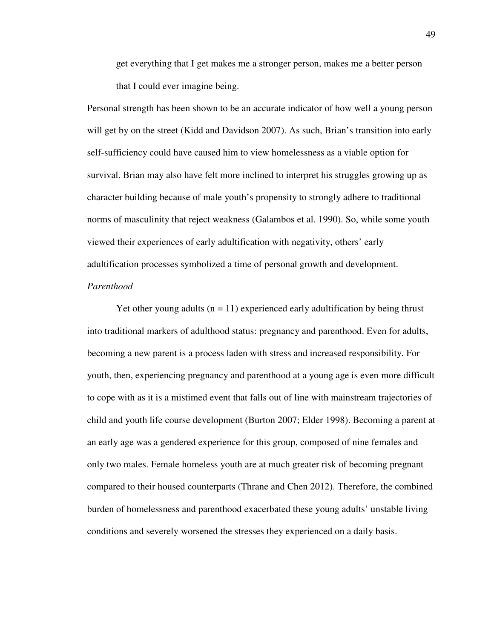get everything that I get makes me a stronger person, makes me a better person that I could ever imagine being.

Personal strength has been shown to be an accurate indicator of how well a young person will get by on the street (Kidd and Davidson 2007). As such, Brian's transition into early self-sufficiency could have caused him to view homelessness as a viable option for survival. Brian may also have felt more inclined to interpret his struggles growing up as character building because of male youth's propensity to strongly adhere to traditional norms of masculinity that reject weakness (Galambos et al. 1990). So, while some youth viewed their experiences of early adultification with negativity, others' early adultification processes symbolized a time of personal growth and development. *Parenthood* 

Yet other young adults ( $n = 11$ ) experienced early adultification by being thrust into traditional markers of adulthood status: pregnancy and parenthood. Even for adults, becoming a new parent is a process laden with stress and increased responsibility. For youth, then, experiencing pregnancy and parenthood at a young age is even more difficult to cope with as it is a mistimed event that falls out of line with mainstream trajectories of child and youth life course development (Burton 2007; Elder 1998). Becoming a parent at an early age was a gendered experience for this group, composed of nine females and only two males. Female homeless youth are at much greater risk of becoming pregnant compared to their housed counterparts (Thrane and Chen 2012). Therefore, the combined burden of homelessness and parenthood exacerbated these young adults' unstable living conditions and severely worsened the stresses they experienced on a daily basis.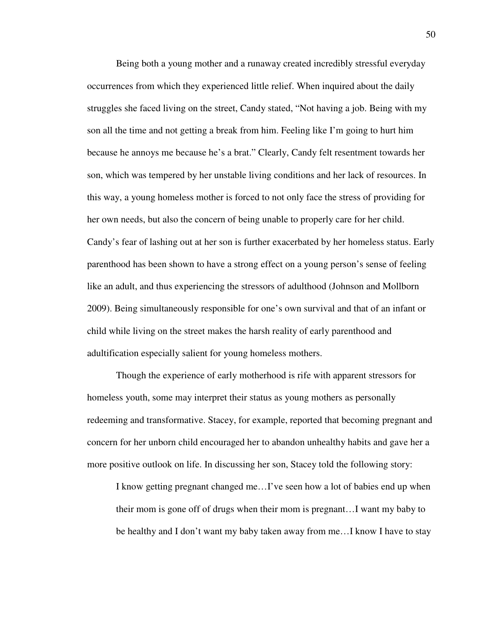Being both a young mother and a runaway created incredibly stressful everyday occurrences from which they experienced little relief. When inquired about the daily struggles she faced living on the street, Candy stated, "Not having a job. Being with my son all the time and not getting a break from him. Feeling like I'm going to hurt him because he annoys me because he's a brat." Clearly, Candy felt resentment towards her son, which was tempered by her unstable living conditions and her lack of resources. In this way, a young homeless mother is forced to not only face the stress of providing for her own needs, but also the concern of being unable to properly care for her child. Candy's fear of lashing out at her son is further exacerbated by her homeless status. Early parenthood has been shown to have a strong effect on a young person's sense of feeling like an adult, and thus experiencing the stressors of adulthood (Johnson and Mollborn 2009). Being simultaneously responsible for one's own survival and that of an infant or child while living on the street makes the harsh reality of early parenthood and adultification especially salient for young homeless mothers.

 Though the experience of early motherhood is rife with apparent stressors for homeless youth, some may interpret their status as young mothers as personally redeeming and transformative. Stacey, for example, reported that becoming pregnant and concern for her unborn child encouraged her to abandon unhealthy habits and gave her a more positive outlook on life. In discussing her son, Stacey told the following story:

I know getting pregnant changed me…I've seen how a lot of babies end up when their mom is gone off of drugs when their mom is pregnant…I want my baby to be healthy and I don't want my baby taken away from me…I know I have to stay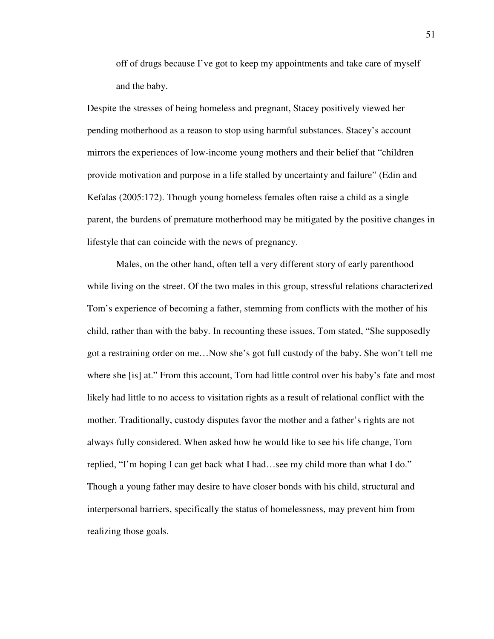off of drugs because I've got to keep my appointments and take care of myself and the baby.

Despite the stresses of being homeless and pregnant, Stacey positively viewed her pending motherhood as a reason to stop using harmful substances. Stacey's account mirrors the experiences of low-income young mothers and their belief that "children provide motivation and purpose in a life stalled by uncertainty and failure" (Edin and Kefalas (2005:172). Though young homeless females often raise a child as a single parent, the burdens of premature motherhood may be mitigated by the positive changes in lifestyle that can coincide with the news of pregnancy.

 Males, on the other hand, often tell a very different story of early parenthood while living on the street. Of the two males in this group, stressful relations characterized Tom's experience of becoming a father, stemming from conflicts with the mother of his child, rather than with the baby. In recounting these issues, Tom stated, "She supposedly got a restraining order on me…Now she's got full custody of the baby. She won't tell me where she [is] at." From this account, Tom had little control over his baby's fate and most likely had little to no access to visitation rights as a result of relational conflict with the mother. Traditionally, custody disputes favor the mother and a father's rights are not always fully considered. When asked how he would like to see his life change, Tom replied, "I'm hoping I can get back what I had…see my child more than what I do." Though a young father may desire to have closer bonds with his child, structural and interpersonal barriers, specifically the status of homelessness, may prevent him from realizing those goals.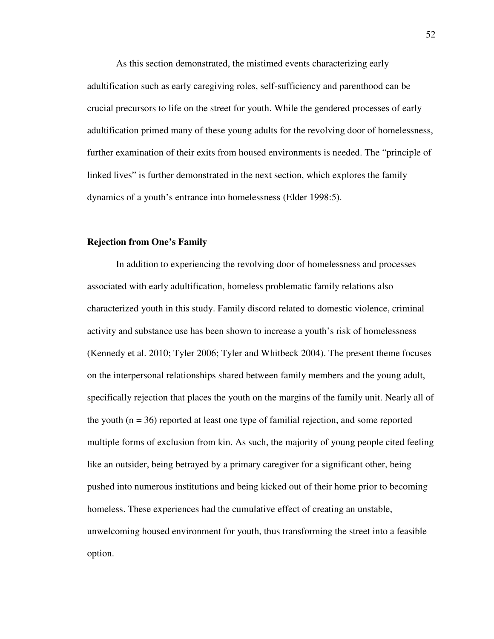As this section demonstrated, the mistimed events characterizing early adultification such as early caregiving roles, self-sufficiency and parenthood can be crucial precursors to life on the street for youth. While the gendered processes of early adultification primed many of these young adults for the revolving door of homelessness, further examination of their exits from housed environments is needed. The "principle of linked lives" is further demonstrated in the next section, which explores the family dynamics of a youth's entrance into homelessness (Elder 1998:5).

## **Rejection from One's Family**

 In addition to experiencing the revolving door of homelessness and processes associated with early adultification, homeless problematic family relations also characterized youth in this study. Family discord related to domestic violence, criminal activity and substance use has been shown to increase a youth's risk of homelessness (Kennedy et al. 2010; Tyler 2006; Tyler and Whitbeck 2004). The present theme focuses on the interpersonal relationships shared between family members and the young adult, specifically rejection that places the youth on the margins of the family unit. Nearly all of the youth  $(n = 36)$  reported at least one type of familial rejection, and some reported multiple forms of exclusion from kin. As such, the majority of young people cited feeling like an outsider, being betrayed by a primary caregiver for a significant other, being pushed into numerous institutions and being kicked out of their home prior to becoming homeless. These experiences had the cumulative effect of creating an unstable, unwelcoming housed environment for youth, thus transforming the street into a feasible option.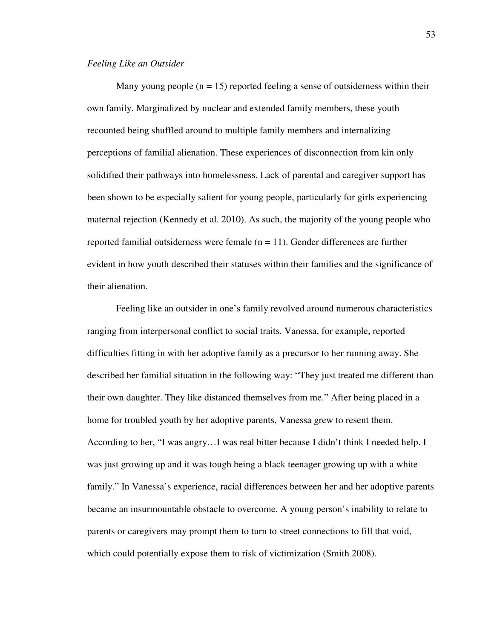### *Feeling Like an Outsider*

Many young people  $(n = 15)$  reported feeling a sense of outsiderness within their own family. Marginalized by nuclear and extended family members, these youth recounted being shuffled around to multiple family members and internalizing perceptions of familial alienation. These experiences of disconnection from kin only solidified their pathways into homelessness. Lack of parental and caregiver support has been shown to be especially salient for young people, particularly for girls experiencing maternal rejection (Kennedy et al. 2010). As such, the majority of the young people who reported familial outsiderness were female  $(n = 11)$ . Gender differences are further evident in how youth described their statuses within their families and the significance of their alienation.

Feeling like an outsider in one's family revolved around numerous characteristics ranging from interpersonal conflict to social traits. Vanessa, for example, reported difficulties fitting in with her adoptive family as a precursor to her running away. She described her familial situation in the following way: "They just treated me different than their own daughter. They like distanced themselves from me." After being placed in a home for troubled youth by her adoptive parents, Vanessa grew to resent them. According to her, "I was angry…I was real bitter because I didn't think I needed help. I was just growing up and it was tough being a black teenager growing up with a white family." In Vanessa's experience, racial differences between her and her adoptive parents became an insurmountable obstacle to overcome. A young person's inability to relate to parents or caregivers may prompt them to turn to street connections to fill that void, which could potentially expose them to risk of victimization (Smith 2008).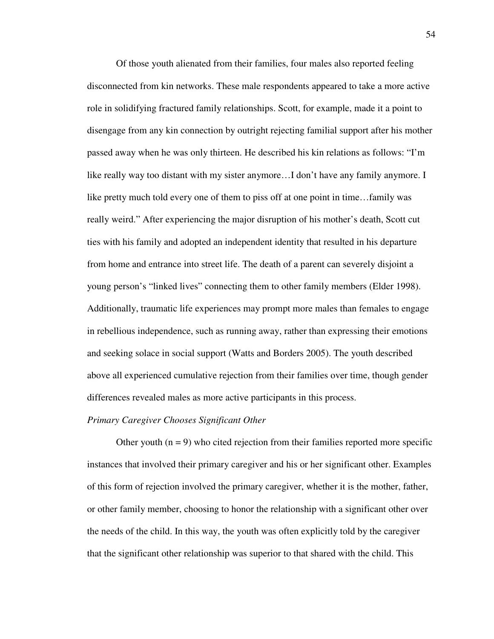Of those youth alienated from their families, four males also reported feeling disconnected from kin networks. These male respondents appeared to take a more active role in solidifying fractured family relationships. Scott, for example, made it a point to disengage from any kin connection by outright rejecting familial support after his mother passed away when he was only thirteen. He described his kin relations as follows: "I'm like really way too distant with my sister anymore…I don't have any family anymore. I like pretty much told every one of them to piss off at one point in time…family was really weird." After experiencing the major disruption of his mother's death, Scott cut ties with his family and adopted an independent identity that resulted in his departure from home and entrance into street life. The death of a parent can severely disjoint a young person's "linked lives" connecting them to other family members (Elder 1998). Additionally, traumatic life experiences may prompt more males than females to engage in rebellious independence, such as running away, rather than expressing their emotions and seeking solace in social support (Watts and Borders 2005). The youth described above all experienced cumulative rejection from their families over time, though gender differences revealed males as more active participants in this process.

#### *Primary Caregiver Chooses Significant Other*

Other youth  $(n = 9)$  who cited rejection from their families reported more specific instances that involved their primary caregiver and his or her significant other. Examples of this form of rejection involved the primary caregiver, whether it is the mother, father, or other family member, choosing to honor the relationship with a significant other over the needs of the child. In this way, the youth was often explicitly told by the caregiver that the significant other relationship was superior to that shared with the child. This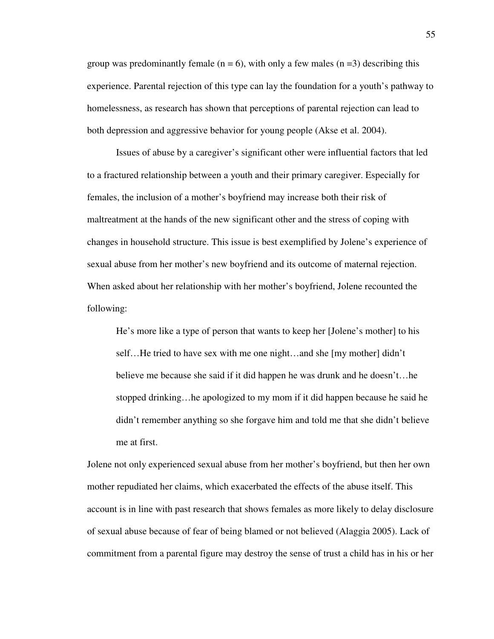group was predominantly female ( $n = 6$ ), with only a few males ( $n = 3$ ) describing this experience. Parental rejection of this type can lay the foundation for a youth's pathway to homelessness, as research has shown that perceptions of parental rejection can lead to both depression and aggressive behavior for young people (Akse et al. 2004).

Issues of abuse by a caregiver's significant other were influential factors that led to a fractured relationship between a youth and their primary caregiver. Especially for females, the inclusion of a mother's boyfriend may increase both their risk of maltreatment at the hands of the new significant other and the stress of coping with changes in household structure. This issue is best exemplified by Jolene's experience of sexual abuse from her mother's new boyfriend and its outcome of maternal rejection. When asked about her relationship with her mother's boyfriend, Jolene recounted the following:

He's more like a type of person that wants to keep her [Jolene's mother] to his self…He tried to have sex with me one night…and she [my mother] didn't believe me because she said if it did happen he was drunk and he doesn't…he stopped drinking…he apologized to my mom if it did happen because he said he didn't remember anything so she forgave him and told me that she didn't believe me at first.

Jolene not only experienced sexual abuse from her mother's boyfriend, but then her own mother repudiated her claims, which exacerbated the effects of the abuse itself. This account is in line with past research that shows females as more likely to delay disclosure of sexual abuse because of fear of being blamed or not believed (Alaggia 2005). Lack of commitment from a parental figure may destroy the sense of trust a child has in his or her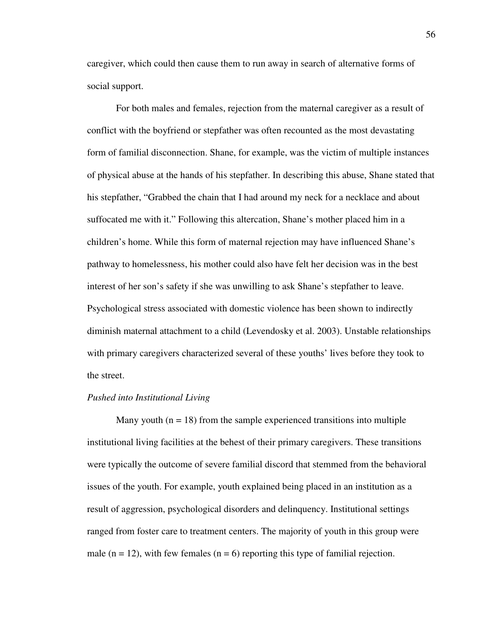caregiver, which could then cause them to run away in search of alternative forms of social support.

 For both males and females, rejection from the maternal caregiver as a result of conflict with the boyfriend or stepfather was often recounted as the most devastating form of familial disconnection. Shane, for example, was the victim of multiple instances of physical abuse at the hands of his stepfather. In describing this abuse, Shane stated that his stepfather, "Grabbed the chain that I had around my neck for a necklace and about suffocated me with it." Following this altercation, Shane's mother placed him in a children's home. While this form of maternal rejection may have influenced Shane's pathway to homelessness, his mother could also have felt her decision was in the best interest of her son's safety if she was unwilling to ask Shane's stepfather to leave. Psychological stress associated with domestic violence has been shown to indirectly diminish maternal attachment to a child (Levendosky et al. 2003). Unstable relationships with primary caregivers characterized several of these youths' lives before they took to the street.

### *Pushed into Institutional Living*

Many youth  $(n = 18)$  from the sample experienced transitions into multiple institutional living facilities at the behest of their primary caregivers. These transitions were typically the outcome of severe familial discord that stemmed from the behavioral issues of the youth. For example, youth explained being placed in an institution as a result of aggression, psychological disorders and delinquency. Institutional settings ranged from foster care to treatment centers. The majority of youth in this group were male ( $n = 12$ ), with few females ( $n = 6$ ) reporting this type of familial rejection.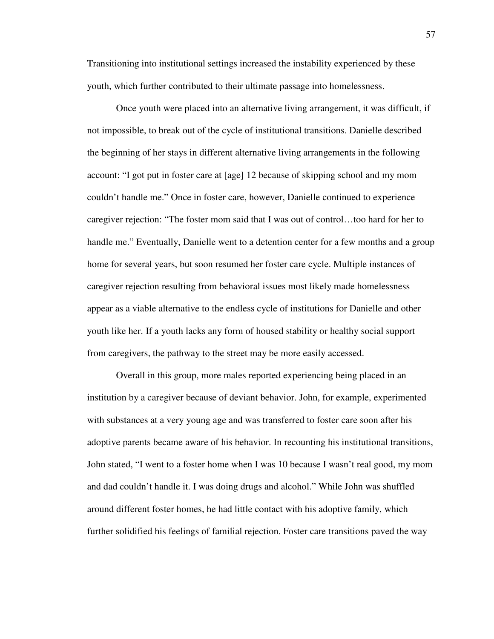Transitioning into institutional settings increased the instability experienced by these youth, which further contributed to their ultimate passage into homelessness.

 Once youth were placed into an alternative living arrangement, it was difficult, if not impossible, to break out of the cycle of institutional transitions. Danielle described the beginning of her stays in different alternative living arrangements in the following account: "I got put in foster care at [age] 12 because of skipping school and my mom couldn't handle me." Once in foster care, however, Danielle continued to experience caregiver rejection: "The foster mom said that I was out of control…too hard for her to handle me." Eventually, Danielle went to a detention center for a few months and a group home for several years, but soon resumed her foster care cycle. Multiple instances of caregiver rejection resulting from behavioral issues most likely made homelessness appear as a viable alternative to the endless cycle of institutions for Danielle and other youth like her. If a youth lacks any form of housed stability or healthy social support from caregivers, the pathway to the street may be more easily accessed.

 Overall in this group, more males reported experiencing being placed in an institution by a caregiver because of deviant behavior. John, for example, experimented with substances at a very young age and was transferred to foster care soon after his adoptive parents became aware of his behavior. In recounting his institutional transitions, John stated, "I went to a foster home when I was 10 because I wasn't real good, my mom and dad couldn't handle it. I was doing drugs and alcohol." While John was shuffled around different foster homes, he had little contact with his adoptive family, which further solidified his feelings of familial rejection. Foster care transitions paved the way

57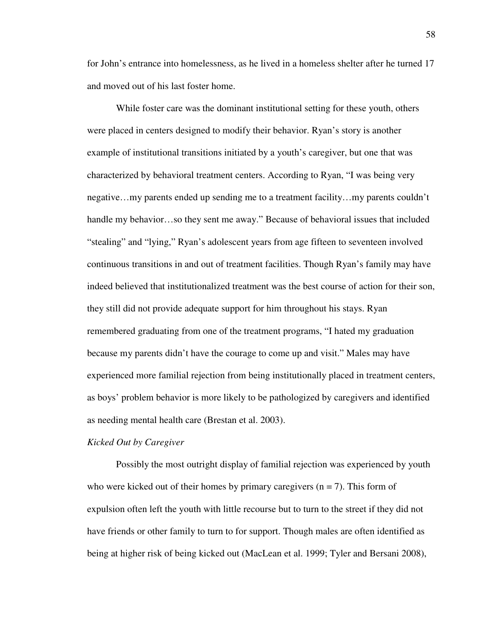for John's entrance into homelessness, as he lived in a homeless shelter after he turned 17 and moved out of his last foster home.

 While foster care was the dominant institutional setting for these youth, others were placed in centers designed to modify their behavior. Ryan's story is another example of institutional transitions initiated by a youth's caregiver, but one that was characterized by behavioral treatment centers. According to Ryan, "I was being very negative…my parents ended up sending me to a treatment facility…my parents couldn't handle my behavior…so they sent me away." Because of behavioral issues that included "stealing" and "lying," Ryan's adolescent years from age fifteen to seventeen involved continuous transitions in and out of treatment facilities. Though Ryan's family may have indeed believed that institutionalized treatment was the best course of action for their son, they still did not provide adequate support for him throughout his stays. Ryan remembered graduating from one of the treatment programs, "I hated my graduation because my parents didn't have the courage to come up and visit." Males may have experienced more familial rejection from being institutionally placed in treatment centers, as boys' problem behavior is more likely to be pathologized by caregivers and identified as needing mental health care (Brestan et al. 2003).

## *Kicked Out by Caregiver*

 Possibly the most outright display of familial rejection was experienced by youth who were kicked out of their homes by primary caregivers  $(n = 7)$ . This form of expulsion often left the youth with little recourse but to turn to the street if they did not have friends or other family to turn to for support. Though males are often identified as being at higher risk of being kicked out (MacLean et al. 1999; Tyler and Bersani 2008),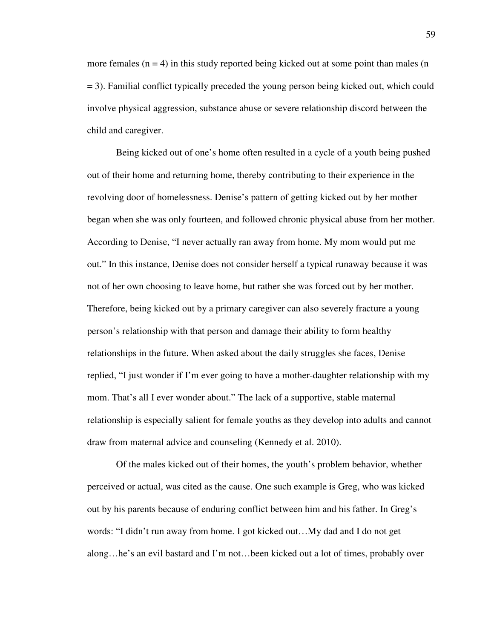more females  $(n = 4)$  in this study reported being kicked out at some point than males  $(n)$ = 3). Familial conflict typically preceded the young person being kicked out, which could involve physical aggression, substance abuse or severe relationship discord between the child and caregiver.

 Being kicked out of one's home often resulted in a cycle of a youth being pushed out of their home and returning home, thereby contributing to their experience in the revolving door of homelessness. Denise's pattern of getting kicked out by her mother began when she was only fourteen, and followed chronic physical abuse from her mother. According to Denise, "I never actually ran away from home. My mom would put me out." In this instance, Denise does not consider herself a typical runaway because it was not of her own choosing to leave home, but rather she was forced out by her mother. Therefore, being kicked out by a primary caregiver can also severely fracture a young person's relationship with that person and damage their ability to form healthy relationships in the future. When asked about the daily struggles she faces, Denise replied, "I just wonder if I'm ever going to have a mother-daughter relationship with my mom. That's all I ever wonder about." The lack of a supportive, stable maternal relationship is especially salient for female youths as they develop into adults and cannot draw from maternal advice and counseling (Kennedy et al. 2010).

 Of the males kicked out of their homes, the youth's problem behavior, whether perceived or actual, was cited as the cause. One such example is Greg, who was kicked out by his parents because of enduring conflict between him and his father. In Greg's words: "I didn't run away from home. I got kicked out…My dad and I do not get along…he's an evil bastard and I'm not…been kicked out a lot of times, probably over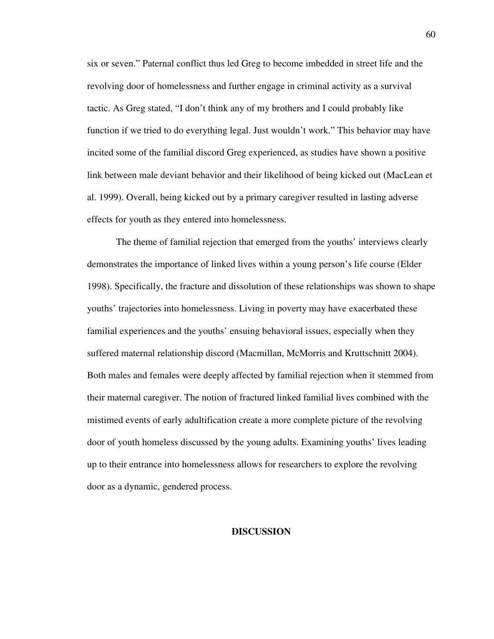six or seven." Paternal conflict thus led Greg to become imbedded in street life and the revolving door of homelessness and further engage in criminal activity as a survival tactic. As Greg stated, "I don't think any of my brothers and I could probably like function if we tried to do everything legal. Just wouldn't work." This behavior may have incited some of the familial discord Greg experienced, as studies have shown a positive link between male deviant behavior and their likelihood of being kicked out (MacLean et al. 1999). Overall, being kicked out by a primary caregiver resulted in lasting adverse effects for youth as they entered into homelessness.

 The theme of familial rejection that emerged from the youths' interviews clearly demonstrates the importance of linked lives within a young person's life course (Elder 1998). Specifically, the fracture and dissolution of these relationships was shown to shape youths' trajectories into homelessness. Living in poverty may have exacerbated these familial experiences and the youths' ensuing behavioral issues, especially when they suffered maternal relationship discord (Macmillan, McMorris and Kruttschnitt 2004). Both males and females were deeply affected by familial rejection when it stemmed from their maternal caregiver. The notion of fractured linked familial lives combined with the mistimed events of early adultification create a more complete picture of the revolving door of youth homeless discussed by the young adults. Examining youths' lives leading up to their entrance into homelessness allows for researchers to explore the revolving door as a dynamic, gendered process.

### **DISCUSSION**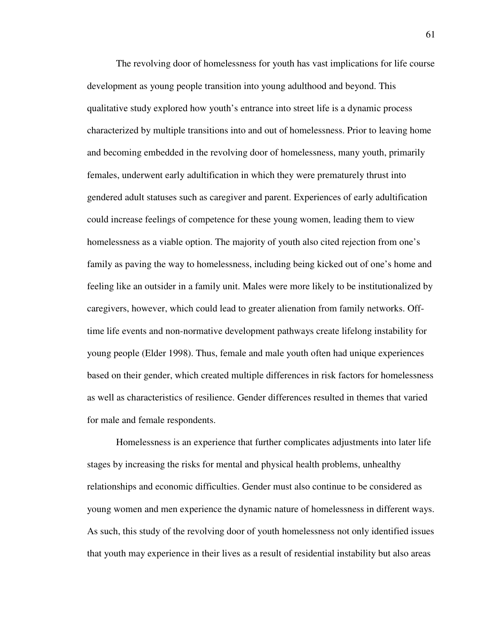The revolving door of homelessness for youth has vast implications for life course development as young people transition into young adulthood and beyond. This qualitative study explored how youth's entrance into street life is a dynamic process characterized by multiple transitions into and out of homelessness. Prior to leaving home and becoming embedded in the revolving door of homelessness, many youth, primarily females, underwent early adultification in which they were prematurely thrust into gendered adult statuses such as caregiver and parent. Experiences of early adultification could increase feelings of competence for these young women, leading them to view homelessness as a viable option. The majority of youth also cited rejection from one's family as paving the way to homelessness, including being kicked out of one's home and feeling like an outsider in a family unit. Males were more likely to be institutionalized by caregivers, however, which could lead to greater alienation from family networks. Offtime life events and non-normative development pathways create lifelong instability for young people (Elder 1998). Thus, female and male youth often had unique experiences based on their gender, which created multiple differences in risk factors for homelessness as well as characteristics of resilience. Gender differences resulted in themes that varied for male and female respondents.

Homelessness is an experience that further complicates adjustments into later life stages by increasing the risks for mental and physical health problems, unhealthy relationships and economic difficulties. Gender must also continue to be considered as young women and men experience the dynamic nature of homelessness in different ways. As such, this study of the revolving door of youth homelessness not only identified issues that youth may experience in their lives as a result of residential instability but also areas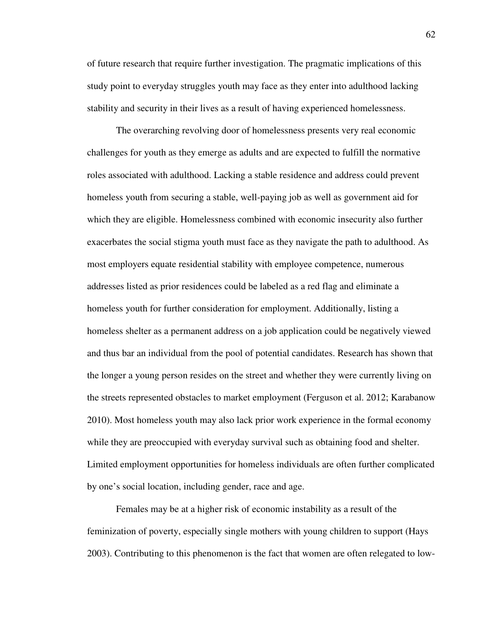of future research that require further investigation. The pragmatic implications of this study point to everyday struggles youth may face as they enter into adulthood lacking stability and security in their lives as a result of having experienced homelessness.

The overarching revolving door of homelessness presents very real economic challenges for youth as they emerge as adults and are expected to fulfill the normative roles associated with adulthood. Lacking a stable residence and address could prevent homeless youth from securing a stable, well-paying job as well as government aid for which they are eligible. Homelessness combined with economic insecurity also further exacerbates the social stigma youth must face as they navigate the path to adulthood. As most employers equate residential stability with employee competence, numerous addresses listed as prior residences could be labeled as a red flag and eliminate a homeless youth for further consideration for employment. Additionally, listing a homeless shelter as a permanent address on a job application could be negatively viewed and thus bar an individual from the pool of potential candidates. Research has shown that the longer a young person resides on the street and whether they were currently living on the streets represented obstacles to market employment (Ferguson et al. 2012; Karabanow 2010). Most homeless youth may also lack prior work experience in the formal economy while they are preoccupied with everyday survival such as obtaining food and shelter. Limited employment opportunities for homeless individuals are often further complicated by one's social location, including gender, race and age.

Females may be at a higher risk of economic instability as a result of the feminization of poverty, especially single mothers with young children to support (Hays 2003). Contributing to this phenomenon is the fact that women are often relegated to low-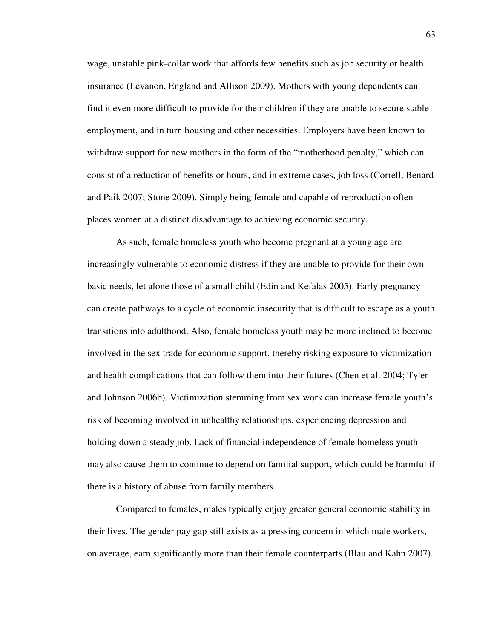wage, unstable pink-collar work that affords few benefits such as job security or health insurance (Levanon, England and Allison 2009). Mothers with young dependents can find it even more difficult to provide for their children if they are unable to secure stable employment, and in turn housing and other necessities. Employers have been known to withdraw support for new mothers in the form of the "motherhood penalty," which can consist of a reduction of benefits or hours, and in extreme cases, job loss (Correll, Benard and Paik 2007; Stone 2009). Simply being female and capable of reproduction often places women at a distinct disadvantage to achieving economic security.

As such, female homeless youth who become pregnant at a young age are increasingly vulnerable to economic distress if they are unable to provide for their own basic needs, let alone those of a small child (Edin and Kefalas 2005). Early pregnancy can create pathways to a cycle of economic insecurity that is difficult to escape as a youth transitions into adulthood. Also, female homeless youth may be more inclined to become involved in the sex trade for economic support, thereby risking exposure to victimization and health complications that can follow them into their futures (Chen et al. 2004; Tyler and Johnson 2006b). Victimization stemming from sex work can increase female youth's risk of becoming involved in unhealthy relationships, experiencing depression and holding down a steady job. Lack of financial independence of female homeless youth may also cause them to continue to depend on familial support, which could be harmful if there is a history of abuse from family members.

Compared to females, males typically enjoy greater general economic stability in their lives. The gender pay gap still exists as a pressing concern in which male workers, on average, earn significantly more than their female counterparts (Blau and Kahn 2007).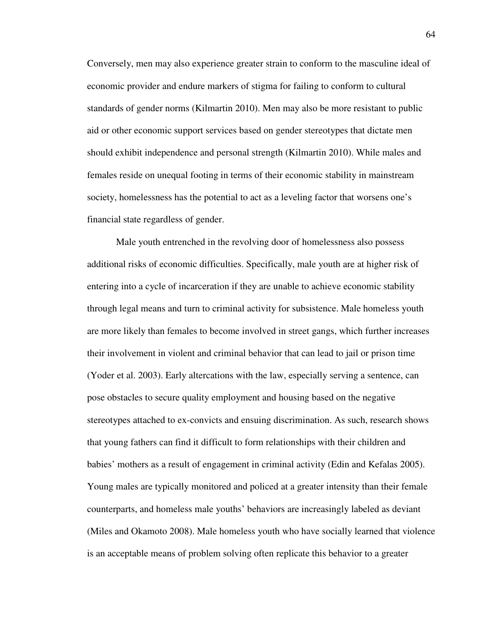Conversely, men may also experience greater strain to conform to the masculine ideal of economic provider and endure markers of stigma for failing to conform to cultural standards of gender norms (Kilmartin 2010). Men may also be more resistant to public aid or other economic support services based on gender stereotypes that dictate men should exhibit independence and personal strength (Kilmartin 2010). While males and females reside on unequal footing in terms of their economic stability in mainstream society, homelessness has the potential to act as a leveling factor that worsens one's financial state regardless of gender.

Male youth entrenched in the revolving door of homelessness also possess additional risks of economic difficulties. Specifically, male youth are at higher risk of entering into a cycle of incarceration if they are unable to achieve economic stability through legal means and turn to criminal activity for subsistence. Male homeless youth are more likely than females to become involved in street gangs, which further increases their involvement in violent and criminal behavior that can lead to jail or prison time (Yoder et al. 2003). Early altercations with the law, especially serving a sentence, can pose obstacles to secure quality employment and housing based on the negative stereotypes attached to ex-convicts and ensuing discrimination. As such, research shows that young fathers can find it difficult to form relationships with their children and babies' mothers as a result of engagement in criminal activity (Edin and Kefalas 2005). Young males are typically monitored and policed at a greater intensity than their female counterparts, and homeless male youths' behaviors are increasingly labeled as deviant (Miles and Okamoto 2008). Male homeless youth who have socially learned that violence is an acceptable means of problem solving often replicate this behavior to a greater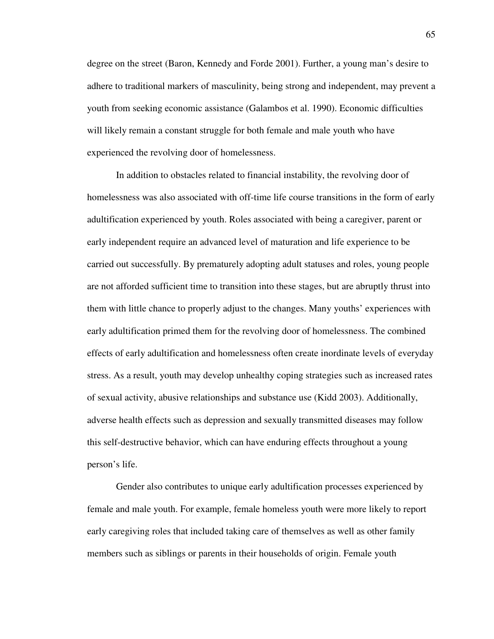degree on the street (Baron, Kennedy and Forde 2001). Further, a young man's desire to adhere to traditional markers of masculinity, being strong and independent, may prevent a youth from seeking economic assistance (Galambos et al. 1990). Economic difficulties will likely remain a constant struggle for both female and male youth who have experienced the revolving door of homelessness.

In addition to obstacles related to financial instability, the revolving door of homelessness was also associated with off-time life course transitions in the form of early adultification experienced by youth. Roles associated with being a caregiver, parent or early independent require an advanced level of maturation and life experience to be carried out successfully. By prematurely adopting adult statuses and roles, young people are not afforded sufficient time to transition into these stages, but are abruptly thrust into them with little chance to properly adjust to the changes. Many youths' experiences with early adultification primed them for the revolving door of homelessness. The combined effects of early adultification and homelessness often create inordinate levels of everyday stress. As a result, youth may develop unhealthy coping strategies such as increased rates of sexual activity, abusive relationships and substance use (Kidd 2003). Additionally, adverse health effects such as depression and sexually transmitted diseases may follow this self-destructive behavior, which can have enduring effects throughout a young person's life.

Gender also contributes to unique early adultification processes experienced by female and male youth. For example, female homeless youth were more likely to report early caregiving roles that included taking care of themselves as well as other family members such as siblings or parents in their households of origin. Female youth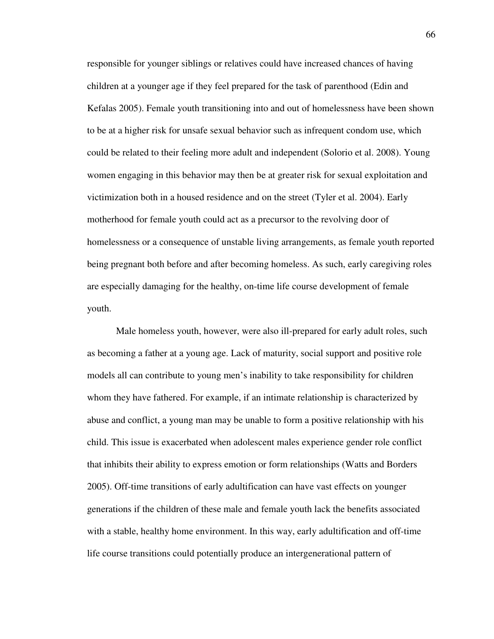responsible for younger siblings or relatives could have increased chances of having children at a younger age if they feel prepared for the task of parenthood (Edin and Kefalas 2005). Female youth transitioning into and out of homelessness have been shown to be at a higher risk for unsafe sexual behavior such as infrequent condom use, which could be related to their feeling more adult and independent (Solorio et al. 2008). Young women engaging in this behavior may then be at greater risk for sexual exploitation and victimization both in a housed residence and on the street (Tyler et al. 2004). Early motherhood for female youth could act as a precursor to the revolving door of homelessness or a consequence of unstable living arrangements, as female youth reported being pregnant both before and after becoming homeless. As such, early caregiving roles are especially damaging for the healthy, on-time life course development of female youth.

Male homeless youth, however, were also ill-prepared for early adult roles, such as becoming a father at a young age. Lack of maturity, social support and positive role models all can contribute to young men's inability to take responsibility for children whom they have fathered. For example, if an intimate relationship is characterized by abuse and conflict, a young man may be unable to form a positive relationship with his child. This issue is exacerbated when adolescent males experience gender role conflict that inhibits their ability to express emotion or form relationships (Watts and Borders 2005). Off-time transitions of early adultification can have vast effects on younger generations if the children of these male and female youth lack the benefits associated with a stable, healthy home environment. In this way, early adultification and off-time life course transitions could potentially produce an intergenerational pattern of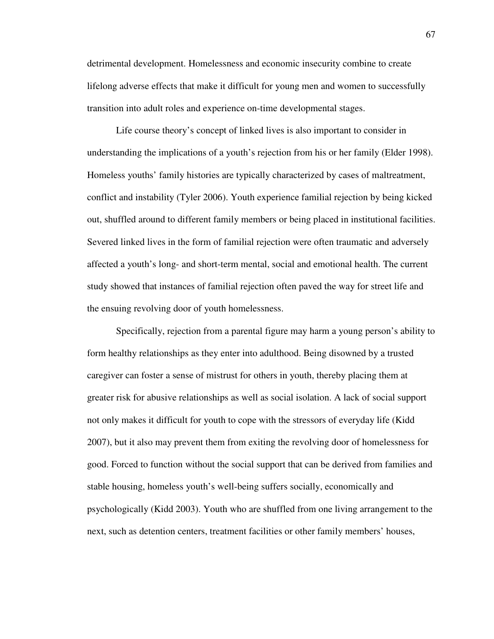detrimental development. Homelessness and economic insecurity combine to create lifelong adverse effects that make it difficult for young men and women to successfully transition into adult roles and experience on-time developmental stages.

Life course theory's concept of linked lives is also important to consider in understanding the implications of a youth's rejection from his or her family (Elder 1998). Homeless youths' family histories are typically characterized by cases of maltreatment, conflict and instability (Tyler 2006). Youth experience familial rejection by being kicked out, shuffled around to different family members or being placed in institutional facilities. Severed linked lives in the form of familial rejection were often traumatic and adversely affected a youth's long- and short-term mental, social and emotional health. The current study showed that instances of familial rejection often paved the way for street life and the ensuing revolving door of youth homelessness.

Specifically, rejection from a parental figure may harm a young person's ability to form healthy relationships as they enter into adulthood. Being disowned by a trusted caregiver can foster a sense of mistrust for others in youth, thereby placing them at greater risk for abusive relationships as well as social isolation. A lack of social support not only makes it difficult for youth to cope with the stressors of everyday life (Kidd 2007), but it also may prevent them from exiting the revolving door of homelessness for good. Forced to function without the social support that can be derived from families and stable housing, homeless youth's well-being suffers socially, economically and psychologically (Kidd 2003). Youth who are shuffled from one living arrangement to the next, such as detention centers, treatment facilities or other family members' houses,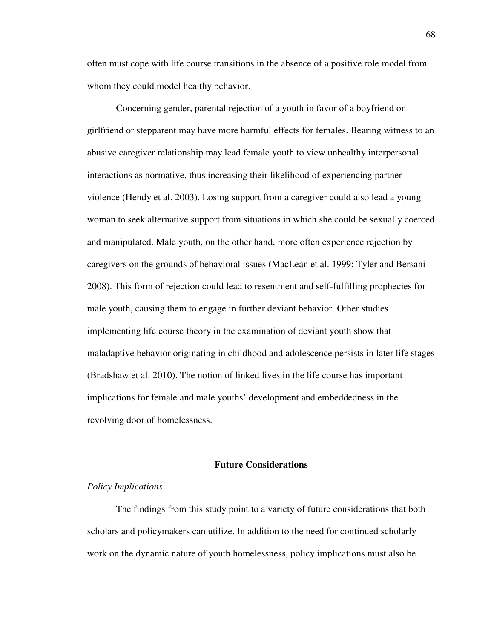often must cope with life course transitions in the absence of a positive role model from whom they could model healthy behavior.

Concerning gender, parental rejection of a youth in favor of a boyfriend or girlfriend or stepparent may have more harmful effects for females. Bearing witness to an abusive caregiver relationship may lead female youth to view unhealthy interpersonal interactions as normative, thus increasing their likelihood of experiencing partner violence (Hendy et al. 2003). Losing support from a caregiver could also lead a young woman to seek alternative support from situations in which she could be sexually coerced and manipulated. Male youth, on the other hand, more often experience rejection by caregivers on the grounds of behavioral issues (MacLean et al. 1999; Tyler and Bersani 2008). This form of rejection could lead to resentment and self-fulfilling prophecies for male youth, causing them to engage in further deviant behavior. Other studies implementing life course theory in the examination of deviant youth show that maladaptive behavior originating in childhood and adolescence persists in later life stages (Bradshaw et al. 2010). The notion of linked lives in the life course has important implications for female and male youths' development and embeddedness in the revolving door of homelessness.

## **Future Considerations**

## *Policy Implications*

The findings from this study point to a variety of future considerations that both scholars and policymakers can utilize. In addition to the need for continued scholarly work on the dynamic nature of youth homelessness, policy implications must also be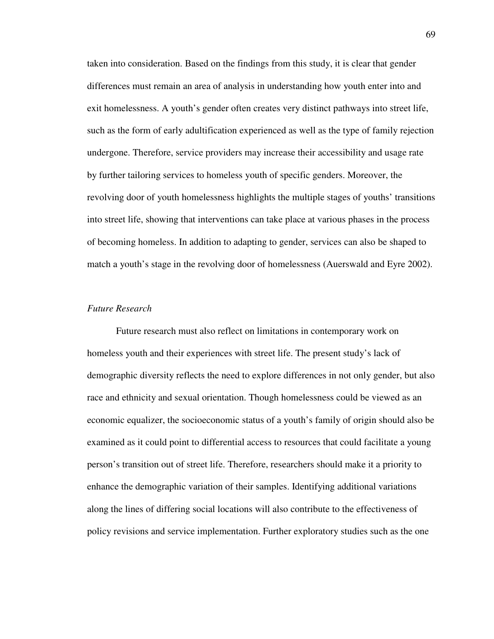taken into consideration. Based on the findings from this study, it is clear that gender differences must remain an area of analysis in understanding how youth enter into and exit homelessness. A youth's gender often creates very distinct pathways into street life, such as the form of early adultification experienced as well as the type of family rejection undergone. Therefore, service providers may increase their accessibility and usage rate by further tailoring services to homeless youth of specific genders. Moreover, the revolving door of youth homelessness highlights the multiple stages of youths' transitions into street life, showing that interventions can take place at various phases in the process of becoming homeless. In addition to adapting to gender, services can also be shaped to match a youth's stage in the revolving door of homelessness (Auerswald and Eyre 2002).

## *Future Research*

Future research must also reflect on limitations in contemporary work on homeless youth and their experiences with street life. The present study's lack of demographic diversity reflects the need to explore differences in not only gender, but also race and ethnicity and sexual orientation. Though homelessness could be viewed as an economic equalizer, the socioeconomic status of a youth's family of origin should also be examined as it could point to differential access to resources that could facilitate a young person's transition out of street life. Therefore, researchers should make it a priority to enhance the demographic variation of their samples. Identifying additional variations along the lines of differing social locations will also contribute to the effectiveness of policy revisions and service implementation. Further exploratory studies such as the one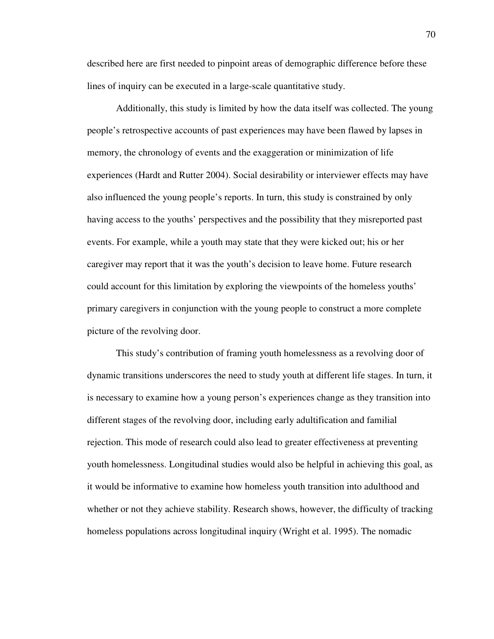described here are first needed to pinpoint areas of demographic difference before these lines of inquiry can be executed in a large-scale quantitative study.

Additionally, this study is limited by how the data itself was collected. The young people's retrospective accounts of past experiences may have been flawed by lapses in memory, the chronology of events and the exaggeration or minimization of life experiences (Hardt and Rutter 2004). Social desirability or interviewer effects may have also influenced the young people's reports. In turn, this study is constrained by only having access to the youths' perspectives and the possibility that they misreported past events. For example, while a youth may state that they were kicked out; his or her caregiver may report that it was the youth's decision to leave home. Future research could account for this limitation by exploring the viewpoints of the homeless youths' primary caregivers in conjunction with the young people to construct a more complete picture of the revolving door.

This study's contribution of framing youth homelessness as a revolving door of dynamic transitions underscores the need to study youth at different life stages. In turn, it is necessary to examine how a young person's experiences change as they transition into different stages of the revolving door, including early adultification and familial rejection. This mode of research could also lead to greater effectiveness at preventing youth homelessness. Longitudinal studies would also be helpful in achieving this goal, as it would be informative to examine how homeless youth transition into adulthood and whether or not they achieve stability. Research shows, however, the difficulty of tracking homeless populations across longitudinal inquiry (Wright et al. 1995). The nomadic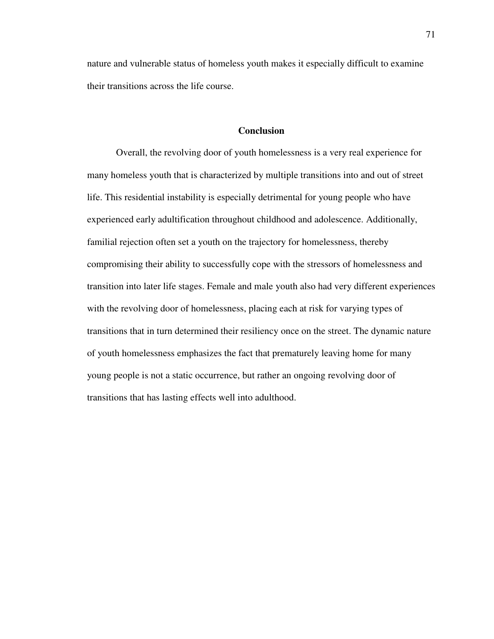nature and vulnerable status of homeless youth makes it especially difficult to examine their transitions across the life course.

# **Conclusion**

Overall, the revolving door of youth homelessness is a very real experience for many homeless youth that is characterized by multiple transitions into and out of street life. This residential instability is especially detrimental for young people who have experienced early adultification throughout childhood and adolescence. Additionally, familial rejection often set a youth on the trajectory for homelessness, thereby compromising their ability to successfully cope with the stressors of homelessness and transition into later life stages. Female and male youth also had very different experiences with the revolving door of homelessness, placing each at risk for varying types of transitions that in turn determined their resiliency once on the street. The dynamic nature of youth homelessness emphasizes the fact that prematurely leaving home for many young people is not a static occurrence, but rather an ongoing revolving door of transitions that has lasting effects well into adulthood.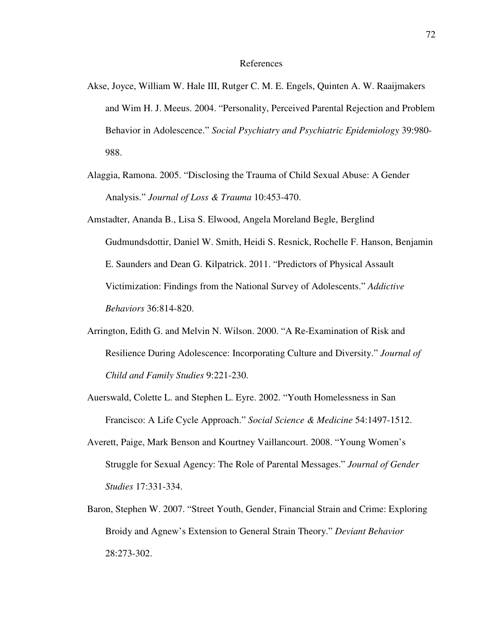#### References

- Akse, Joyce, William W. Hale III, Rutger C. M. E. Engels, Quinten A. W. Raaijmakers and Wim H. J. Meeus. 2004. "Personality, Perceived Parental Rejection and Problem Behavior in Adolescence." *Social Psychiatry and Psychiatric Epidemiology* 39:980- 988.
- Alaggia, Ramona. 2005. "Disclosing the Trauma of Child Sexual Abuse: A Gender Analysis." *Journal of Loss & Trauma* 10:453-470.
- Amstadter, Ananda B., Lisa S. Elwood, Angela Moreland Begle, Berglind Gudmundsdottir, Daniel W. Smith, Heidi S. Resnick, Rochelle F. Hanson, Benjamin E. Saunders and Dean G. Kilpatrick. 2011. "Predictors of Physical Assault Victimization: Findings from the National Survey of Adolescents." *Addictive Behaviors* 36:814-820.
- Arrington, Edith G. and Melvin N. Wilson. 2000. "A Re-Examination of Risk and Resilience During Adolescence: Incorporating Culture and Diversity." *Journal of Child and Family Studies* 9:221-230.
- Auerswald, Colette L. and Stephen L. Eyre. 2002. "Youth Homelessness in San Francisco: A Life Cycle Approach." *Social Science & Medicine* 54:1497-1512.
- Averett, Paige, Mark Benson and Kourtney Vaillancourt. 2008. "Young Women's Struggle for Sexual Agency: The Role of Parental Messages." *Journal of Gender Studies* 17:331-334.
- Baron, Stephen W. 2007. "Street Youth, Gender, Financial Strain and Crime: Exploring Broidy and Agnew's Extension to General Strain Theory." *Deviant Behavior* 28:273-302.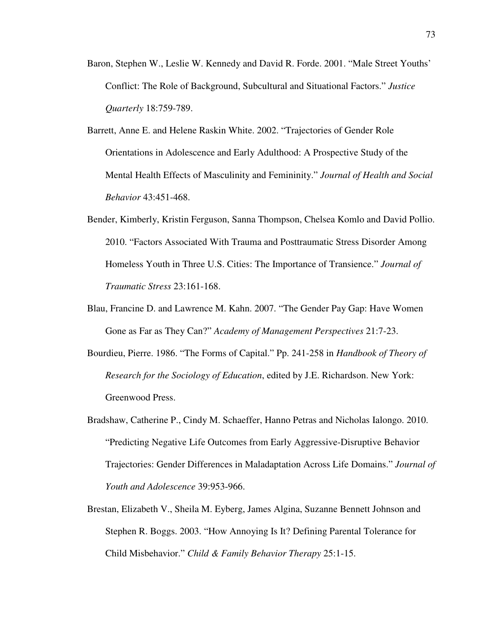- Baron, Stephen W., Leslie W. Kennedy and David R. Forde. 2001. "Male Street Youths' Conflict: The Role of Background, Subcultural and Situational Factors." *Justice Quarterly* 18:759-789.
- Barrett, Anne E. and Helene Raskin White. 2002. "Trajectories of Gender Role Orientations in Adolescence and Early Adulthood: A Prospective Study of the Mental Health Effects of Masculinity and Femininity." *Journal of Health and Social Behavior* 43:451-468.
- Bender, Kimberly, Kristin Ferguson, Sanna Thompson, Chelsea Komlo and David Pollio. 2010. "Factors Associated With Trauma and Posttraumatic Stress Disorder Among Homeless Youth in Three U.S. Cities: The Importance of Transience." *Journal of Traumatic Stress* 23:161-168.
- Blau, Francine D. and Lawrence M. Kahn. 2007. "The Gender Pay Gap: Have Women Gone as Far as They Can?" *Academy of Management Perspectives* 21:7-23.
- Bourdieu, Pierre. 1986. "The Forms of Capital." Pp. 241-258 in *Handbook of Theory of Research for the Sociology of Education*, edited by J.E. Richardson. New York: Greenwood Press.
- Bradshaw, Catherine P., Cindy M. Schaeffer, Hanno Petras and Nicholas Ialongo. 2010. "Predicting Negative Life Outcomes from Early Aggressive-Disruptive Behavior Trajectories: Gender Differences in Maladaptation Across Life Domains." *Journal of Youth and Adolescence* 39:953-966.
- Brestan, Elizabeth V., Sheila M. Eyberg, James Algina, Suzanne Bennett Johnson and Stephen R. Boggs. 2003. "How Annoying Is It? Defining Parental Tolerance for Child Misbehavior." *Child & Family Behavior Therapy* 25:1-15.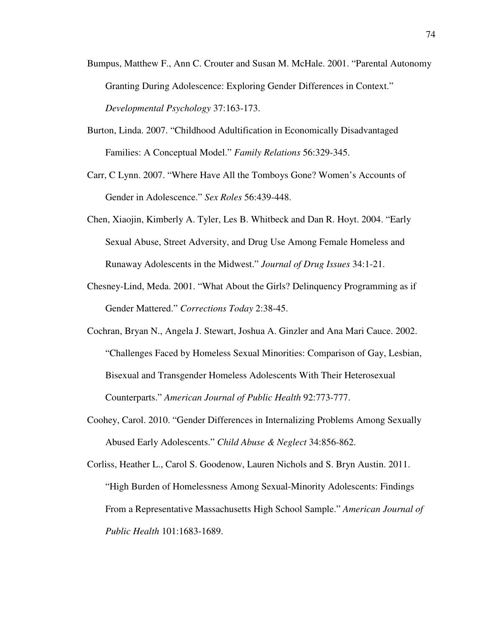- Bumpus, Matthew F., Ann C. Crouter and Susan M. McHale. 2001. "Parental Autonomy Granting During Adolescence: Exploring Gender Differences in Context." *Developmental Psychology* 37:163-173.
- Burton, Linda. 2007. "Childhood Adultification in Economically Disadvantaged Families: A Conceptual Model." *Family Relations* 56:329-345.
- Carr, C Lynn. 2007. "Where Have All the Tomboys Gone? Women's Accounts of Gender in Adolescence." *Sex Roles* 56:439-448.
- Chen, Xiaojin, Kimberly A. Tyler, Les B. Whitbeck and Dan R. Hoyt. 2004. "Early Sexual Abuse, Street Adversity, and Drug Use Among Female Homeless and Runaway Adolescents in the Midwest." *Journal of Drug Issues* 34:1-21.
- Chesney-Lind, Meda. 2001. "What About the Girls? Delinquency Programming as if Gender Mattered." *Corrections Today* 2:38-45.
- Cochran, Bryan N., Angela J. Stewart, Joshua A. Ginzler and Ana Mari Cauce. 2002. "Challenges Faced by Homeless Sexual Minorities: Comparison of Gay, Lesbian, Bisexual and Transgender Homeless Adolescents With Their Heterosexual Counterparts." *American Journal of Public Health* 92:773-777.
- Coohey, Carol. 2010. "Gender Differences in Internalizing Problems Among Sexually Abused Early Adolescents." *Child Abuse & Neglect* 34:856-862.

Corliss, Heather L., Carol S. Goodenow, Lauren Nichols and S. Bryn Austin. 2011. "High Burden of Homelessness Among Sexual-Minority Adolescents: Findings From a Representative Massachusetts High School Sample." *American Journal of Public Health* 101:1683-1689.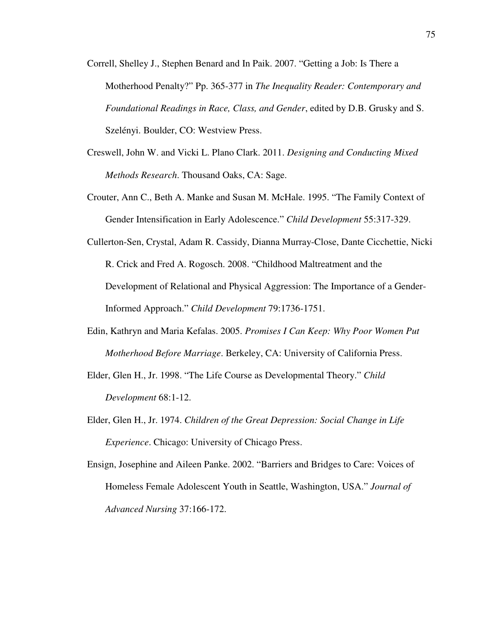- Correll, Shelley J., Stephen Benard and In Paik. 2007. "Getting a Job: Is There a Motherhood Penalty?" Pp. 365-377 in *The Inequality Reader: Contemporary and Foundational Readings in Race, Class, and Gender*, edited by D.B. Grusky and S. Szelényi. Boulder, CO: Westview Press.
- Creswell, John W. and Vicki L. Plano Clark. 2011. *Designing and Conducting Mixed Methods Research*. Thousand Oaks, CA: Sage.
- Crouter, Ann C., Beth A. Manke and Susan M. McHale. 1995. "The Family Context of Gender Intensification in Early Adolescence." *Child Development* 55:317-329.
- Cullerton-Sen, Crystal, Adam R. Cassidy, Dianna Murray-Close, Dante Cicchettie, Nicki R. Crick and Fred A. Rogosch. 2008. "Childhood Maltreatment and the Development of Relational and Physical Aggression: The Importance of a Gender-Informed Approach." *Child Development* 79:1736-1751.
- Edin, Kathryn and Maria Kefalas. 2005. *Promises I Can Keep: Why Poor Women Put Motherhood Before Marriage*. Berkeley, CA: University of California Press.
- Elder, Glen H., Jr. 1998. "The Life Course as Developmental Theory." *Child Development* 68:1-12.
- Elder, Glen H., Jr. 1974. *Children of the Great Depression: Social Change in Life Experience*. Chicago: University of Chicago Press.
- Ensign, Josephine and Aileen Panke. 2002. "Barriers and Bridges to Care: Voices of Homeless Female Adolescent Youth in Seattle, Washington, USA." *Journal of Advanced Nursing* 37:166-172.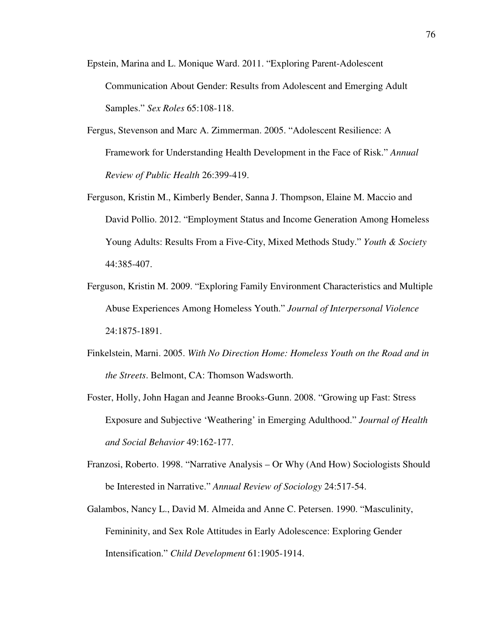- Epstein, Marina and L. Monique Ward. 2011. "Exploring Parent-Adolescent Communication About Gender: Results from Adolescent and Emerging Adult Samples." *Sex Roles* 65:108-118.
- Fergus, Stevenson and Marc A. Zimmerman. 2005. "Adolescent Resilience: A Framework for Understanding Health Development in the Face of Risk." *Annual Review of Public Health* 26:399-419.
- Ferguson, Kristin M., Kimberly Bender, Sanna J. Thompson, Elaine M. Maccio and David Pollio. 2012. "Employment Status and Income Generation Among Homeless Young Adults: Results From a Five-City, Mixed Methods Study." *Youth & Society* 44:385-407.
- Ferguson, Kristin M. 2009. "Exploring Family Environment Characteristics and Multiple Abuse Experiences Among Homeless Youth." *Journal of Interpersonal Violence* 24:1875-1891.
- Finkelstein, Marni. 2005. *With No Direction Home: Homeless Youth on the Road and in the Streets*. Belmont, CA: Thomson Wadsworth.
- Foster, Holly, John Hagan and Jeanne Brooks-Gunn. 2008. "Growing up Fast: Stress Exposure and Subjective 'Weathering' in Emerging Adulthood." *Journal of Health and Social Behavior* 49:162-177.
- Franzosi, Roberto. 1998. "Narrative Analysis Or Why (And How) Sociologists Should be Interested in Narrative." *Annual Review of Sociology* 24:517-54.
- Galambos, Nancy L., David M. Almeida and Anne C. Petersen. 1990. "Masculinity, Femininity, and Sex Role Attitudes in Early Adolescence: Exploring Gender Intensification." *Child Development* 61:1905-1914.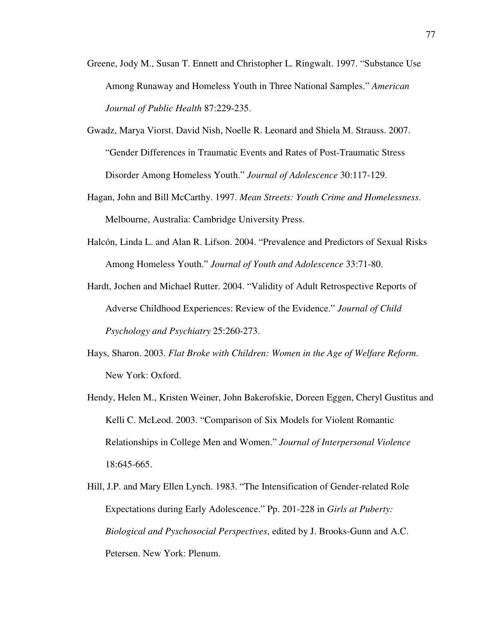- Greene, Jody M., Susan T. Ennett and Christopher L. Ringwalt. 1997. "Substance Use Among Runaway and Homeless Youth in Three National Samples." *American Journal of Public Health* 87:229-235.
- Gwadz, Marya Viorst. David Nish, Noelle R. Leonard and Shiela M. Strauss. 2007. "Gender Differences in Traumatic Events and Rates of Post-Traumatic Stress Disorder Among Homeless Youth." *Journal of Adolescence* 30:117-129.
- Hagan, John and Bill McCarthy. 1997. *Mean Streets: Youth Crime and Homelessness*. Melbourne, Australia: Cambridge University Press.
- Halcón, Linda L. and Alan R. Lifson. 2004. "Prevalence and Predictors of Sexual Risks Among Homeless Youth." *Journal of Youth and Adolescence* 33:71-80.

Hardt, Jochen and Michael Rutter. 2004. "Validity of Adult Retrospective Reports of Adverse Childhood Experiences: Review of the Evidence." *Journal of Child Psychology and Psychiatry* 25:260-273.

- Hays, Sharon. 2003. *Flat Broke with Children: Women in the Age of Welfare Reform*. New York: Oxford.
- Hendy, Helen M., Kristen Weiner, John Bakerofskie, Doreen Eggen, Cheryl Gustitus and Kelli C. McLeod. 2003. "Comparison of Six Models for Violent Romantic Relationships in College Men and Women." *Journal of Interpersonal Violence* 18:645-665.
- Hill, J.P. and Mary Ellen Lynch. 1983. "The Intensification of Gender-related Role Expectations during Early Adolescence." Pp. 201-228 in *Girls at Puberty: Biological and Pyschosocial Perspectives*, edited by J. Brooks-Gunn and A.C. Petersen. New York: Plenum.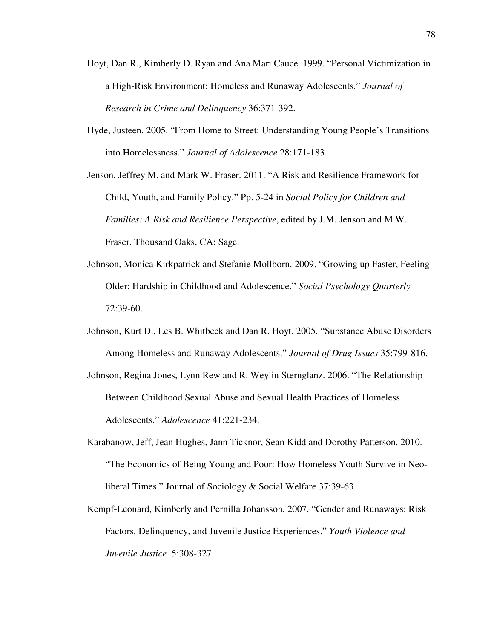- Hoyt, Dan R., Kimberly D. Ryan and Ana Mari Cauce. 1999. "Personal Victimization in a High-Risk Environment: Homeless and Runaway Adolescents." *Journal of Research in Crime and Delinquency* 36:371-392.
- Hyde, Justeen. 2005. "From Home to Street: Understanding Young People's Transitions into Homelessness." *Journal of Adolescence* 28:171-183.

Jenson, Jeffrey M. and Mark W. Fraser. 2011. "A Risk and Resilience Framework for Child, Youth, and Family Policy." Pp. 5-24 in *Social Policy for Children and Families: A Risk and Resilience Perspective*, edited by J.M. Jenson and M.W. Fraser. Thousand Oaks, CA: Sage.

- Johnson, Monica Kirkpatrick and Stefanie Mollborn. 2009. "Growing up Faster, Feeling Older: Hardship in Childhood and Adolescence." *Social Psychology Quarterly* 72:39-60.
- Johnson, Kurt D., Les B. Whitbeck and Dan R. Hoyt. 2005. "Substance Abuse Disorders Among Homeless and Runaway Adolescents." *Journal of Drug Issues* 35:799-816.
- Johnson, Regina Jones, Lynn Rew and R. Weylin Sternglanz. 2006. "The Relationship Between Childhood Sexual Abuse and Sexual Health Practices of Homeless Adolescents." *Adolescence* 41:221-234.
- Karabanow, Jeff, Jean Hughes, Jann Ticknor, Sean Kidd and Dorothy Patterson. 2010. "The Economics of Being Young and Poor: How Homeless Youth Survive in Neoliberal Times." Journal of Sociology & Social Welfare 37:39-63.
- Kempf-Leonard, Kimberly and Pernilla Johansson. 2007. "Gender and Runaways: Risk Factors, Delinquency, and Juvenile Justice Experiences." *Youth Violence and Juvenile Justice* 5:308-327.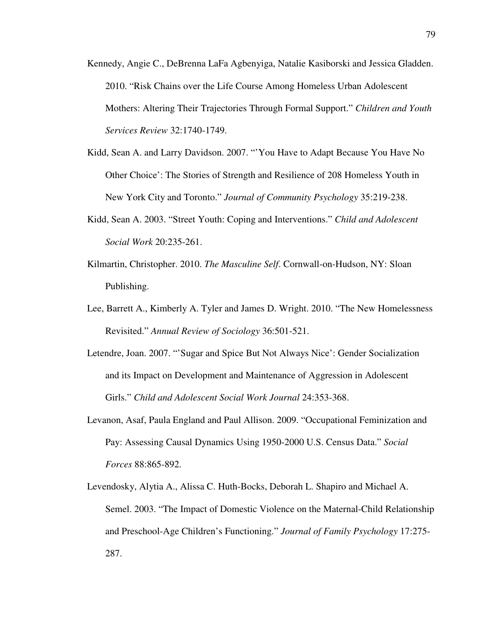- Kennedy, Angie C., DeBrenna LaFa Agbenyiga, Natalie Kasiborski and Jessica Gladden. 2010. "Risk Chains over the Life Course Among Homeless Urban Adolescent Mothers: Altering Their Trajectories Through Formal Support." *Children and Youth Services Review* 32:1740-1749.
- Kidd, Sean A. and Larry Davidson. 2007. "'You Have to Adapt Because You Have No Other Choice': The Stories of Strength and Resilience of 208 Homeless Youth in New York City and Toronto." *Journal of Community Psychology* 35:219-238.
- Kidd, Sean A. 2003. "Street Youth: Coping and Interventions." *Child and Adolescent Social Work* 20:235-261.
- Kilmartin, Christopher. 2010. *The Masculine Self*. Cornwall-on-Hudson, NY: Sloan Publishing.
- Lee, Barrett A., Kimberly A. Tyler and James D. Wright. 2010. "The New Homelessness Revisited." *Annual Review of Sociology* 36:501-521.
- Letendre, Joan. 2007. "'Sugar and Spice But Not Always Nice': Gender Socialization and its Impact on Development and Maintenance of Aggression in Adolescent Girls." *Child and Adolescent Social Work Journal* 24:353-368.
- Levanon, Asaf, Paula England and Paul Allison. 2009. "Occupational Feminization and Pay: Assessing Causal Dynamics Using 1950-2000 U.S. Census Data." *Social Forces* 88:865-892.
- Levendosky, Alytia A., Alissa C. Huth-Bocks, Deborah L. Shapiro and Michael A. Semel. 2003. "The Impact of Domestic Violence on the Maternal-Child Relationship and Preschool-Age Children's Functioning." *Journal of Family Psychology* 17:275- 287.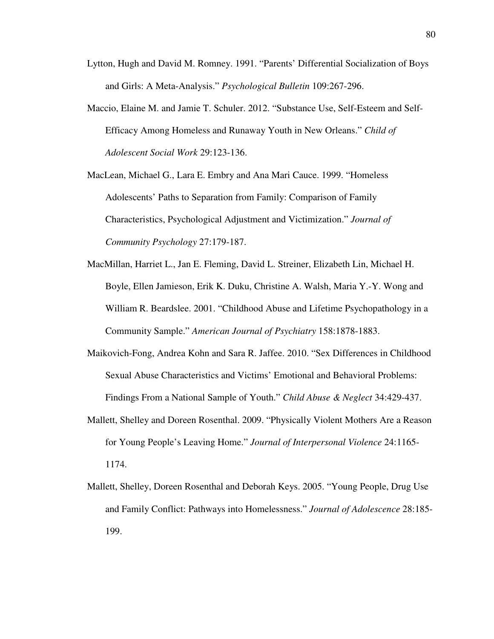- Lytton, Hugh and David M. Romney. 1991. "Parents' Differential Socialization of Boys and Girls: A Meta-Analysis." *Psychological Bulletin* 109:267-296.
- Maccio, Elaine M. and Jamie T. Schuler. 2012. "Substance Use, Self-Esteem and Self-Efficacy Among Homeless and Runaway Youth in New Orleans." *Child of Adolescent Social Work* 29:123-136.

MacLean, Michael G., Lara E. Embry and Ana Mari Cauce. 1999. "Homeless Adolescents' Paths to Separation from Family: Comparison of Family Characteristics, Psychological Adjustment and Victimization." *Journal of Community Psychology* 27:179-187.

- MacMillan, Harriet L., Jan E. Fleming, David L. Streiner, Elizabeth Lin, Michael H. Boyle, Ellen Jamieson, Erik K. Duku, Christine A. Walsh, Maria Y.-Y. Wong and William R. Beardslee. 2001. "Childhood Abuse and Lifetime Psychopathology in a Community Sample." *American Journal of Psychiatry* 158:1878-1883.
- Maikovich-Fong, Andrea Kohn and Sara R. Jaffee. 2010. "Sex Differences in Childhood Sexual Abuse Characteristics and Victims' Emotional and Behavioral Problems: Findings From a National Sample of Youth." *Child Abuse & Neglect* 34:429-437.
- Mallett, Shelley and Doreen Rosenthal. 2009. "Physically Violent Mothers Are a Reason for Young People's Leaving Home." *Journal of Interpersonal Violence* 24:1165- 1174.
- Mallett, Shelley, Doreen Rosenthal and Deborah Keys. 2005. "Young People, Drug Use and Family Conflict: Pathways into Homelessness." *Journal of Adolescence* 28:185- 199.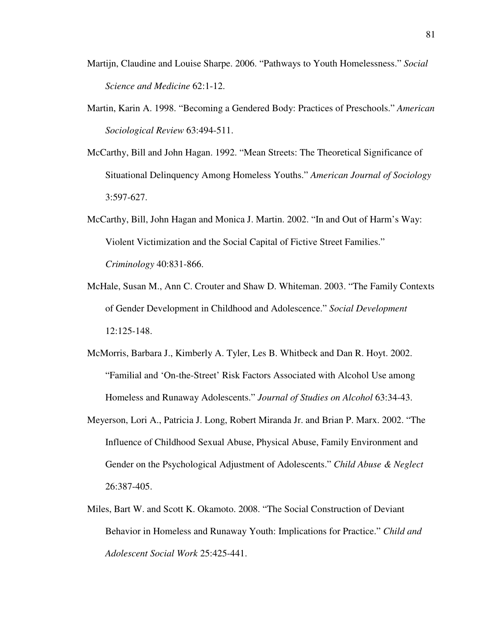- Martijn, Claudine and Louise Sharpe. 2006. "Pathways to Youth Homelessness." *Social Science and Medicine* 62:1-12.
- Martin, Karin A. 1998. "Becoming a Gendered Body: Practices of Preschools." *American Sociological Review* 63:494-511.
- McCarthy, Bill and John Hagan. 1992. "Mean Streets: The Theoretical Significance of Situational Delinquency Among Homeless Youths." *American Journal of Sociology* 3:597-627.
- McCarthy, Bill, John Hagan and Monica J. Martin. 2002. "In and Out of Harm's Way: Violent Victimization and the Social Capital of Fictive Street Families." *Criminology* 40:831-866.
- McHale, Susan M., Ann C. Crouter and Shaw D. Whiteman. 2003. "The Family Contexts of Gender Development in Childhood and Adolescence." *Social Development* 12:125-148.
- McMorris, Barbara J., Kimberly A. Tyler, Les B. Whitbeck and Dan R. Hoyt. 2002. "Familial and 'On-the-Street' Risk Factors Associated with Alcohol Use among Homeless and Runaway Adolescents." *Journal of Studies on Alcohol* 63:34-43.
- Meyerson, Lori A., Patricia J. Long, Robert Miranda Jr. and Brian P. Marx. 2002. "The Influence of Childhood Sexual Abuse, Physical Abuse, Family Environment and Gender on the Psychological Adjustment of Adolescents." *Child Abuse & Neglect* 26:387-405.
- Miles, Bart W. and Scott K. Okamoto. 2008. "The Social Construction of Deviant Behavior in Homeless and Runaway Youth: Implications for Practice." *Child and Adolescent Social Work* 25:425-441.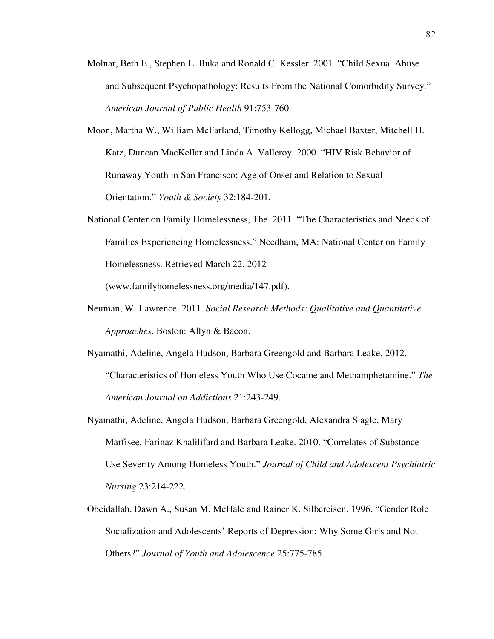- Molnar, Beth E., Stephen L. Buka and Ronald C. Kessler. 2001. "Child Sexual Abuse and Subsequent Psychopathology: Results From the National Comorbidity Survey." *American Journal of Public Health* 91:753-760.
- Moon, Martha W., William McFarland, Timothy Kellogg, Michael Baxter, Mitchell H. Katz, Duncan MacKellar and Linda A. Valleroy. 2000. "HIV Risk Behavior of Runaway Youth in San Francisco: Age of Onset and Relation to Sexual Orientation." *Youth & Society* 32:184-201.
- National Center on Family Homelessness, The. 2011. "The Characteristics and Needs of Families Experiencing Homelessness." Needham, MA: National Center on Family Homelessness. Retrieved March 22, 2012

(www.familyhomelessness.org/media/147.pdf).

- Neuman, W. Lawrence. 2011. *Social Research Methods: Qualitative and Quantitative Approaches*. Boston: Allyn & Bacon.
- Nyamathi, Adeline, Angela Hudson, Barbara Greengold and Barbara Leake. 2012. "Characteristics of Homeless Youth Who Use Cocaine and Methamphetamine." *The American Journal on Addictions* 21:243-249.
- Nyamathi, Adeline, Angela Hudson, Barbara Greengold, Alexandra Slagle, Mary Marfisee, Farinaz Khalilifard and Barbara Leake. 2010. "Correlates of Substance Use Severity Among Homeless Youth." *Journal of Child and Adolescent Psychiatric Nursing* 23:214-222.
- Obeidallah, Dawn A., Susan M. McHale and Rainer K. Silbereisen. 1996. "Gender Role Socialization and Adolescents' Reports of Depression: Why Some Girls and Not Others?" *Journal of Youth and Adolescence* 25:775-785.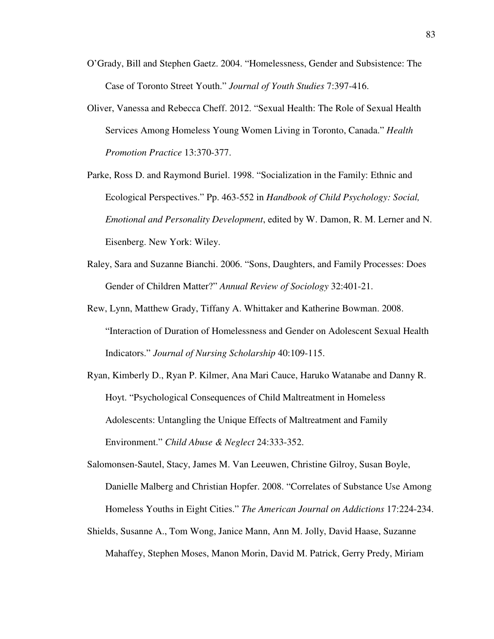- O'Grady, Bill and Stephen Gaetz. 2004. "Homelessness, Gender and Subsistence: The Case of Toronto Street Youth." *Journal of Youth Studies* 7:397-416.
- Oliver, Vanessa and Rebecca Cheff. 2012. "Sexual Health: The Role of Sexual Health Services Among Homeless Young Women Living in Toronto, Canada." *Health Promotion Practice* 13:370-377.
- Parke, Ross D. and Raymond Buriel. 1998. "Socialization in the Family: Ethnic and Ecological Perspectives." Pp. 463-552 in *Handbook of Child Psychology: Social, Emotional and Personality Development*, edited by W. Damon, R. M. Lerner and N. Eisenberg. New York: Wiley.
- Raley, Sara and Suzanne Bianchi. 2006. "Sons, Daughters, and Family Processes: Does Gender of Children Matter?" *Annual Review of Sociology* 32:401-21.
- Rew, Lynn, Matthew Grady, Tiffany A. Whittaker and Katherine Bowman. 2008. "Interaction of Duration of Homelessness and Gender on Adolescent Sexual Health Indicators." *Journal of Nursing Scholarship* 40:109-115.
- Ryan, Kimberly D., Ryan P. Kilmer, Ana Mari Cauce, Haruko Watanabe and Danny R. Hoyt. "Psychological Consequences of Child Maltreatment in Homeless Adolescents: Untangling the Unique Effects of Maltreatment and Family Environment." *Child Abuse & Neglect* 24:333-352.
- Salomonsen-Sautel, Stacy, James M. Van Leeuwen, Christine Gilroy, Susan Boyle, Danielle Malberg and Christian Hopfer. 2008. "Correlates of Substance Use Among Homeless Youths in Eight Cities." *The American Journal on Addictions* 17:224-234.
- Shields, Susanne A., Tom Wong, Janice Mann, Ann M. Jolly, David Haase, Suzanne Mahaffey, Stephen Moses, Manon Morin, David M. Patrick, Gerry Predy, Miriam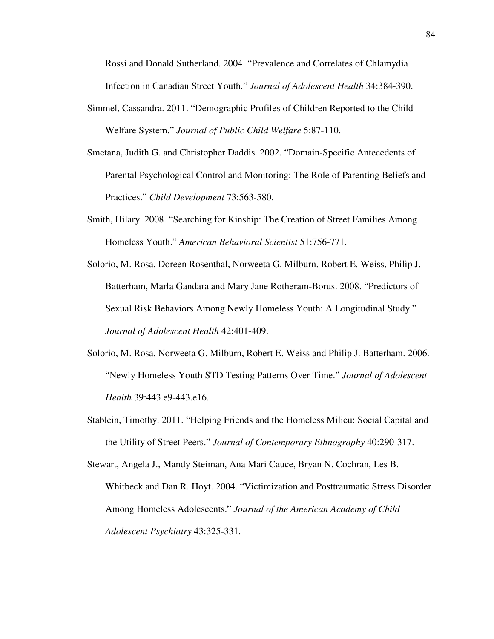Rossi and Donald Sutherland. 2004. "Prevalence and Correlates of Chlamydia Infection in Canadian Street Youth." *Journal of Adolescent Health* 34:384-390.

- Simmel, Cassandra. 2011. "Demographic Profiles of Children Reported to the Child Welfare System." *Journal of Public Child Welfare* 5:87-110.
- Smetana, Judith G. and Christopher Daddis. 2002. "Domain-Specific Antecedents of Parental Psychological Control and Monitoring: The Role of Parenting Beliefs and Practices." *Child Development* 73:563-580.
- Smith, Hilary. 2008. "Searching for Kinship: The Creation of Street Families Among Homeless Youth." *American Behavioral Scientist* 51:756-771.
- Solorio, M. Rosa, Doreen Rosenthal, Norweeta G. Milburn, Robert E. Weiss, Philip J. Batterham, Marla Gandara and Mary Jane Rotheram-Borus. 2008. "Predictors of Sexual Risk Behaviors Among Newly Homeless Youth: A Longitudinal Study." *Journal of Adolescent Health* 42:401-409.
- Solorio, M. Rosa, Norweeta G. Milburn, Robert E. Weiss and Philip J. Batterham. 2006. "Newly Homeless Youth STD Testing Patterns Over Time." *Journal of Adolescent Health* 39:443.e9-443.e16.
- Stablein, Timothy. 2011. "Helping Friends and the Homeless Milieu: Social Capital and the Utility of Street Peers." *Journal of Contemporary Ethnography* 40:290-317.

Stewart, Angela J., Mandy Steiman, Ana Mari Cauce, Bryan N. Cochran, Les B. Whitbeck and Dan R. Hoyt. 2004. "Victimization and Posttraumatic Stress Disorder Among Homeless Adolescents." *Journal of the American Academy of Child Adolescent Psychiatry* 43:325-331.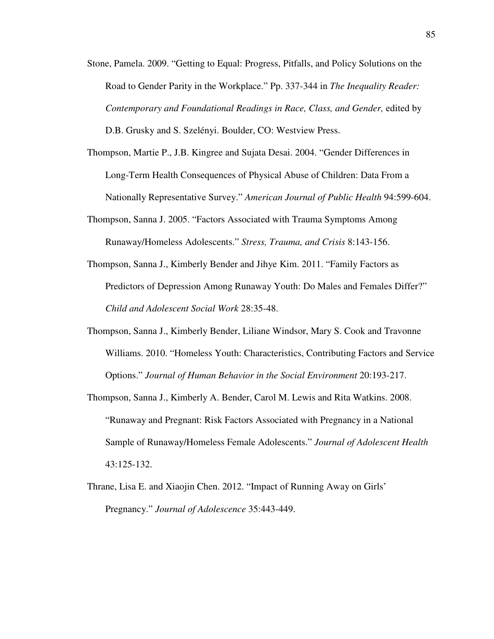- Stone, Pamela. 2009. "Getting to Equal: Progress, Pitfalls, and Policy Solutions on the Road to Gender Parity in the Workplace." Pp. 337-344 in *The Inequality Reader: Contemporary and Foundational Readings in Race, Class, and Gender,* edited by D.B. Grusky and S. Szelényi. Boulder, CO: Westview Press.
- Thompson, Martie P., J.B. Kingree and Sujata Desai. 2004. "Gender Differences in Long-Term Health Consequences of Physical Abuse of Children: Data From a Nationally Representative Survey." *American Journal of Public Health* 94:599-604.
- Thompson, Sanna J. 2005. "Factors Associated with Trauma Symptoms Among Runaway/Homeless Adolescents." *Stress, Trauma, and Crisis* 8:143-156.
- Thompson, Sanna J., Kimberly Bender and Jihye Kim. 2011. "Family Factors as Predictors of Depression Among Runaway Youth: Do Males and Females Differ?" *Child and Adolescent Social Work* 28:35-48.
- Thompson, Sanna J., Kimberly Bender, Liliane Windsor, Mary S. Cook and Travonne Williams. 2010. "Homeless Youth: Characteristics, Contributing Factors and Service Options." *Journal of Human Behavior in the Social Environment* 20:193-217.
- Thompson, Sanna J., Kimberly A. Bender, Carol M. Lewis and Rita Watkins. 2008. "Runaway and Pregnant: Risk Factors Associated with Pregnancy in a National Sample of Runaway/Homeless Female Adolescents." *Journal of Adolescent Health*  43:125-132.
- Thrane, Lisa E. and Xiaojin Chen. 2012. "Impact of Running Away on Girls' Pregnancy." *Journal of Adolescence* 35:443-449.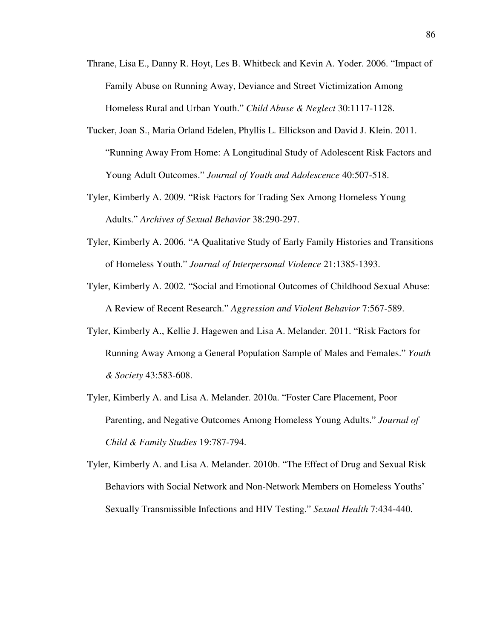- Thrane, Lisa E., Danny R. Hoyt, Les B. Whitbeck and Kevin A. Yoder. 2006. "Impact of Family Abuse on Running Away, Deviance and Street Victimization Among Homeless Rural and Urban Youth." *Child Abuse & Neglect* 30:1117-1128.
- Tucker, Joan S., Maria Orland Edelen, Phyllis L. Ellickson and David J. Klein. 2011. "Running Away From Home: A Longitudinal Study of Adolescent Risk Factors and Young Adult Outcomes." *Journal of Youth and Adolescence* 40:507-518.
- Tyler, Kimberly A. 2009. "Risk Factors for Trading Sex Among Homeless Young Adults." *Archives of Sexual Behavior* 38:290-297.
- Tyler, Kimberly A. 2006. "A Qualitative Study of Early Family Histories and Transitions of Homeless Youth." *Journal of Interpersonal Violence* 21:1385-1393.
- Tyler, Kimberly A. 2002. "Social and Emotional Outcomes of Childhood Sexual Abuse: A Review of Recent Research." *Aggression and Violent Behavior* 7:567-589.
- Tyler, Kimberly A., Kellie J. Hagewen and Lisa A. Melander. 2011. "Risk Factors for Running Away Among a General Population Sample of Males and Females." *Youth & Society* 43:583-608.
- Tyler, Kimberly A. and Lisa A. Melander. 2010a. "Foster Care Placement, Poor Parenting, and Negative Outcomes Among Homeless Young Adults." *Journal of Child & Family Studies* 19:787-794.

Tyler, Kimberly A. and Lisa A. Melander. 2010b. "The Effect of Drug and Sexual Risk Behaviors with Social Network and Non-Network Members on Homeless Youths' Sexually Transmissible Infections and HIV Testing." *Sexual Health* 7:434-440.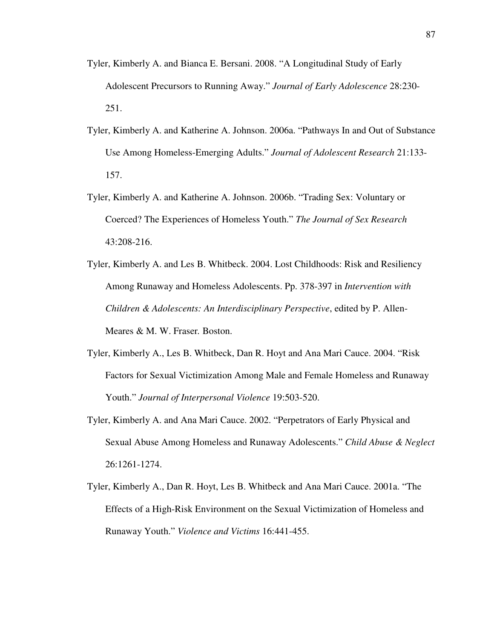- Tyler, Kimberly A. and Bianca E. Bersani. 2008. "A Longitudinal Study of Early Adolescent Precursors to Running Away." *Journal of Early Adolescence* 28:230- 251.
- Tyler, Kimberly A. and Katherine A. Johnson. 2006a. "Pathways In and Out of Substance Use Among Homeless-Emerging Adults." *Journal of Adolescent Research* 21:133- 157.
- Tyler, Kimberly A. and Katherine A. Johnson. 2006b. "Trading Sex: Voluntary or Coerced? The Experiences of Homeless Youth." *The Journal of Sex Research*  43:208-216.
- Tyler, Kimberly A. and Les B. Whitbeck. 2004. Lost Childhoods: Risk and Resiliency Among Runaway and Homeless Adolescents. Pp. 378-397 in *Intervention with Children & Adolescents: An Interdisciplinary Perspective*, edited by P. Allen-Meares & M. W. Fraser*.* Boston.
- Tyler, Kimberly A., Les B. Whitbeck, Dan R. Hoyt and Ana Mari Cauce. 2004. "Risk Factors for Sexual Victimization Among Male and Female Homeless and Runaway Youth." *Journal of Interpersonal Violence* 19:503-520.
- Tyler, Kimberly A. and Ana Mari Cauce. 2002. "Perpetrators of Early Physical and Sexual Abuse Among Homeless and Runaway Adolescents." *Child Abuse & Neglect* 26:1261-1274.
- Tyler, Kimberly A., Dan R. Hoyt, Les B. Whitbeck and Ana Mari Cauce. 2001a. "The Effects of a High-Risk Environment on the Sexual Victimization of Homeless and Runaway Youth." *Violence and Victims* 16:441-455.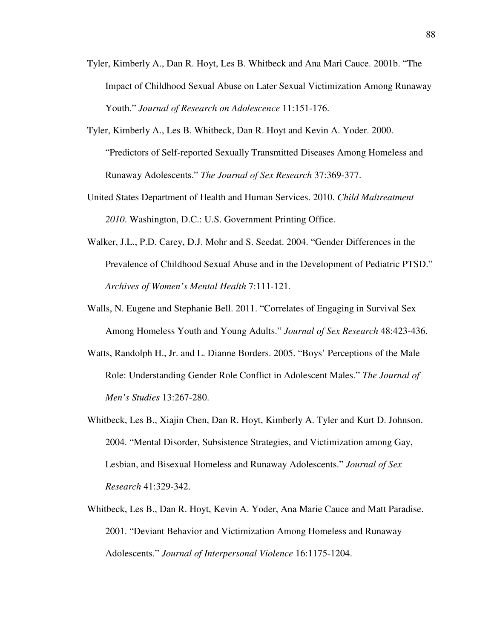- Tyler, Kimberly A., Dan R. Hoyt, Les B. Whitbeck and Ana Mari Cauce. 2001b. "The Impact of Childhood Sexual Abuse on Later Sexual Victimization Among Runaway Youth." *Journal of Research on Adolescence* 11:151-176.
- Tyler, Kimberly A., Les B. Whitbeck, Dan R. Hoyt and Kevin A. Yoder. 2000. "Predictors of Self-reported Sexually Transmitted Diseases Among Homeless and Runaway Adolescents." *The Journal of Sex Research* 37:369-377.
- United States Department of Health and Human Services. 2010. *Child Maltreatment 2010*. Washington, D.C.: U.S. Government Printing Office.
- Walker, J.L., P.D. Carey, D.J. Mohr and S. Seedat. 2004. "Gender Differences in the Prevalence of Childhood Sexual Abuse and in the Development of Pediatric PTSD." *Archives of Women's Mental Health* 7:111-121.
- Walls, N. Eugene and Stephanie Bell. 2011. "Correlates of Engaging in Survival Sex Among Homeless Youth and Young Adults." *Journal of Sex Research* 48:423-436.
- Watts, Randolph H., Jr. and L. Dianne Borders. 2005. "Boys' Perceptions of the Male Role: Understanding Gender Role Conflict in Adolescent Males." *The Journal of Men's Studies* 13:267-280.
- Whitbeck, Les B., Xiajin Chen, Dan R. Hoyt, Kimberly A. Tyler and Kurt D. Johnson. 2004. "Mental Disorder, Subsistence Strategies, and Victimization among Gay, Lesbian, and Bisexual Homeless and Runaway Adolescents." *Journal of Sex Research* 41:329-342.
- Whitbeck, Les B., Dan R. Hoyt, Kevin A. Yoder, Ana Marie Cauce and Matt Paradise. 2001. "Deviant Behavior and Victimization Among Homeless and Runaway Adolescents." *Journal of Interpersonal Violence* 16:1175-1204.